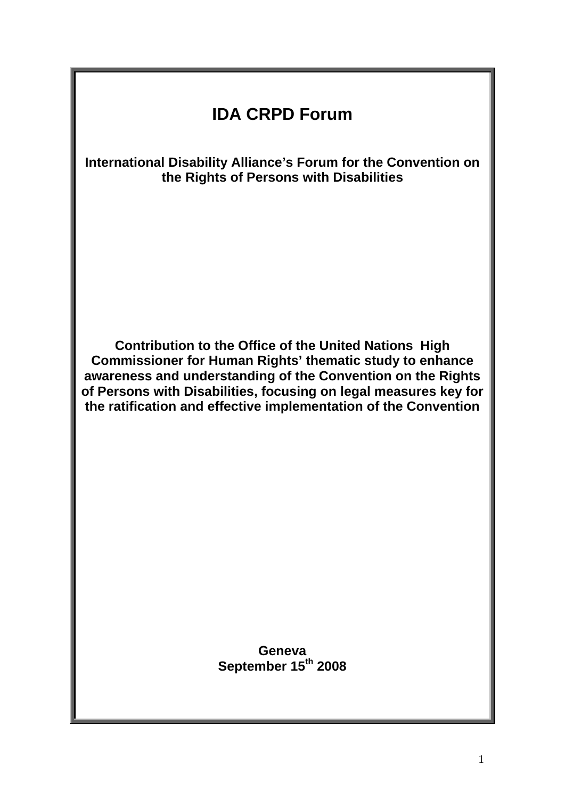# **IDA CRPD Forum**

**International Disability Alliance's Forum for the Convention on the Rights of Persons with Disabilities** 

**Contribution to the Office of the United Nations High Commissioner for Human Rights' thematic study to enhance awareness and understanding of the Convention on the Rights of Persons with Disabilities, focusing on legal measures key for the ratification and effective implementation of the Convention** 

> **Geneva September 15th 2008**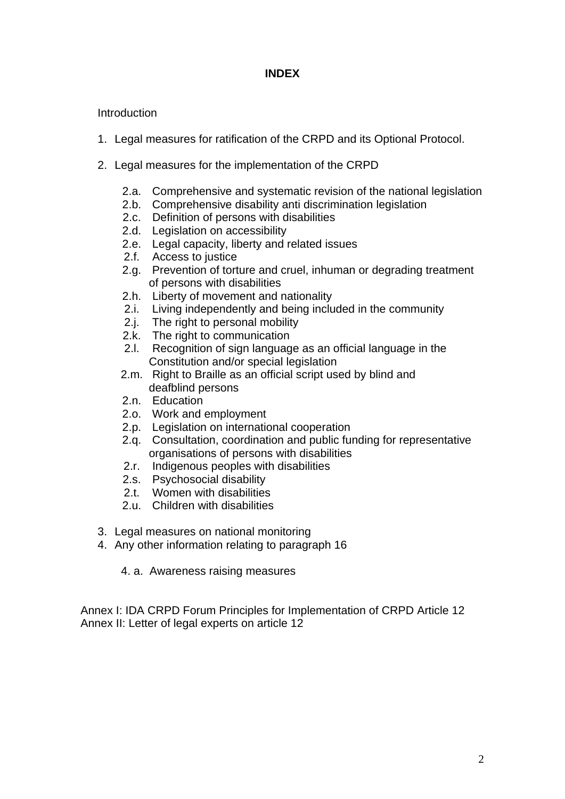### **INDEX**

#### **Introduction**

- 1. Legal measures for ratification of the CRPD and its Optional Protocol.
- 2. Legal measures for the implementation of the CRPD
	- 2.a. Comprehensive and systematic revision of the national legislation
	- 2.b. Comprehensive disability anti discrimination legislation
	- 2.c. Definition of persons with disabilities
	- 2.d. Legislation on accessibility
	- 2.e. Legal capacity, liberty and related issues
	- 2.f. Access to justice
	- 2.g. Prevention of torture and cruel, inhuman or degrading treatment of persons with disabilities
	- 2.h. Liberty of movement and nationality
	- 2.i. Living independently and being included in the community
	- 2.j. The right to personal mobility
	- 2.k. The right to communication
	- 2.1. Recognition of sign language as an official language in the Constitution and/or special legislation
	- 2.m. Right to Braille as an official script used by blind and deafblind persons
	- 2.n. Education
	- 2.o. Work and employment
	- 2.p. Legislation on international cooperation
	- 2.q. Consultation, coordination and public funding for representative organisations of persons with disabilities
	- 2.r. Indigenous peoples with disabilities
	- 2.s. Psychosocial disability
	- 2.t. Women with disabilities
	- 2.u. Children with disabilities
- 3. Legal measures on national monitoring
- 4. Any other information relating to paragraph 16
	- 4. a. Awareness raising measures

Annex I: IDA CRPD Forum Principles for Implementation of CRPD Article 12 Annex II: Letter of legal experts on article 12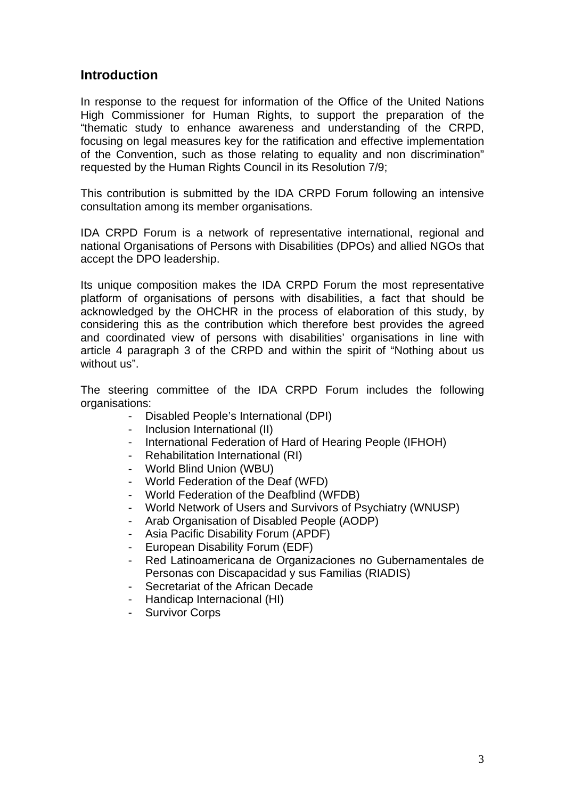# **Introduction**

In response to the request for information of the Office of the United Nations High Commissioner for Human Rights, to support the preparation of the "thematic study to enhance awareness and understanding of the CRPD, focusing on legal measures key for the ratification and effective implementation of the Convention, such as those relating to equality and non discrimination" requested by the Human Rights Council in its Resolution 7/9;

This contribution is submitted by the IDA CRPD Forum following an intensive consultation among its member organisations.

IDA CRPD Forum is a network of representative international, regional and national Organisations of Persons with Disabilities (DPOs) and allied NGOs that accept the DPO leadership.

Its unique composition makes the IDA CRPD Forum the most representative platform of organisations of persons with disabilities, a fact that should be acknowledged by the OHCHR in the process of elaboration of this study, by considering this as the contribution which therefore best provides the agreed and coordinated view of persons with disabilities' organisations in line with article 4 paragraph 3 of the CRPD and within the spirit of "Nothing about us without us".

The steering committee of the IDA CRPD Forum includes the following organisations:

- Disabled People's International (DPI)
- Inclusion International (II)
- International Federation of Hard of Hearing People (IFHOH)
- Rehabilitation International (RI)
- World Blind Union (WBU)
- World Federation of the Deaf (WFD)
- World Federation of the Deafblind (WFDB)
- World Network of Users and Survivors of Psychiatry (WNUSP)
- Arab Organisation of Disabled People (AODP)
- Asia Pacific Disability Forum (APDF)
- European Disability Forum (EDF)
- Red Latinoamericana de Organizaciones no Gubernamentales de Personas con Discapacidad y sus Familias (RIADIS)
- Secretariat of the African Decade
- Handicap Internacional (HI)
- Survivor Corps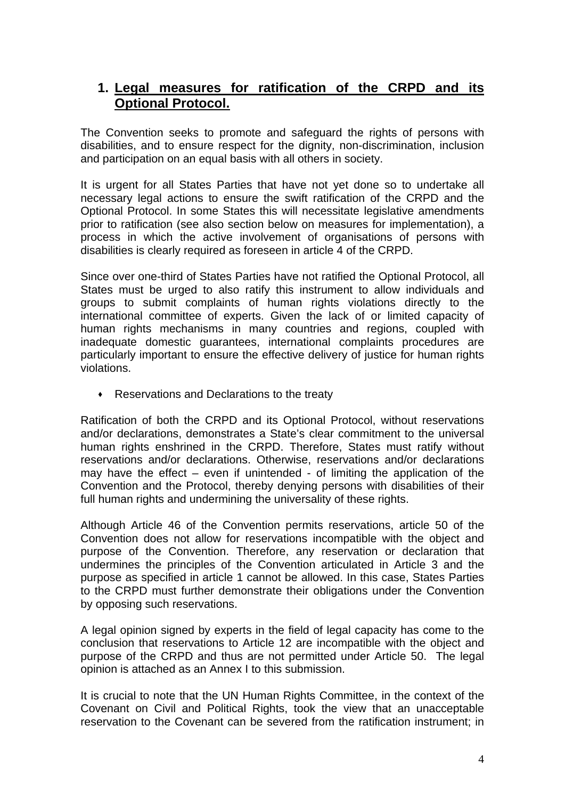# **1. Legal measures for ratification of the CRPD and its Optional Protocol.**

The Convention seeks to promote and safeguard the rights of persons with disabilities, and to ensure respect for the dignity, non-discrimination, inclusion and participation on an equal basis with all others in society.

It is urgent for all States Parties that have not yet done so to undertake all necessary legal actions to ensure the swift ratification of the CRPD and the Optional Protocol. In some States this will necessitate legislative amendments prior to ratification (see also section below on measures for implementation), a process in which the active involvement of organisations of persons with disabilities is clearly required as foreseen in article 4 of the CRPD.

Since over one-third of States Parties have not ratified the Optional Protocol, all States must be urged to also ratify this instrument to allow individuals and groups to submit complaints of human rights violations directly to the international committee of experts. Given the lack of or limited capacity of human rights mechanisms in many countries and regions, coupled with inadequate domestic guarantees, international complaints procedures are particularly important to ensure the effective delivery of justice for human rights violations.

**Reservations and Declarations to the treaty** 

Ratification of both the CRPD and its Optional Protocol, without reservations and/or declarations, demonstrates a State's clear commitment to the universal human rights enshrined in the CRPD. Therefore, States must ratify without reservations and/or declarations. Otherwise, reservations and/or declarations may have the effect – even if unintended - of limiting the application of the Convention and the Protocol, thereby denying persons with disabilities of their full human rights and undermining the universality of these rights.

Although Article 46 of the Convention permits reservations, article 50 of the Convention does not allow for reservations incompatible with the object and purpose of the Convention. Therefore, any reservation or declaration that undermines the principles of the Convention articulated in Article 3 and the purpose as specified in article 1 cannot be allowed. In this case, States Parties to the CRPD must further demonstrate their obligations under the Convention by opposing such reservations.

A legal opinion signed by experts in the field of legal capacity has come to the conclusion that reservations to Article 12 are incompatible with the object and purpose of the CRPD and thus are not permitted under Article 50. The legal opinion is attached as an Annex I to this submission.

It is crucial to note that the UN Human Rights Committee, in the context of the Covenant on Civil and Political Rights, took the view that an unacceptable reservation to the Covenant can be severed from the ratification instrument; in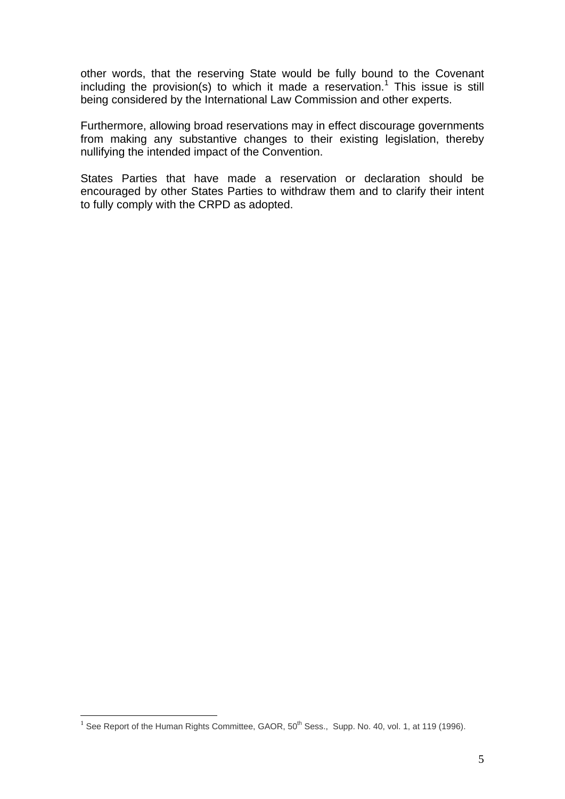other words, that the reserving State would be fully bound to the Covenant including the provision(s) to which it made a reservation.<sup>1</sup> This issue is still being considered by the International Law Commission and other experts.

Furthermore, allowing broad reservations may in effect discourage governments from making any substantive changes to their existing legislation, thereby nullifying the intended impact of the Convention.

States Parties that have made a reservation or declaration should be encouraged by other States Parties to withdraw them and to clarify their intent to fully comply with the CRPD as adopted.

 $\overline{a}$ 

 $1$  See Report of the Human Rights Committee, GAOR,  $50<sup>th</sup>$  Sess., Supp. No. 40, vol. 1, at 119 (1996).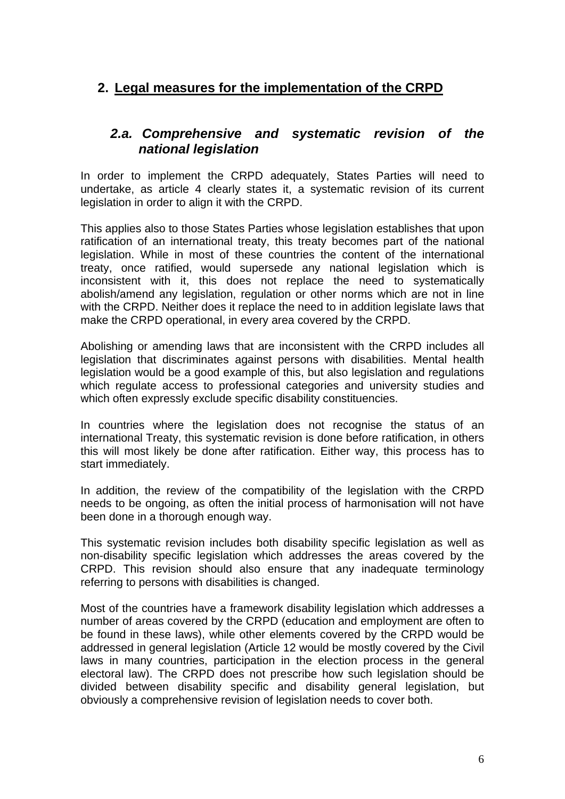# **2. Legal measures for the implementation of the CRPD**

# *2.a. Comprehensive and systematic revision of the national legislation*

In order to implement the CRPD adequately, States Parties will need to undertake, as article 4 clearly states it, a systematic revision of its current legislation in order to align it with the CRPD.

This applies also to those States Parties whose legislation establishes that upon ratification of an international treaty, this treaty becomes part of the national legislation. While in most of these countries the content of the international treaty, once ratified, would supersede any national legislation which is inconsistent with it, this does not replace the need to systematically abolish/amend any legislation, regulation or other norms which are not in line with the CRPD. Neither does it replace the need to in addition legislate laws that make the CRPD operational, in every area covered by the CRPD.

Abolishing or amending laws that are inconsistent with the CRPD includes all legislation that discriminates against persons with disabilities. Mental health legislation would be a good example of this, but also legislation and regulations which regulate access to professional categories and university studies and which often expressly exclude specific disability constituencies.

In countries where the legislation does not recognise the status of an international Treaty, this systematic revision is done before ratification, in others this will most likely be done after ratification. Either way, this process has to start immediately.

In addition, the review of the compatibility of the legislation with the CRPD needs to be ongoing, as often the initial process of harmonisation will not have been done in a thorough enough way.

This systematic revision includes both disability specific legislation as well as non-disability specific legislation which addresses the areas covered by the CRPD. This revision should also ensure that any inadequate terminology referring to persons with disabilities is changed.

Most of the countries have a framework disability legislation which addresses a number of areas covered by the CRPD (education and employment are often to be found in these laws), while other elements covered by the CRPD would be addressed in general legislation (Article 12 would be mostly covered by the Civil laws in many countries, participation in the election process in the general electoral law). The CRPD does not prescribe how such legislation should be divided between disability specific and disability general legislation, but obviously a comprehensive revision of legislation needs to cover both.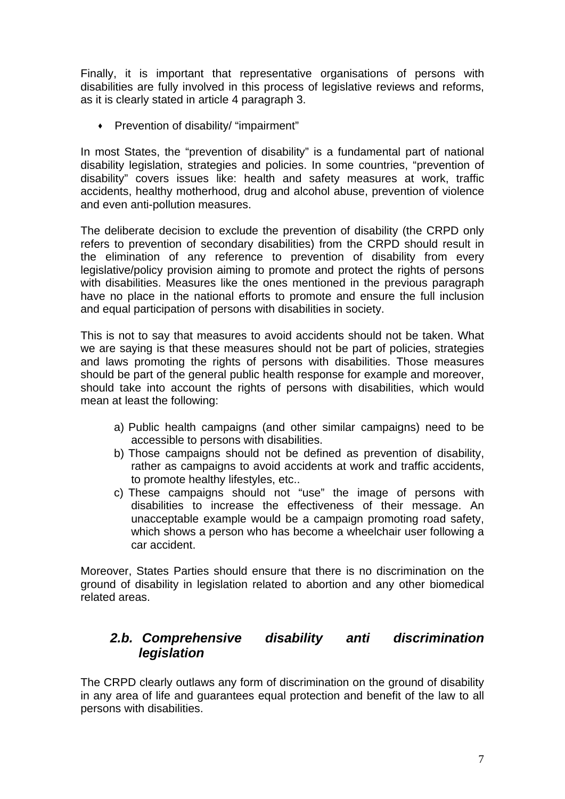Finally, it is important that representative organisations of persons with disabilities are fully involved in this process of legislative reviews and reforms, as it is clearly stated in article 4 paragraph 3.

Prevention of disability/ "impairment"

In most States, the "prevention of disability" is a fundamental part of national disability legislation, strategies and policies. In some countries, "prevention of disability" covers issues like: health and safety measures at work, traffic accidents, healthy motherhood, drug and alcohol abuse, prevention of violence and even anti-pollution measures.

The deliberate decision to exclude the prevention of disability (the CRPD only refers to prevention of secondary disabilities) from the CRPD should result in the elimination of any reference to prevention of disability from every legislative/policy provision aiming to promote and protect the rights of persons with disabilities. Measures like the ones mentioned in the previous paragraph have no place in the national efforts to promote and ensure the full inclusion and equal participation of persons with disabilities in society.

This is not to say that measures to avoid accidents should not be taken. What we are saying is that these measures should not be part of policies, strategies and laws promoting the rights of persons with disabilities. Those measures should be part of the general public health response for example and moreover, should take into account the rights of persons with disabilities, which would mean at least the following:

- a) Public health campaigns (and other similar campaigns) need to be accessible to persons with disabilities.
- b) Those campaigns should not be defined as prevention of disability, rather as campaigns to avoid accidents at work and traffic accidents, to promote healthy lifestyles, etc..
- c) These campaigns should not "use" the image of persons with disabilities to increase the effectiveness of their message. An unacceptable example would be a campaign promoting road safety, which shows a person who has become a wheelchair user following a car accident.

Moreover, States Parties should ensure that there is no discrimination on the ground of disability in legislation related to abortion and any other biomedical related areas.

# *2.b. Comprehensive disability anti discrimination legislation*

The CRPD clearly outlaws any form of discrimination on the ground of disability in any area of life and guarantees equal protection and benefit of the law to all persons with disabilities.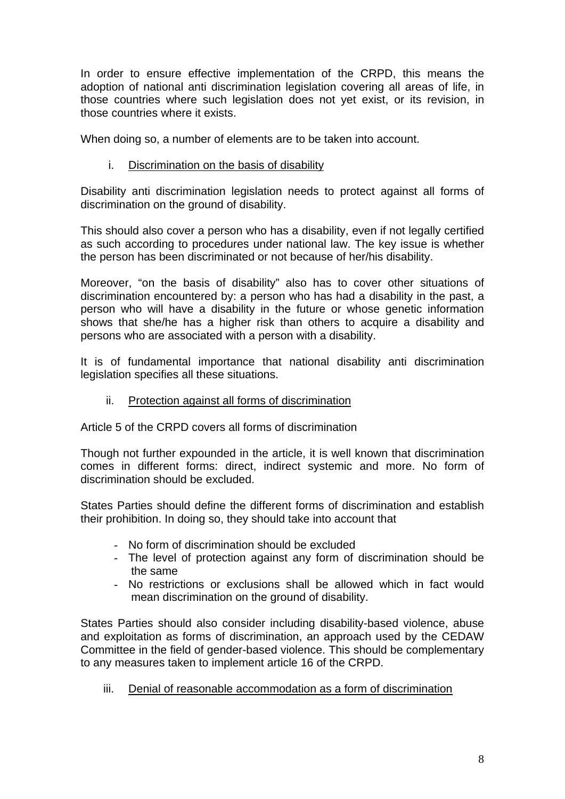In order to ensure effective implementation of the CRPD, this means the adoption of national anti discrimination legislation covering all areas of life, in those countries where such legislation does not yet exist, or its revision, in those countries where it exists.

When doing so, a number of elements are to be taken into account.

### i. Discrimination on the basis of disability

Disability anti discrimination legislation needs to protect against all forms of discrimination on the ground of disability.

This should also cover a person who has a disability, even if not legally certified as such according to procedures under national law. The key issue is whether the person has been discriminated or not because of her/his disability.

Moreover, "on the basis of disability" also has to cover other situations of discrimination encountered by: a person who has had a disability in the past, a person who will have a disability in the future or whose genetic information shows that she/he has a higher risk than others to acquire a disability and persons who are associated with a person with a disability.

It is of fundamental importance that national disability anti discrimination legislation specifies all these situations.

### ii. Protection against all forms of discrimination

Article 5 of the CRPD covers all forms of discrimination

Though not further expounded in the article, it is well known that discrimination comes in different forms: direct, indirect systemic and more. No form of discrimination should be excluded.

States Parties should define the different forms of discrimination and establish their prohibition. In doing so, they should take into account that

- No form of discrimination should be excluded
- The level of protection against any form of discrimination should be the same
- No restrictions or exclusions shall be allowed which in fact would mean discrimination on the ground of disability.

States Parties should also consider including disability-based violence, abuse and exploitation as forms of discrimination, an approach used by the CEDAW Committee in the field of gender-based violence. This should be complementary to any measures taken to implement article 16 of the CRPD.

iii. Denial of reasonable accommodation as a form of discrimination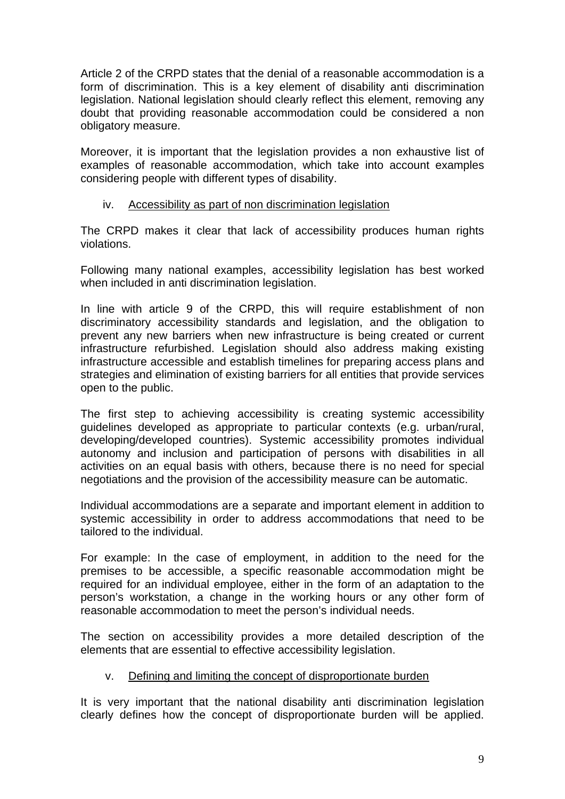Article 2 of the CRPD states that the denial of a reasonable accommodation is a form of discrimination. This is a key element of disability anti discrimination legislation. National legislation should clearly reflect this element, removing any doubt that providing reasonable accommodation could be considered a non obligatory measure.

Moreover, it is important that the legislation provides a non exhaustive list of examples of reasonable accommodation, which take into account examples considering people with different types of disability.

### iv. Accessibility as part of non discrimination legislation

The CRPD makes it clear that lack of accessibility produces human rights violations.

Following many national examples, accessibility legislation has best worked when included in anti discrimination legislation.

In line with article 9 of the CRPD, this will require establishment of non discriminatory accessibility standards and legislation, and the obligation to prevent any new barriers when new infrastructure is being created or current infrastructure refurbished. Legislation should also address making existing infrastructure accessible and establish timelines for preparing access plans and strategies and elimination of existing barriers for all entities that provide services open to the public.

The first step to achieving accessibility is creating systemic accessibility guidelines developed as appropriate to particular contexts (e.g. urban/rural, developing/developed countries). Systemic accessibility promotes individual autonomy and inclusion and participation of persons with disabilities in all activities on an equal basis with others, because there is no need for special negotiations and the provision of the accessibility measure can be automatic.

Individual accommodations are a separate and important element in addition to systemic accessibility in order to address accommodations that need to be tailored to the individual.

For example: In the case of employment, in addition to the need for the premises to be accessible, a specific reasonable accommodation might be required for an individual employee, either in the form of an adaptation to the person's workstation, a change in the working hours or any other form of reasonable accommodation to meet the person's individual needs.

The section on accessibility provides a more detailed description of the elements that are essential to effective accessibility legislation.

# v. Defining and limiting the concept of disproportionate burden

It is very important that the national disability anti discrimination legislation clearly defines how the concept of disproportionate burden will be applied.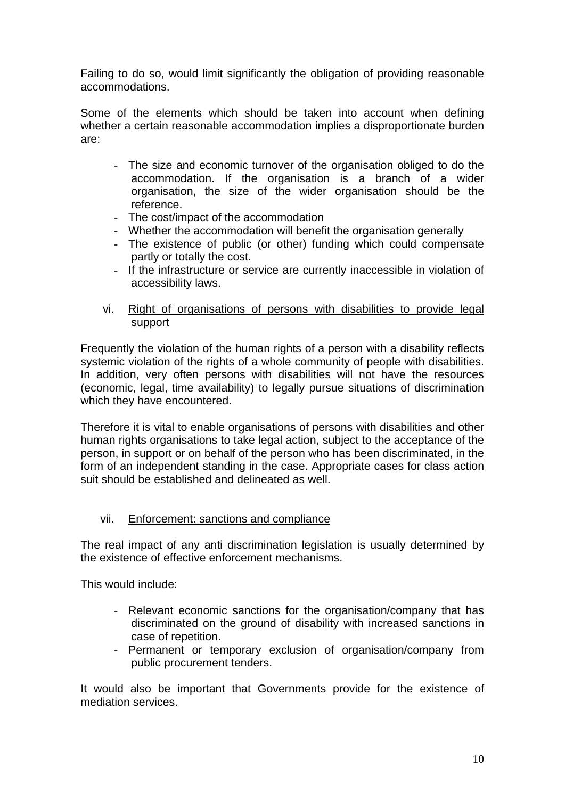Failing to do so, would limit significantly the obligation of providing reasonable accommodations.

Some of the elements which should be taken into account when defining whether a certain reasonable accommodation implies a disproportionate burden are:

- The size and economic turnover of the organisation obliged to do the accommodation. If the organisation is a branch of a wider organisation, the size of the wider organisation should be the reference.
- The cost/impact of the accommodation
- Whether the accommodation will benefit the organisation generally
- The existence of public (or other) funding which could compensate partly or totally the cost.
- If the infrastructure or service are currently inaccessible in violation of accessibility laws.
- vi. Right of organisations of persons with disabilities to provide legal support

Frequently the violation of the human rights of a person with a disability reflects systemic violation of the rights of a whole community of people with disabilities. In addition, very often persons with disabilities will not have the resources (economic, legal, time availability) to legally pursue situations of discrimination which they have encountered.

Therefore it is vital to enable organisations of persons with disabilities and other human rights organisations to take legal action, subject to the acceptance of the person, in support or on behalf of the person who has been discriminated, in the form of an independent standing in the case. Appropriate cases for class action suit should be established and delineated as well.

### vii. Enforcement: sanctions and compliance

The real impact of any anti discrimination legislation is usually determined by the existence of effective enforcement mechanisms.

This would include:

- Relevant economic sanctions for the organisation/company that has discriminated on the ground of disability with increased sanctions in case of repetition.
- Permanent or temporary exclusion of organisation/company from public procurement tenders.

It would also be important that Governments provide for the existence of mediation services.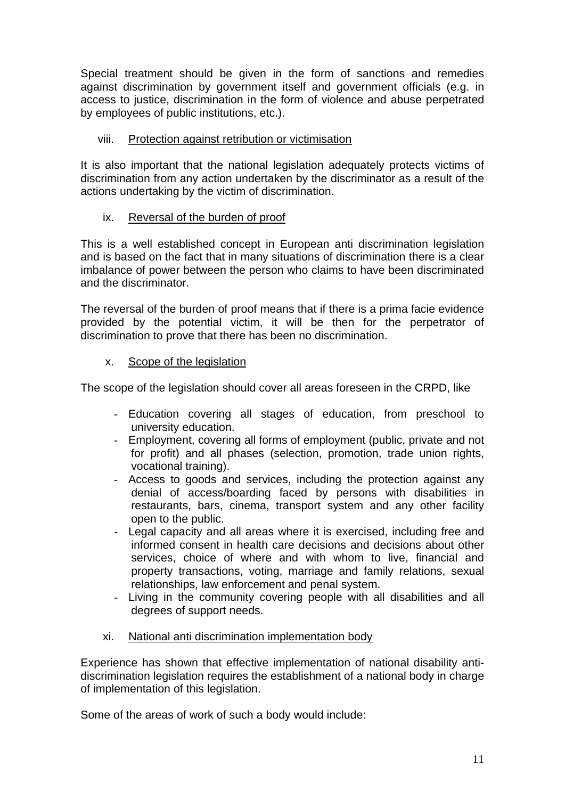Special treatment should be given in the form of sanctions and remedies against discrimination by government itself and government officials (e.g. in access to justice, discrimination in the form of violence and abuse perpetrated by employees of public institutions, etc.).

### viii. Protection against retribution or victimisation

It is also important that the national legislation adequately protects victims of discrimination from any action undertaken by the discriminator as a result of the actions undertaking by the victim of discrimination.

### ix. Reversal of the burden of proof

This is a well established concept in European anti discrimination legislation and is based on the fact that in many situations of discrimination there is a clear imbalance of power between the person who claims to have been discriminated and the discriminator.

The reversal of the burden of proof means that if there is a prima facie evidence provided by the potential victim, it will be then for the perpetrator of discrimination to prove that there has been no discrimination.

### x. Scope of the legislation

The scope of the legislation should cover all areas foreseen in the CRPD, like

- Education covering all stages of education, from preschool to university education.
- Employment, covering all forms of employment (public, private and not for profit) and all phases (selection, promotion, trade union rights, vocational training).
- Access to goods and services, including the protection against any denial of access/boarding faced by persons with disabilities in restaurants, bars, cinema, transport system and any other facility open to the public.
- Legal capacity and all areas where it is exercised, including free and informed consent in health care decisions and decisions about other services, choice of where and with whom to live, financial and property transactions, voting, marriage and family relations, sexual relationships, law enforcement and penal system.
- Living in the community covering people with all disabilities and all degrees of support needs.
- xi. National anti discrimination implementation body

Experience has shown that effective implementation of national disability antidiscrimination legislation requires the establishment of a national body in charge of implementation of this legislation.

Some of the areas of work of such a body would include: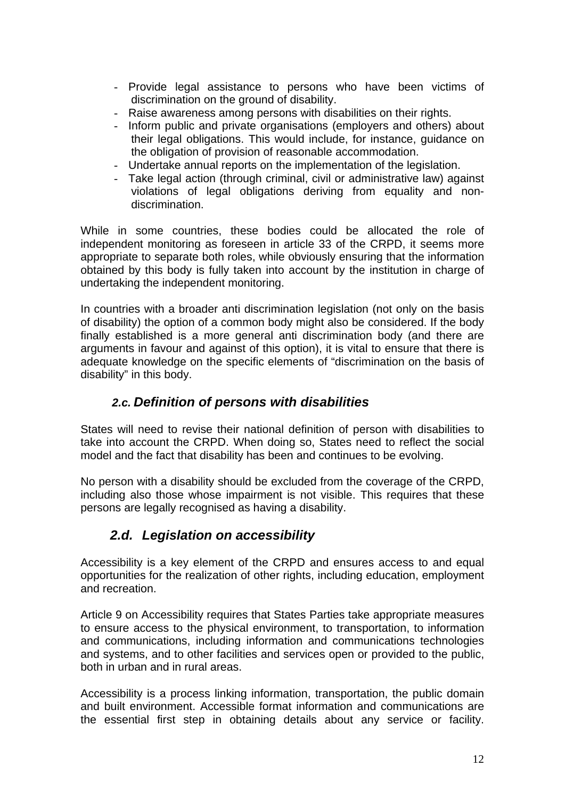- Provide legal assistance to persons who have been victims of discrimination on the ground of disability.
- Raise awareness among persons with disabilities on their rights.
- Inform public and private organisations (employers and others) about their legal obligations. This would include, for instance, guidance on the obligation of provision of reasonable accommodation.
- Undertake annual reports on the implementation of the legislation.
- Take legal action (through criminal, civil or administrative law) against violations of legal obligations deriving from equality and nondiscrimination.

While in some countries, these bodies could be allocated the role of independent monitoring as foreseen in article 33 of the CRPD, it seems more appropriate to separate both roles, while obviously ensuring that the information obtained by this body is fully taken into account by the institution in charge of undertaking the independent monitoring.

In countries with a broader anti discrimination legislation (not only on the basis of disability) the option of a common body might also be considered. If the body finally established is a more general anti discrimination body (and there are arguments in favour and against of this option), it is vital to ensure that there is adequate knowledge on the specific elements of "discrimination on the basis of disability" in this body.

# *2.c. Definition of persons with disabilities*

States will need to revise their national definition of person with disabilities to take into account the CRPD. When doing so, States need to reflect the social model and the fact that disability has been and continues to be evolving.

No person with a disability should be excluded from the coverage of the CRPD, including also those whose impairment is not visible. This requires that these persons are legally recognised as having a disability.

# *2.d. Legislation on accessibility*

Accessibility is a key element of the CRPD and ensures access to and equal opportunities for the realization of other rights, including education, employment and recreation.

Article 9 on Accessibility requires that States Parties take appropriate measures to ensure access to the physical environment, to transportation, to information and communications, including information and communications technologies and systems, and to other facilities and services open or provided to the public, both in urban and in rural areas.

Accessibility is a process linking information, transportation, the public domain and built environment. Accessible format information and communications are the essential first step in obtaining details about any service or facility.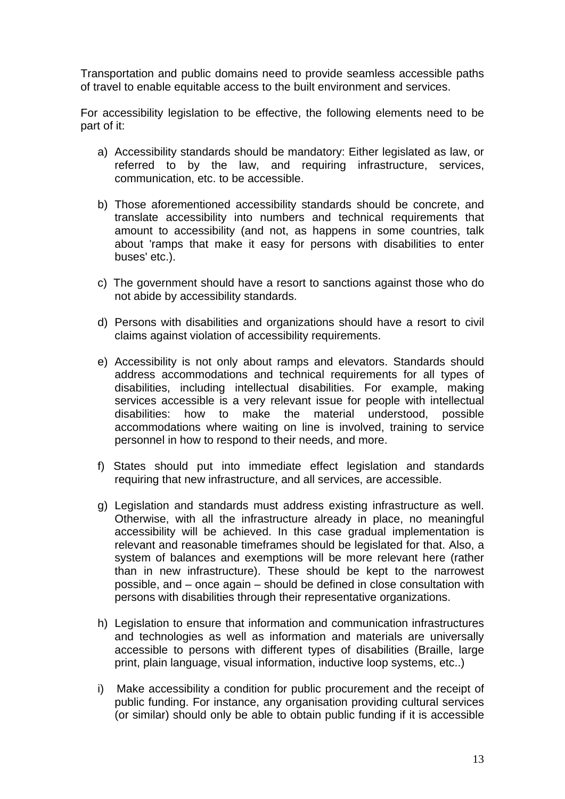Transportation and public domains need to provide seamless accessible paths of travel to enable equitable access to the built environment and services.

For accessibility legislation to be effective, the following elements need to be part of it:

- a) Accessibility standards should be mandatory: Either legislated as law, or referred to by the law, and requiring infrastructure, services, communication, etc. to be accessible.
- b) Those aforementioned accessibility standards should be concrete, and translate accessibility into numbers and technical requirements that amount to accessibility (and not, as happens in some countries, talk about 'ramps that make it easy for persons with disabilities to enter buses' etc.).
- c) The government should have a resort to sanctions against those who do not abide by accessibility standards.
- d) Persons with disabilities and organizations should have a resort to civil claims against violation of accessibility requirements.
- e) Accessibility is not only about ramps and elevators. Standards should address accommodations and technical requirements for all types of disabilities, including intellectual disabilities. For example, making services accessible is a very relevant issue for people with intellectual disabilities: how to make the material understood, possible accommodations where waiting on line is involved, training to service personnel in how to respond to their needs, and more.
- f) States should put into immediate effect legislation and standards requiring that new infrastructure, and all services, are accessible.
- g) Legislation and standards must address existing infrastructure as well. Otherwise, with all the infrastructure already in place, no meaningful accessibility will be achieved. In this case gradual implementation is relevant and reasonable timeframes should be legislated for that. Also, a system of balances and exemptions will be more relevant here (rather than in new infrastructure). These should be kept to the narrowest possible, and – once again – should be defined in close consultation with persons with disabilities through their representative organizations.
- h) Legislation to ensure that information and communication infrastructures and technologies as well as information and materials are universally accessible to persons with different types of disabilities (Braille, large print, plain language, visual information, inductive loop systems, etc..)
- i) Make accessibility a condition for public procurement and the receipt of public funding. For instance, any organisation providing cultural services (or similar) should only be able to obtain public funding if it is accessible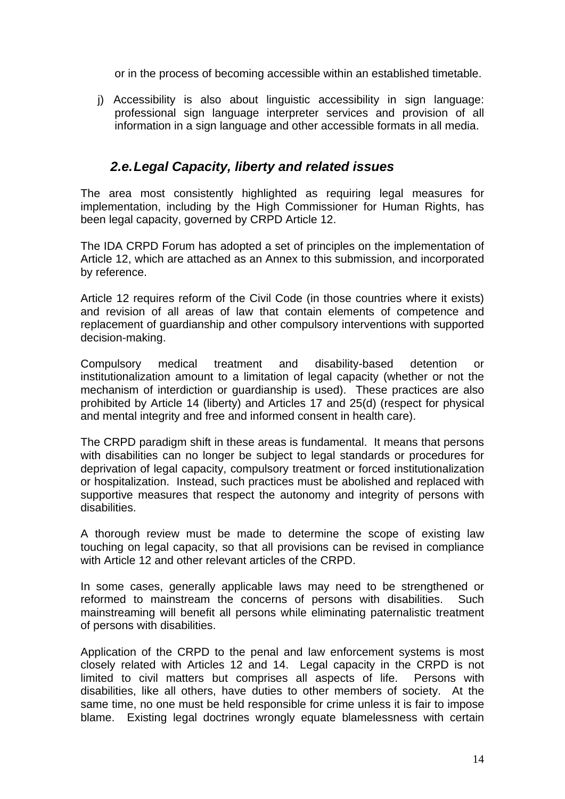or in the process of becoming accessible within an established timetable.

j) Accessibility is also about linguistic accessibility in sign language: professional sign language interpreter services and provision of all information in a sign language and other accessible formats in all media.

# *2.e. Legal Capacity, liberty and related issues*

The area most consistently highlighted as requiring legal measures for implementation, including by the High Commissioner for Human Rights, has been legal capacity, governed by CRPD Article 12.

The IDA CRPD Forum has adopted a set of principles on the implementation of Article 12, which are attached as an Annex to this submission, and incorporated by reference.

Article 12 requires reform of the Civil Code (in those countries where it exists) and revision of all areas of law that contain elements of competence and replacement of guardianship and other compulsory interventions with supported decision-making.

Compulsory medical treatment and disability-based detention or institutionalization amount to a limitation of legal capacity (whether or not the mechanism of interdiction or guardianship is used). These practices are also prohibited by Article 14 (liberty) and Articles 17 and 25(d) (respect for physical and mental integrity and free and informed consent in health care).

The CRPD paradigm shift in these areas is fundamental. It means that persons with disabilities can no longer be subject to legal standards or procedures for deprivation of legal capacity, compulsory treatment or forced institutionalization or hospitalization. Instead, such practices must be abolished and replaced with supportive measures that respect the autonomy and integrity of persons with disabilities.

A thorough review must be made to determine the scope of existing law touching on legal capacity, so that all provisions can be revised in compliance with Article 12 and other relevant articles of the CRPD.

In some cases, generally applicable laws may need to be strengthened or reformed to mainstream the concerns of persons with disabilities. Such mainstreaming will benefit all persons while eliminating paternalistic treatment of persons with disabilities.

Application of the CRPD to the penal and law enforcement systems is most closely related with Articles 12 and 14. Legal capacity in the CRPD is not limited to civil matters but comprises all aspects of life. Persons with disabilities, like all others, have duties to other members of society. At the same time, no one must be held responsible for crime unless it is fair to impose blame. Existing legal doctrines wrongly equate blamelessness with certain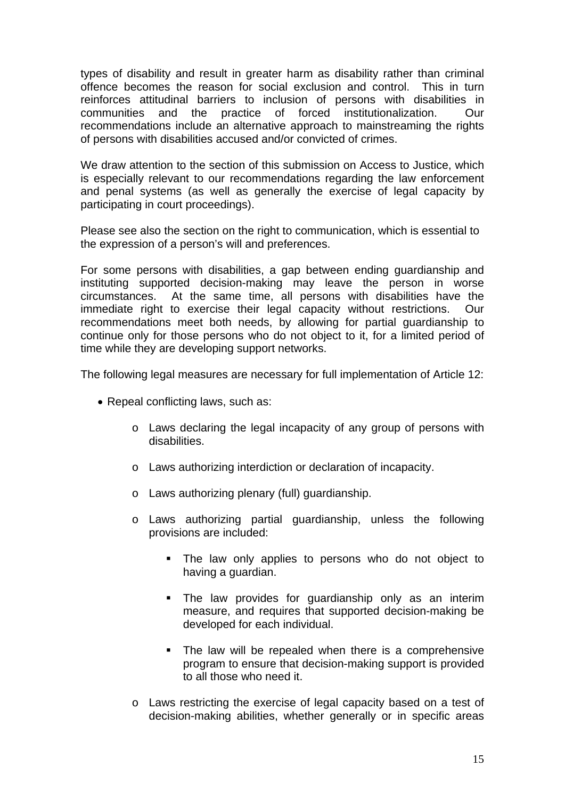types of disability and result in greater harm as disability rather than criminal offence becomes the reason for social exclusion and control. This in turn reinforces attitudinal barriers to inclusion of persons with disabilities in communities and the practice of forced institutionalization. Our recommendations include an alternative approach to mainstreaming the rights of persons with disabilities accused and/or convicted of crimes.

We draw attention to the section of this submission on Access to Justice, which is especially relevant to our recommendations regarding the law enforcement and penal systems (as well as generally the exercise of legal capacity by participating in court proceedings).

Please see also the section on the right to communication, which is essential to the expression of a person's will and preferences.

For some persons with disabilities, a gap between ending guardianship and instituting supported decision-making may leave the person in worse circumstances. At the same time, all persons with disabilities have the immediate right to exercise their legal capacity without restrictions. Our recommendations meet both needs, by allowing for partial guardianship to continue only for those persons who do not object to it, for a limited period of time while they are developing support networks.

The following legal measures are necessary for full implementation of Article 12:

- Repeal conflicting laws, such as:
	- o Laws declaring the legal incapacity of any group of persons with disabilities.
	- o Laws authorizing interdiction or declaration of incapacity.
	- o Laws authorizing plenary (full) guardianship.
	- o Laws authorizing partial guardianship, unless the following provisions are included:
		- **The law only applies to persons who do not object to** having a guardian.
		- **The law provides for quardianship only as an interim** measure, and requires that supported decision-making be developed for each individual.
		- The law will be repealed when there is a comprehensive program to ensure that decision-making support is provided to all those who need it.
	- o Laws restricting the exercise of legal capacity based on a test of decision-making abilities, whether generally or in specific areas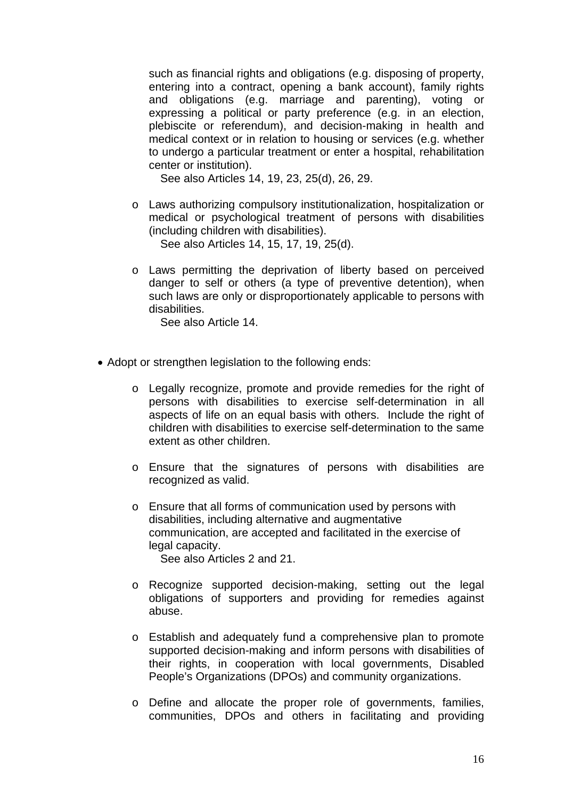such as financial rights and obligations (e.g. disposing of property, entering into a contract, opening a bank account), family rights and obligations (e.g. marriage and parenting), voting or expressing a political or party preference (e.g. in an election, plebiscite or referendum), and decision-making in health and medical context or in relation to housing or services (e.g. whether to undergo a particular treatment or enter a hospital, rehabilitation center or institution).

See also Articles 14, 19, 23, 25(d), 26, 29.

o Laws authorizing compulsory institutionalization, hospitalization or medical or psychological treatment of persons with disabilities (including children with disabilities).

See also Articles 14, 15, 17, 19, 25(d).

o Laws permitting the deprivation of liberty based on perceived danger to self or others (a type of preventive detention), when such laws are only or disproportionately applicable to persons with disabilities.

See also Article 14.

- Adopt or strengthen legislation to the following ends:
	- o Legally recognize, promote and provide remedies for the right of persons with disabilities to exercise self-determination in all aspects of life on an equal basis with others. Include the right of children with disabilities to exercise self-determination to the same extent as other children.
	- o Ensure that the signatures of persons with disabilities are recognized as valid.
	- o Ensure that all forms of communication used by persons with disabilities, including alternative and augmentative communication, are accepted and facilitated in the exercise of legal capacity.

See also Articles 2 and 21.

- o Recognize supported decision-making, setting out the legal obligations of supporters and providing for remedies against abuse.
- o Establish and adequately fund a comprehensive plan to promote supported decision-making and inform persons with disabilities of their rights, in cooperation with local governments, Disabled People's Organizations (DPOs) and community organizations.
- o Define and allocate the proper role of governments, families, communities, DPOs and others in facilitating and providing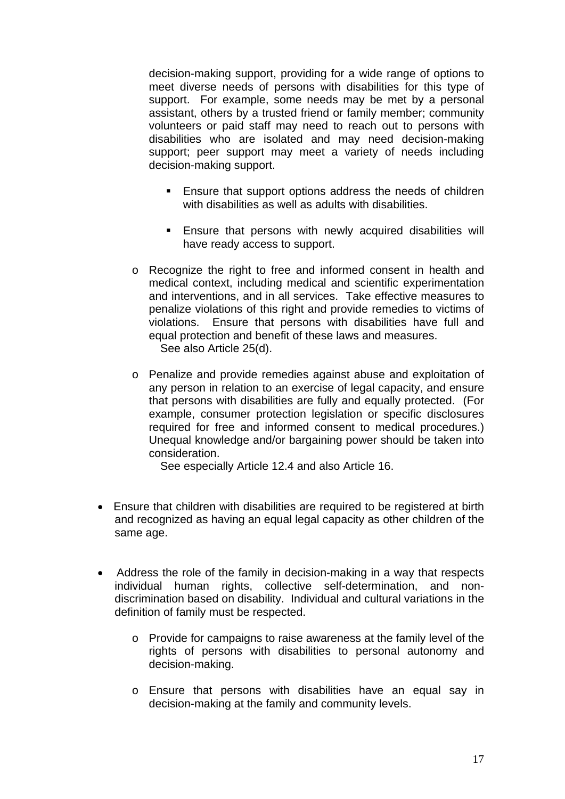decision-making support, providing for a wide range of options to meet diverse needs of persons with disabilities for this type of support. For example, some needs may be met by a personal assistant, others by a trusted friend or family member; community volunteers or paid staff may need to reach out to persons with disabilities who are isolated and may need decision-making support; peer support may meet a variety of needs including decision-making support.

- **Ensure that support options address the needs of children** with disabilities as well as adults with disabilities.
- Ensure that persons with newly acquired disabilities will have ready access to support.
- o Recognize the right to free and informed consent in health and medical context, including medical and scientific experimentation and interventions, and in all services. Take effective measures to penalize violations of this right and provide remedies to victims of violations. Ensure that persons with disabilities have full and equal protection and benefit of these laws and measures. See also Article 25(d).
- o Penalize and provide remedies against abuse and exploitation of any person in relation to an exercise of legal capacity, and ensure that persons with disabilities are fully and equally protected. (For example, consumer protection legislation or specific disclosures required for free and informed consent to medical procedures.) Unequal knowledge and/or bargaining power should be taken into consideration.

See especially Article 12.4 and also Article 16.

- Ensure that children with disabilities are required to be registered at birth and recognized as having an equal legal capacity as other children of the same age.
- Address the role of the family in decision-making in a way that respects individual human rights, collective self-determination, and nondiscrimination based on disability. Individual and cultural variations in the definition of family must be respected.
	- o Provide for campaigns to raise awareness at the family level of the rights of persons with disabilities to personal autonomy and decision-making.
	- o Ensure that persons with disabilities have an equal say in decision-making at the family and community levels.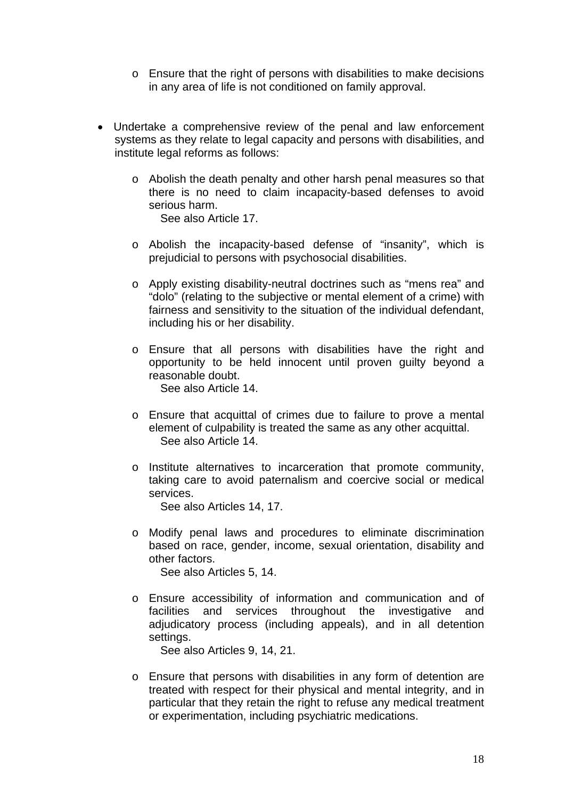- o Ensure that the right of persons with disabilities to make decisions in any area of life is not conditioned on family approval.
- Undertake a comprehensive review of the penal and law enforcement systems as they relate to legal capacity and persons with disabilities, and institute legal reforms as follows:
	- o Abolish the death penalty and other harsh penal measures so that there is no need to claim incapacity-based defenses to avoid serious harm. See also Article 17.
	- o Abolish the incapacity-based defense of "insanity", which is prejudicial to persons with psychosocial disabilities.
	- o Apply existing disability-neutral doctrines such as "mens rea" and "dolo" (relating to the subjective or mental element of a crime) with fairness and sensitivity to the situation of the individual defendant, including his or her disability.
	- o Ensure that all persons with disabilities have the right and opportunity to be held innocent until proven guilty beyond a reasonable doubt. See also Article 14.
	- o Ensure that acquittal of crimes due to failure to prove a mental element of culpability is treated the same as any other acquittal. See also Article 14.
	- o Institute alternatives to incarceration that promote community, taking care to avoid paternalism and coercive social or medical services.

See also Articles 14, 17.

- o Modify penal laws and procedures to eliminate discrimination based on race, gender, income, sexual orientation, disability and other factors. See also Articles 5, 14.
- o Ensure accessibility of information and communication and of facilities and services throughout the investigative and adjudicatory process (including appeals), and in all detention settings.

See also Articles 9, 14, 21.

o Ensure that persons with disabilities in any form of detention are treated with respect for their physical and mental integrity, and in particular that they retain the right to refuse any medical treatment or experimentation, including psychiatric medications.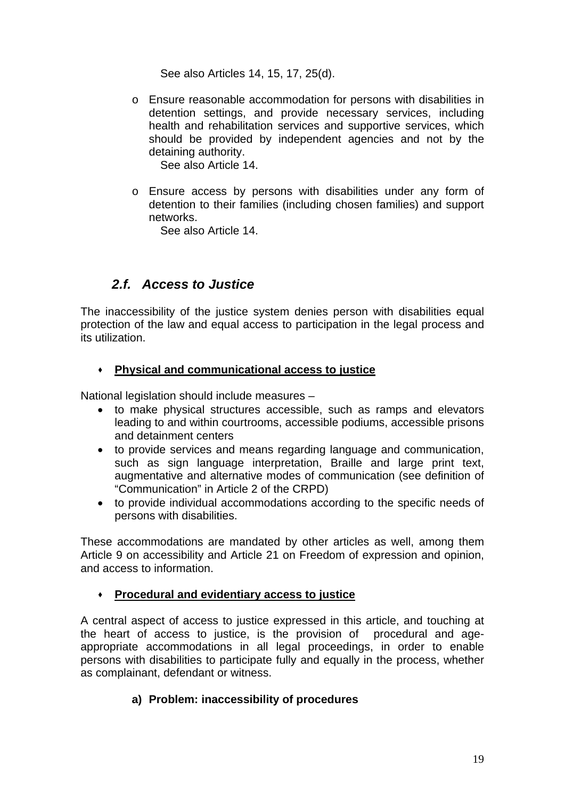See also Articles 14, 15, 17, 25(d).

o Ensure reasonable accommodation for persons with disabilities in detention settings, and provide necessary services, including health and rehabilitation services and supportive services, which should be provided by independent agencies and not by the detaining authority.

See also Article 14.

o Ensure access by persons with disabilities under any form of detention to their families (including chosen families) and support networks.

See also Article 14.

# *2.f. Access to Justice*

The inaccessibility of the justice system denies person with disabilities equal protection of the law and equal access to participation in the legal process and its utilization.

### **Physical and communicational access to justice**

National legislation should include measures –

- to make physical structures accessible, such as ramps and elevators leading to and within courtrooms, accessible podiums, accessible prisons and detainment centers
- to provide services and means regarding language and communication, such as sign language interpretation, Braille and large print text, augmentative and alternative modes of communication (see definition of "Communication" in Article 2 of the CRPD)
- to provide individual accommodations according to the specific needs of persons with disabilities.

These accommodations are mandated by other articles as well, among them Article 9 on accessibility and Article 21 on Freedom of expression and opinion, and access to information.

# **Procedural and evidentiary access to justice**

A central aspect of access to justice expressed in this article, and touching at the heart of access to justice, is the provision of procedural and ageappropriate accommodations in all legal proceedings, in order to enable persons with disabilities to participate fully and equally in the process, whether as complainant, defendant or witness.

# **a) Problem: inaccessibility of procedures**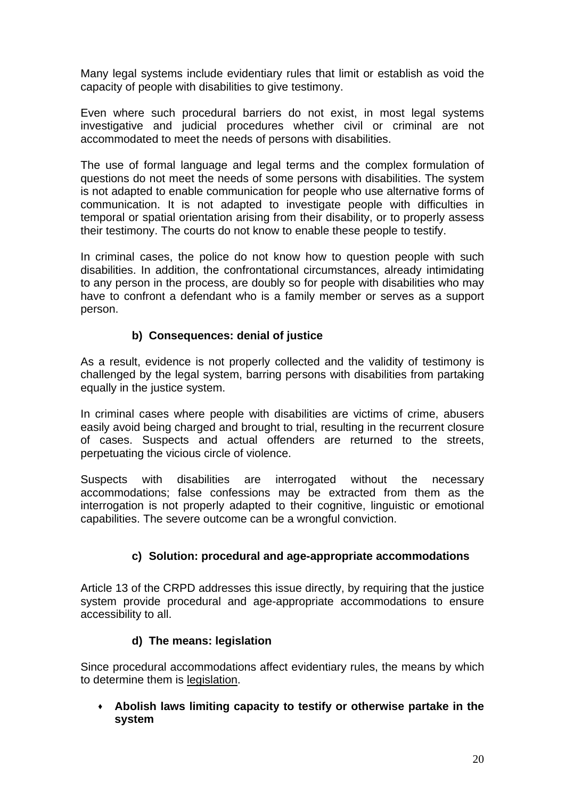Many legal systems include evidentiary rules that limit or establish as void the capacity of people with disabilities to give testimony.

Even where such procedural barriers do not exist, in most legal systems investigative and judicial procedures whether civil or criminal are not accommodated to meet the needs of persons with disabilities.

The use of formal language and legal terms and the complex formulation of questions do not meet the needs of some persons with disabilities. The system is not adapted to enable communication for people who use alternative forms of communication. It is not adapted to investigate people with difficulties in temporal or spatial orientation arising from their disability, or to properly assess their testimony. The courts do not know to enable these people to testify.

In criminal cases, the police do not know how to question people with such disabilities. In addition, the confrontational circumstances, already intimidating to any person in the process, are doubly so for people with disabilities who may have to confront a defendant who is a family member or serves as a support person.

# **b) Consequences: denial of justice**

As a result, evidence is not properly collected and the validity of testimony is challenged by the legal system, barring persons with disabilities from partaking equally in the justice system.

In criminal cases where people with disabilities are victims of crime, abusers easily avoid being charged and brought to trial, resulting in the recurrent closure of cases. Suspects and actual offenders are returned to the streets, perpetuating the vicious circle of violence.

Suspects with disabilities are interrogated without the necessary accommodations; false confessions may be extracted from them as the interrogation is not properly adapted to their cognitive, linguistic or emotional capabilities. The severe outcome can be a wrongful conviction.

# **c) Solution: procedural and age-appropriate accommodations**

Article 13 of the CRPD addresses this issue directly, by requiring that the justice system provide procedural and age-appropriate accommodations to ensure accessibility to all.

### **d) The means: legislation**

Since procedural accommodations affect evidentiary rules, the means by which to determine them is legislation.

 **Abolish laws limiting capacity to testify or otherwise partake in the system**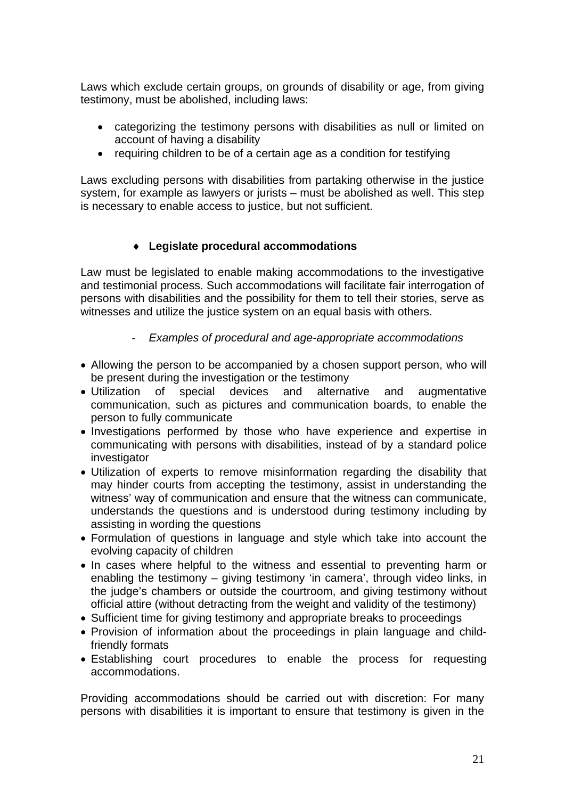Laws which exclude certain groups, on grounds of disability or age, from giving testimony, must be abolished, including laws:

- categorizing the testimony persons with disabilities as null or limited on account of having a disability
- requiring children to be of a certain age as a condition for testifying

Laws excluding persons with disabilities from partaking otherwise in the justice system, for example as lawyers or jurists – must be abolished as well. This step is necessary to enable access to justice, but not sufficient.

# ♦ **Legislate procedural accommodations**

Law must be legislated to enable making accommodations to the investigative and testimonial process. Such accommodations will facilitate fair interrogation of persons with disabilities and the possibility for them to tell their stories, serve as witnesses and utilize the justice system on an equal basis with others.

# - *Examples of procedural and age-appropriate accommodations*

- Allowing the person to be accompanied by a chosen support person, who will be present during the investigation or the testimony
- Utilization of special devices and alternative and augmentative communication, such as pictures and communication boards, to enable the person to fully communicate
- Investigations performed by those who have experience and expertise in communicating with persons with disabilities, instead of by a standard police investigator
- Utilization of experts to remove misinformation regarding the disability that may hinder courts from accepting the testimony, assist in understanding the witness' way of communication and ensure that the witness can communicate, understands the questions and is understood during testimony including by assisting in wording the questions
- Formulation of questions in language and style which take into account the evolving capacity of children
- In cases where helpful to the witness and essential to preventing harm or enabling the testimony – giving testimony 'in camera', through video links, in the judge's chambers or outside the courtroom, and giving testimony without official attire (without detracting from the weight and validity of the testimony)
- Sufficient time for giving testimony and appropriate breaks to proceedings
- Provision of information about the proceedings in plain language and childfriendly formats
- Establishing court procedures to enable the process for requesting accommodations.

Providing accommodations should be carried out with discretion: For many persons with disabilities it is important to ensure that testimony is given in the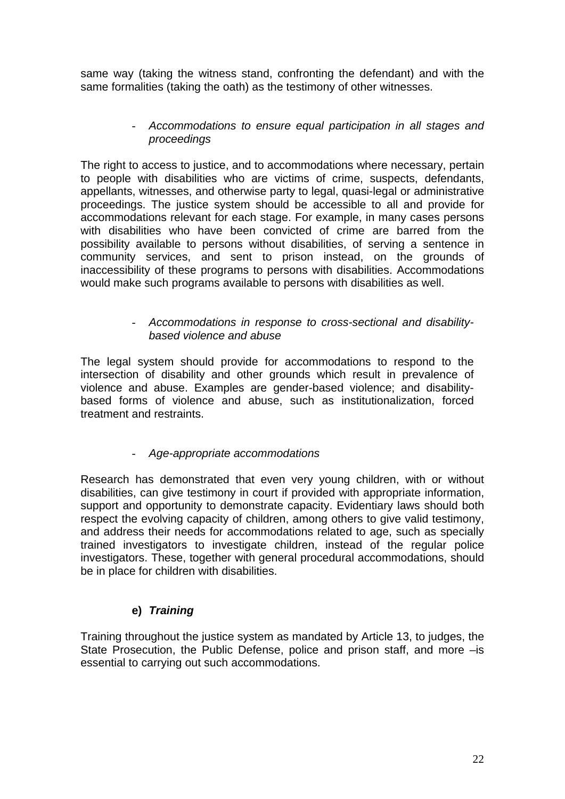same way (taking the witness stand, confronting the defendant) and with the same formalities (taking the oath) as the testimony of other witnesses.

### - *Accommodations to ensure equal participation in all stages and proceedings*

The right to access to justice, and to accommodations where necessary, pertain to people with disabilities who are victims of crime, suspects, defendants, appellants, witnesses, and otherwise party to legal, quasi-legal or administrative proceedings. The justice system should be accessible to all and provide for accommodations relevant for each stage. For example, in many cases persons with disabilities who have been convicted of crime are barred from the possibility available to persons without disabilities, of serving a sentence in community services, and sent to prison instead, on the grounds of inaccessibility of these programs to persons with disabilities. Accommodations would make such programs available to persons with disabilities as well.

### - *Accommodations in response to cross-sectional and disabilitybased violence and abuse*

The legal system should provide for accommodations to respond to the intersection of disability and other grounds which result in prevalence of violence and abuse. Examples are gender-based violence; and disabilitybased forms of violence and abuse, such as institutionalization, forced treatment and restraints.

# - *Age-appropriate accommodations*

Research has demonstrated that even very young children, with or without disabilities, can give testimony in court if provided with appropriate information, support and opportunity to demonstrate capacity. Evidentiary laws should both respect the evolving capacity of children, among others to give valid testimony, and address their needs for accommodations related to age, such as specially trained investigators to investigate children, instead of the regular police investigators. These, together with general procedural accommodations, should be in place for children with disabilities.

# **e)** *Training*

Training throughout the justice system as mandated by Article 13, to judges, the State Prosecution, the Public Defense, police and prison staff, and more –is essential to carrying out such accommodations.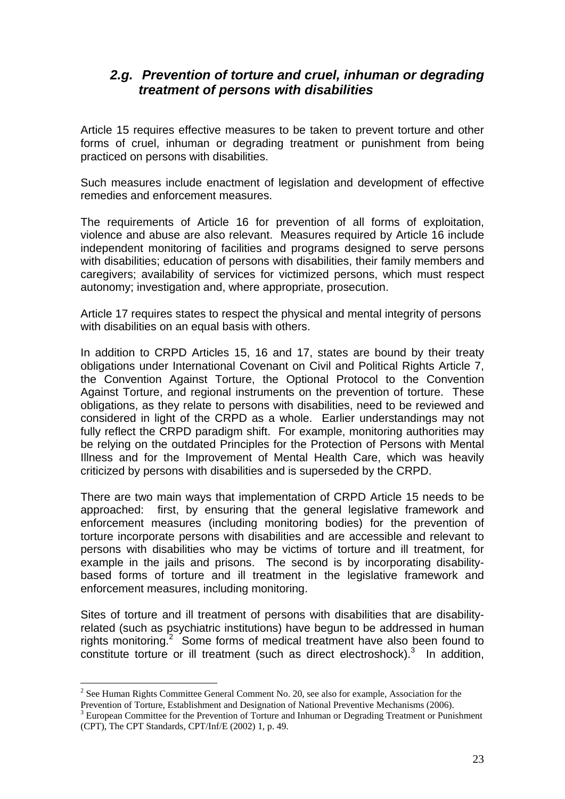# *2.g. Prevention of torture and cruel, inhuman or degrading treatment of persons with disabilities*

Article 15 requires effective measures to be taken to prevent torture and other forms of cruel, inhuman or degrading treatment or punishment from being practiced on persons with disabilities.

Such measures include enactment of legislation and development of effective remedies and enforcement measures.

The requirements of Article 16 for prevention of all forms of exploitation, violence and abuse are also relevant. Measures required by Article 16 include independent monitoring of facilities and programs designed to serve persons with disabilities; education of persons with disabilities, their family members and caregivers; availability of services for victimized persons, which must respect autonomy; investigation and, where appropriate, prosecution.

Article 17 requires states to respect the physical and mental integrity of persons with disabilities on an equal basis with others.

In addition to CRPD Articles 15, 16 and 17, states are bound by their treaty obligations under International Covenant on Civil and Political Rights Article 7, the Convention Against Torture, the Optional Protocol to the Convention Against Torture, and regional instruments on the prevention of torture. These obligations, as they relate to persons with disabilities, need to be reviewed and considered in light of the CRPD as a whole. Earlier understandings may not fully reflect the CRPD paradigm shift. For example, monitoring authorities may be relying on the outdated Principles for the Protection of Persons with Mental Illness and for the Improvement of Mental Health Care, which was heavily criticized by persons with disabilities and is superseded by the CRPD.

There are two main ways that implementation of CRPD Article 15 needs to be approached: first, by ensuring that the general legislative framework and enforcement measures (including monitoring bodies) for the prevention of torture incorporate persons with disabilities and are accessible and relevant to persons with disabilities who may be victims of torture and ill treatment, for example in the jails and prisons. The second is by incorporating disabilitybased forms of torture and ill treatment in the legislative framework and enforcement measures, including monitoring.

Sites of torture and ill treatment of persons with disabilities that are disabilityrelated (such as psychiatric institutions) have begun to be addressed in human rights monitoring.<sup>2</sup> Some forms of medical treatment have also been found to  $\overline{\text{const}}$  tuture or ill treatment (such as direct electroshock).<sup>3</sup> In addition,

 $\overline{a}$ 

 $2^2$  See Human Rights Committee General Comment No. 20, see also for example, Association for the Prevention of Torture, Establishment and Designation of National Preventive Mechanisms (2006).

<sup>&</sup>lt;sup>3</sup> European Committee for the Prevention of Torture and Inhuman or Degrading Treatment or Punishment (CPT), The CPT Standards, CPT/Inf/E (2002) 1, p. 49.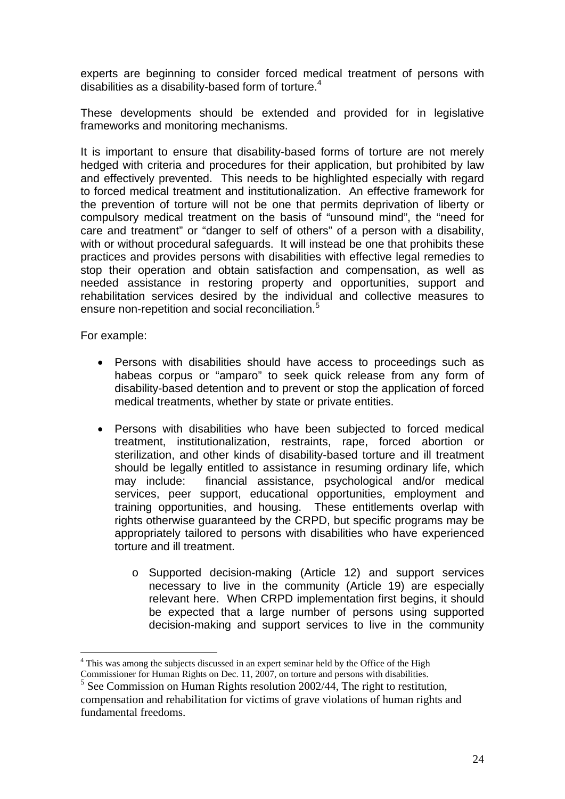experts are beginning to consider forced medical treatment of persons with disabilities as a disability-based form of torture. $4$ 

These developments should be extended and provided for in legislative frameworks and monitoring mechanisms.

It is important to ensure that disability-based forms of torture are not merely hedged with criteria and procedures for their application, but prohibited by law and effectively prevented. This needs to be highlighted especially with regard to forced medical treatment and institutionalization. An effective framework for the prevention of torture will not be one that permits deprivation of liberty or compulsory medical treatment on the basis of "unsound mind", the "need for care and treatment" or "danger to self of others" of a person with a disability, with or without procedural safeguards. It will instead be one that prohibits these practices and provides persons with disabilities with effective legal remedies to stop their operation and obtain satisfaction and compensation, as well as needed assistance in restoring property and opportunities, support and rehabilitation services desired by the individual and collective measures to ensure non-repetition and social reconciliation.<sup>5</sup>

For example:

- Persons with disabilities should have access to proceedings such as habeas corpus or "amparo" to seek quick release from any form of disability-based detention and to prevent or stop the application of forced medical treatments, whether by state or private entities.
- Persons with disabilities who have been subjected to forced medical treatment, institutionalization, restraints, rape, forced abortion or sterilization, and other kinds of disability-based torture and ill treatment should be legally entitled to assistance in resuming ordinary life, which may include: financial assistance, psychological and/or medical services, peer support, educational opportunities, employment and training opportunities, and housing. These entitlements overlap with rights otherwise guaranteed by the CRPD, but specific programs may be appropriately tailored to persons with disabilities who have experienced torture and ill treatment.
	- o Supported decision-making (Article 12) and support services necessary to live in the community (Article 19) are especially relevant here. When CRPD implementation first begins, it should be expected that a large number of persons using supported decision-making and support services to live in the community

 $\overline{a}$ <sup>4</sup> This was among the subjects discussed in an expert seminar held by the Office of the High

Commissioner for Human Rights on Dec. 11, 2007, on torture and persons with disabilities.

 $<sup>5</sup>$  See Commission on Human Rights resolution 2002/44, The right to restitution,</sup> compensation and rehabilitation for victims of grave violations of human rights and fundamental freedoms.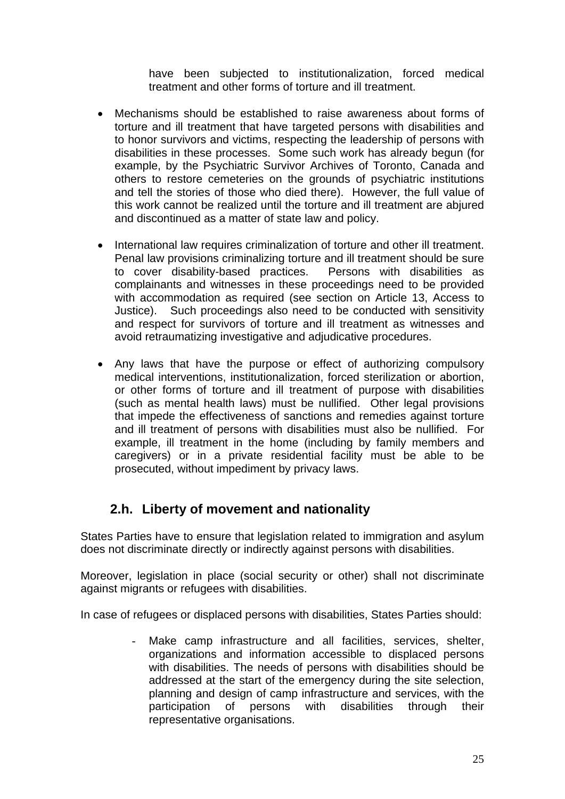have been subjected to institutionalization, forced medical treatment and other forms of torture and ill treatment.

- Mechanisms should be established to raise awareness about forms of torture and ill treatment that have targeted persons with disabilities and to honor survivors and victims, respecting the leadership of persons with disabilities in these processes. Some such work has already begun (for example, by the Psychiatric Survivor Archives of Toronto, Canada and others to restore cemeteries on the grounds of psychiatric institutions and tell the stories of those who died there). However, the full value of this work cannot be realized until the torture and ill treatment are abjured and discontinued as a matter of state law and policy.
- International law requires criminalization of torture and other ill treatment. Penal law provisions criminalizing torture and ill treatment should be sure to cover disability-based practices. Persons with disabilities as complainants and witnesses in these proceedings need to be provided with accommodation as required (see section on Article 13, Access to Justice). Such proceedings also need to be conducted with sensitivity and respect for survivors of torture and ill treatment as witnesses and avoid retraumatizing investigative and adjudicative procedures.
- Any laws that have the purpose or effect of authorizing compulsory medical interventions, institutionalization, forced sterilization or abortion, or other forms of torture and ill treatment of purpose with disabilities (such as mental health laws) must be nullified. Other legal provisions that impede the effectiveness of sanctions and remedies against torture and ill treatment of persons with disabilities must also be nullified. For example, ill treatment in the home (including by family members and caregivers) or in a private residential facility must be able to be prosecuted, without impediment by privacy laws.

# **2.h. Liberty of movement and nationality**

States Parties have to ensure that legislation related to immigration and asylum does not discriminate directly or indirectly against persons with disabilities.

Moreover, legislation in place (social security or other) shall not discriminate against migrants or refugees with disabilities.

In case of refugees or displaced persons with disabilities, States Parties should:

- Make camp infrastructure and all facilities, services, shelter, organizations and information accessible to displaced persons with disabilities. The needs of persons with disabilities should be addressed at the start of the emergency during the site selection, planning and design of camp infrastructure and services, with the participation of persons with disabilities through their representative organisations.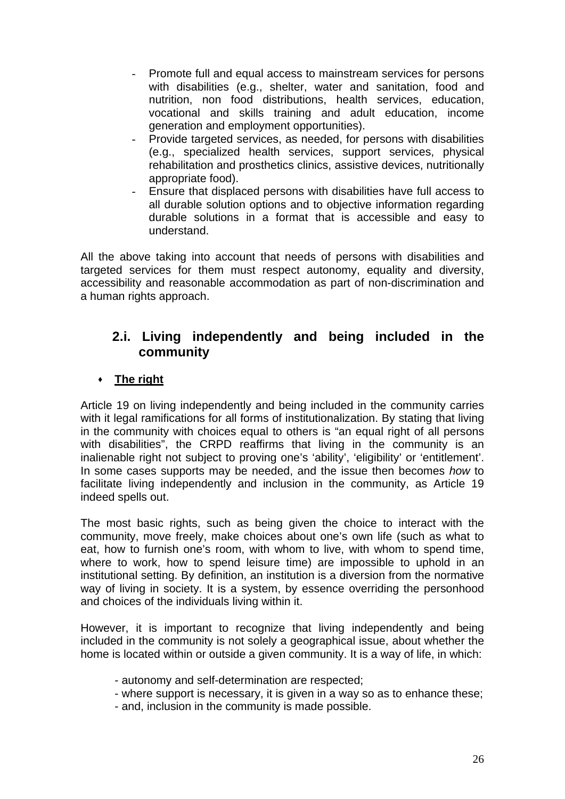- Promote full and equal access to mainstream services for persons with disabilities (e.g., shelter, water and sanitation, food and nutrition, non food distributions, health services, education, vocational and skills training and adult education, income generation and employment opportunities).
- Provide targeted services, as needed, for persons with disabilities (e.g., specialized health services, support services, physical rehabilitation and prosthetics clinics, assistive devices, nutritionally appropriate food).
- Ensure that displaced persons with disabilities have full access to all durable solution options and to objective information regarding durable solutions in a format that is accessible and easy to understand.

All the above taking into account that needs of persons with disabilities and targeted services for them must respect autonomy, equality and diversity, accessibility and reasonable accommodation as part of non-discrimination and a human rights approach.

# **2.i. Living independently and being included in the community**

# **The right**

Article 19 on living independently and being included in the community carries with it legal ramifications for all forms of institutionalization. By stating that living in the community with choices equal to others is "an equal right of all persons with disabilities", the CRPD reaffirms that living in the community is an inalienable right not subject to proving one's 'ability', 'eligibility' or 'entitlement'. In some cases supports may be needed, and the issue then becomes *how* to facilitate living independently and inclusion in the community, as Article 19 indeed spells out.

The most basic rights, such as being given the choice to interact with the community, move freely, make choices about one's own life (such as what to eat, how to furnish one's room, with whom to live, with whom to spend time, where to work, how to spend leisure time) are impossible to uphold in an institutional setting. By definition, an institution is a diversion from the normative way of living in society. It is a system, by essence overriding the personhood and choices of the individuals living within it.

However, it is important to recognize that living independently and being included in the community is not solely a geographical issue, about whether the home is located within or outside a given community. It is a way of life, in which:

- autonomy and self-determination are respected;
- where support is necessary, it is given in a way so as to enhance these;
- and, inclusion in the community is made possible.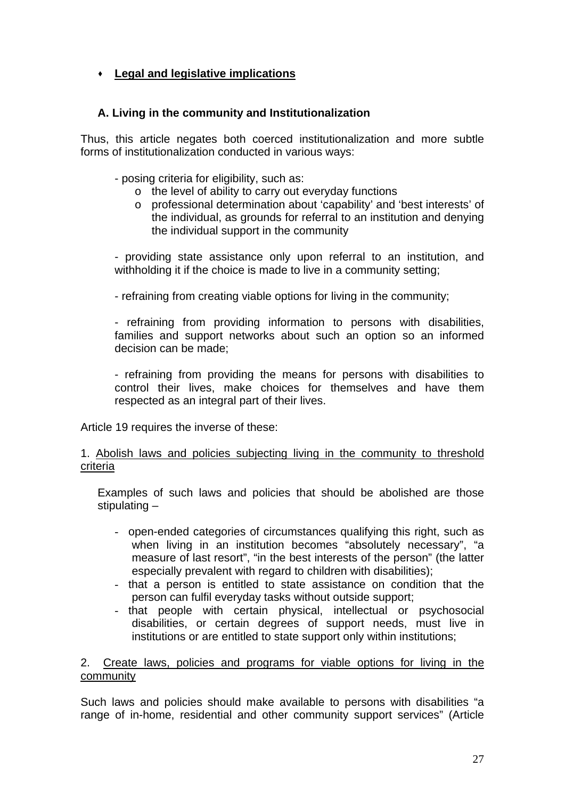# **Legal and legislative implications**

# **A. Living in the community and Institutionalization**

Thus, this article negates both coerced institutionalization and more subtle forms of institutionalization conducted in various ways:

- posing criteria for eligibility, such as:
	- o the level of ability to carry out everyday functions
	- o professional determination about 'capability' and 'best interests' of the individual, as grounds for referral to an institution and denying the individual support in the community

- providing state assistance only upon referral to an institution, and withholding it if the choice is made to live in a community setting;

- refraining from creating viable options for living in the community;

- refraining from providing information to persons with disabilities, families and support networks about such an option so an informed decision can be made;

- refraining from providing the means for persons with disabilities to control their lives, make choices for themselves and have them respected as an integral part of their lives.

Article 19 requires the inverse of these:

### 1. Abolish laws and policies subjecting living in the community to threshold criteria

Examples of such laws and policies that should be abolished are those stipulating –

- open-ended categories of circumstances qualifying this right, such as when living in an institution becomes "absolutely necessary", "a measure of last resort", "in the best interests of the person" (the latter especially prevalent with regard to children with disabilities);
- that a person is entitled to state assistance on condition that the person can fulfil everyday tasks without outside support;
- that people with certain physical, intellectual or psychosocial disabilities, or certain degrees of support needs, must live in institutions or are entitled to state support only within institutions;

2. Create laws, policies and programs for viable options for living in the community

Such laws and policies should make available to persons with disabilities "a range of in-home, residential and other community support services" (Article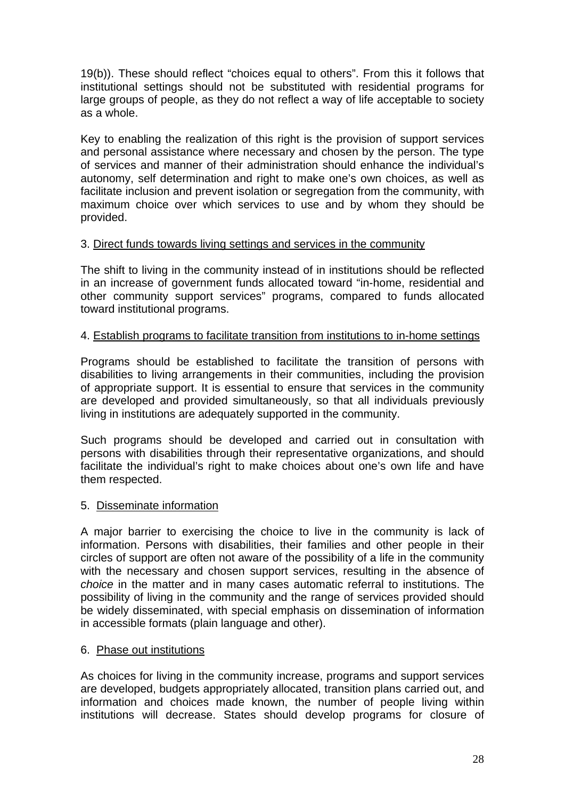19(b)). These should reflect "choices equal to others". From this it follows that institutional settings should not be substituted with residential programs for large groups of people, as they do not reflect a way of life acceptable to society as a whole.

Key to enabling the realization of this right is the provision of support services and personal assistance where necessary and chosen by the person. The type of services and manner of their administration should enhance the individual's autonomy, self determination and right to make one's own choices, as well as facilitate inclusion and prevent isolation or segregation from the community, with maximum choice over which services to use and by whom they should be provided.

### 3. Direct funds towards living settings and services in the community

The shift to living in the community instead of in institutions should be reflected in an increase of government funds allocated toward "in-home, residential and other community support services" programs, compared to funds allocated toward institutional programs.

### 4. Establish programs to facilitate transition from institutions to in-home settings

Programs should be established to facilitate the transition of persons with disabilities to living arrangements in their communities, including the provision of appropriate support. It is essential to ensure that services in the community are developed and provided simultaneously, so that all individuals previously living in institutions are adequately supported in the community.

Such programs should be developed and carried out in consultation with persons with disabilities through their representative organizations, and should facilitate the individual's right to make choices about one's own life and have them respected.

### 5. Disseminate information

A major barrier to exercising the choice to live in the community is lack of information. Persons with disabilities, their families and other people in their circles of support are often not aware of the possibility of a life in the community with the necessary and chosen support services, resulting in the absence of *choice* in the matter and in many cases automatic referral to institutions. The possibility of living in the community and the range of services provided should be widely disseminated, with special emphasis on dissemination of information in accessible formats (plain language and other).

### 6. Phase out institutions

As choices for living in the community increase, programs and support services are developed, budgets appropriately allocated, transition plans carried out, and information and choices made known, the number of people living within institutions will decrease. States should develop programs for closure of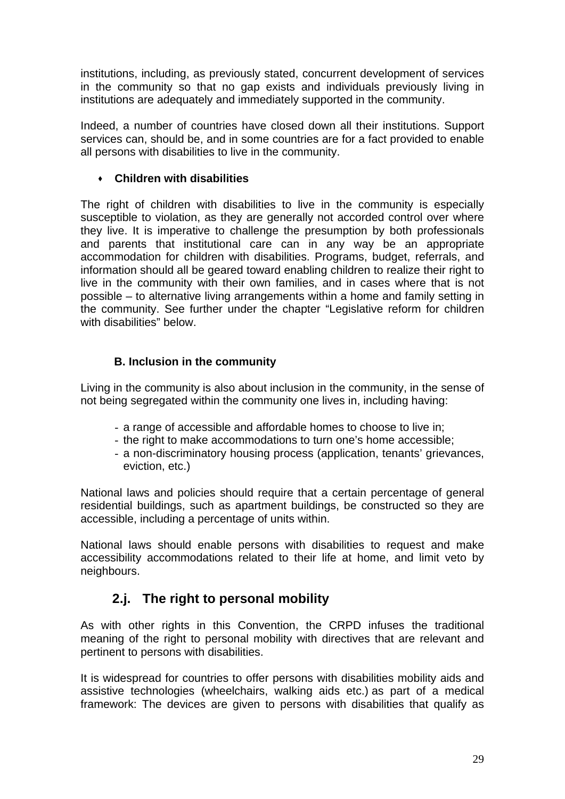institutions, including, as previously stated, concurrent development of services in the community so that no gap exists and individuals previously living in institutions are adequately and immediately supported in the community.

Indeed, a number of countries have closed down all their institutions. Support services can, should be, and in some countries are for a fact provided to enable all persons with disabilities to live in the community.

# **Children with disabilities**

The right of children with disabilities to live in the community is especially susceptible to violation, as they are generally not accorded control over where they live. It is imperative to challenge the presumption by both professionals and parents that institutional care can in any way be an appropriate accommodation for children with disabilities. Programs, budget, referrals, and information should all be geared toward enabling children to realize their right to live in the community with their own families, and in cases where that is not possible – to alternative living arrangements within a home and family setting in the community. See further under the chapter "Legislative reform for children with disabilities" below.

# **B. Inclusion in the community**

Living in the community is also about inclusion in the community, in the sense of not being segregated within the community one lives in, including having:

- a range of accessible and affordable homes to choose to live in;
- the right to make accommodations to turn one's home accessible;
- a non-discriminatory housing process (application, tenants' grievances, eviction, etc.)

National laws and policies should require that a certain percentage of general residential buildings, such as apartment buildings, be constructed so they are accessible, including a percentage of units within.

National laws should enable persons with disabilities to request and make accessibility accommodations related to their life at home, and limit veto by neighbours.

# **2.j. The right to personal mobility**

As with other rights in this Convention, the CRPD infuses the traditional meaning of the right to personal mobility with directives that are relevant and pertinent to persons with disabilities.

It is widespread for countries to offer persons with disabilities mobility aids and assistive technologies (wheelchairs, walking aids etc.) as part of a medical framework: The devices are given to persons with disabilities that qualify as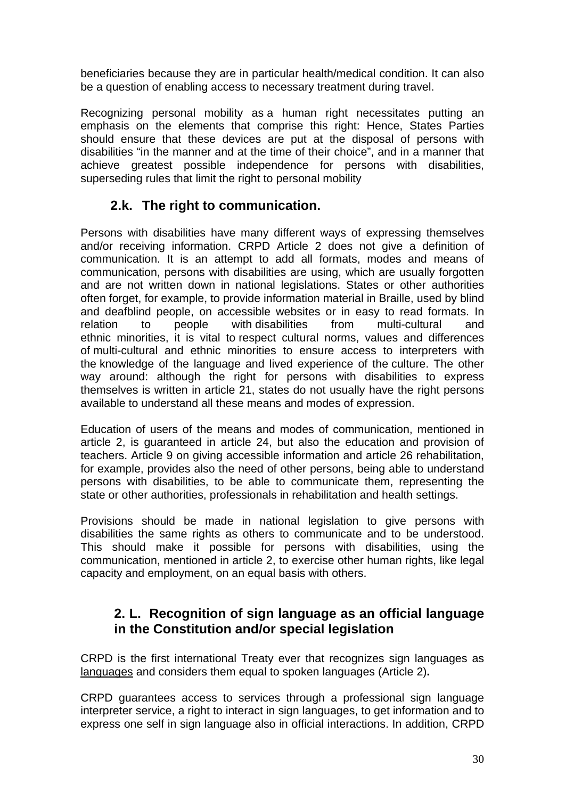beneficiaries because they are in particular health/medical condition. It can also be a question of enabling access to necessary treatment during travel.

Recognizing personal mobility as a human right necessitates putting an emphasis on the elements that comprise this right: Hence, States Parties should ensure that these devices are put at the disposal of persons with disabilities "in the manner and at the time of their choice", and in a manner that achieve greatest possible independence for persons with disabilities, superseding rules that limit the right to personal mobility

# **2.k. The right to communication.**

Persons with disabilities have many different ways of expressing themselves and/or receiving information. CRPD Article 2 does not give a definition of communication. It is an attempt to add all formats, modes and means of communication, persons with disabilities are using, which are usually forgotten and are not written down in national legislations. States or other authorities often forget, for example, to provide information material in Braille, used by blind and deafblind people, on accessible websites or in easy to read formats. In relation to people with disabilities from multi-cultural and ethnic minorities, it is vital to respect cultural norms, values and differences of multi-cultural and ethnic minorities to ensure access to interpreters with the knowledge of the language and lived experience of the culture. The other way around: although the right for persons with disabilities to express themselves is written in article 21, states do not usually have the right persons available to understand all these means and modes of expression.

Education of users of the means and modes of communication, mentioned in article 2, is guaranteed in article 24, but also the education and provision of teachers. Article 9 on giving accessible information and article 26 rehabilitation, for example, provides also the need of other persons, being able to understand persons with disabilities, to be able to communicate them, representing the state or other authorities, professionals in rehabilitation and health settings.

Provisions should be made in national legislation to give persons with disabilities the same rights as others to communicate and to be understood. This should make it possible for persons with disabilities, using the communication, mentioned in article 2, to exercise other human rights, like legal capacity and employment, on an equal basis with others.

# **2. L. Recognition of sign language as an official language in the Constitution and/or special legislation**

CRPD is the first international Treaty ever that recognizes sign languages as languages and considers them equal to spoken languages (Article 2)**.** 

CRPD guarantees access to services through a professional sign language interpreter service, a right to interact in sign languages, to get information and to express one self in sign language also in official interactions. In addition, CRPD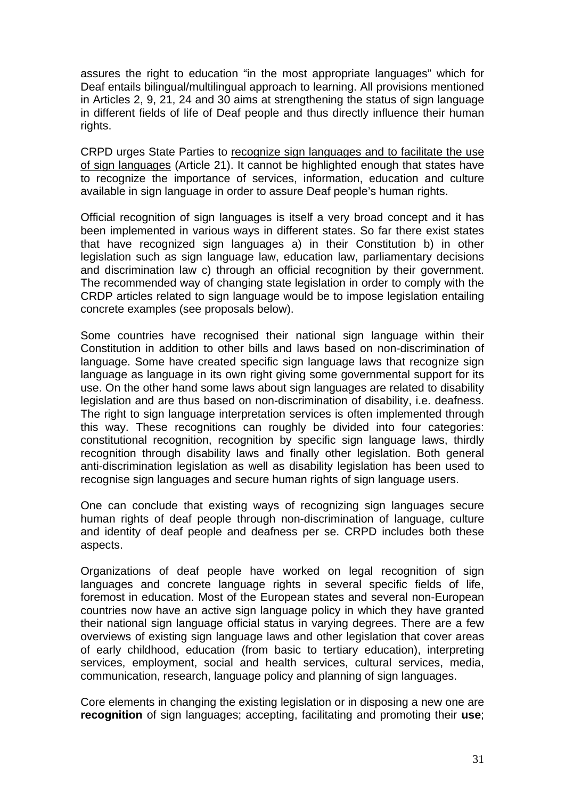assures the right to education "in the most appropriate languages" which for Deaf entails bilingual/multilingual approach to learning. All provisions mentioned in Articles 2, 9, 21, 24 and 30 aims at strengthening the status of sign language in different fields of life of Deaf people and thus directly influence their human rights.

CRPD urges State Parties to recognize sign languages and to facilitate the use of sign languages (Article 21). It cannot be highlighted enough that states have to recognize the importance of services, information, education and culture available in sign language in order to assure Deaf people's human rights.

Official recognition of sign languages is itself a very broad concept and it has been implemented in various ways in different states. So far there exist states that have recognized sign languages a) in their Constitution b) in other legislation such as sign language law, education law, parliamentary decisions and discrimination law c) through an official recognition by their government. The recommended way of changing state legislation in order to comply with the CRDP articles related to sign language would be to impose legislation entailing concrete examples (see proposals below).

Some countries have recognised their national sign language within their Constitution in addition to other bills and laws based on non-discrimination of language. Some have created specific sign language laws that recognize sign language as language in its own right giving some governmental support for its use. On the other hand some laws about sign languages are related to disability legislation and are thus based on non-discrimination of disability, i.e. deafness. The right to sign language interpretation services is often implemented through this way. These recognitions can roughly be divided into four categories: constitutional recognition, recognition by specific sign language laws, thirdly recognition through disability laws and finally other legislation. Both general anti-discrimination legislation as well as disability legislation has been used to recognise sign languages and secure human rights of sign language users.

One can conclude that existing ways of recognizing sign languages secure human rights of deaf people through non-discrimination of language, culture and identity of deaf people and deafness per se. CRPD includes both these aspects.

Organizations of deaf people have worked on legal recognition of sign languages and concrete language rights in several specific fields of life, foremost in education. Most of the European states and several non-European countries now have an active sign language policy in which they have granted their national sign language official status in varying degrees. There are a few overviews of existing sign language laws and other legislation that cover areas of early childhood, education (from basic to tertiary education), interpreting services, employment, social and health services, cultural services, media, communication, research, language policy and planning of sign languages.

Core elements in changing the existing legislation or in disposing a new one are **recognition** of sign languages; accepting, facilitating and promoting their **use**;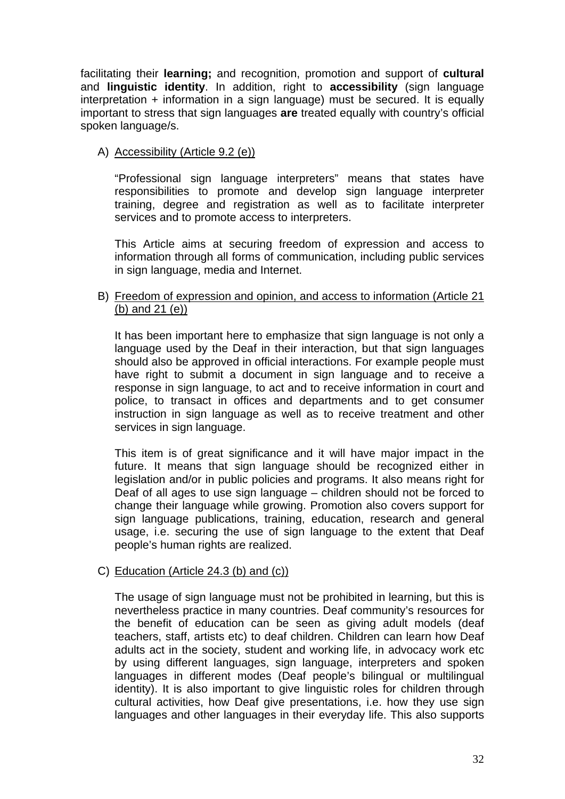facilitating their **learning;** and recognition, promotion and support of **cultural** and **linguistic identity**. In addition, right to **accessibility** (sign language interpretation + information in a sign language) must be secured. It is equally important to stress that sign languages **are** treated equally with country's official spoken language/s.

### A) Accessibility (Article 9.2 (e))

"Professional sign language interpreters" means that states have responsibilities to promote and develop sign language interpreter training, degree and registration as well as to facilitate interpreter services and to promote access to interpreters.

This Article aims at securing freedom of expression and access to information through all forms of communication, including public services in sign language, media and Internet.

#### B) Freedom of expression and opinion, and access to information (Article 21 (b) and 21 (e))

It has been important here to emphasize that sign language is not only a language used by the Deaf in their interaction, but that sign languages should also be approved in official interactions. For example people must have right to submit a document in sign language and to receive a response in sign language, to act and to receive information in court and police, to transact in offices and departments and to get consumer instruction in sign language as well as to receive treatment and other services in sign language.

This item is of great significance and it will have major impact in the future. It means that sign language should be recognized either in legislation and/or in public policies and programs. It also means right for Deaf of all ages to use sign language – children should not be forced to change their language while growing. Promotion also covers support for sign language publications, training, education, research and general usage, i.e. securing the use of sign language to the extent that Deaf people's human rights are realized.

### C) Education (Article 24.3 (b) and (c))

The usage of sign language must not be prohibited in learning, but this is nevertheless practice in many countries. Deaf community's resources for the benefit of education can be seen as giving adult models (deaf teachers, staff, artists etc) to deaf children. Children can learn how Deaf adults act in the society, student and working life, in advocacy work etc by using different languages, sign language, interpreters and spoken languages in different modes (Deaf people's bilingual or multilingual identity). It is also important to give linguistic roles for children through cultural activities, how Deaf give presentations, i.e. how they use sign languages and other languages in their everyday life. This also supports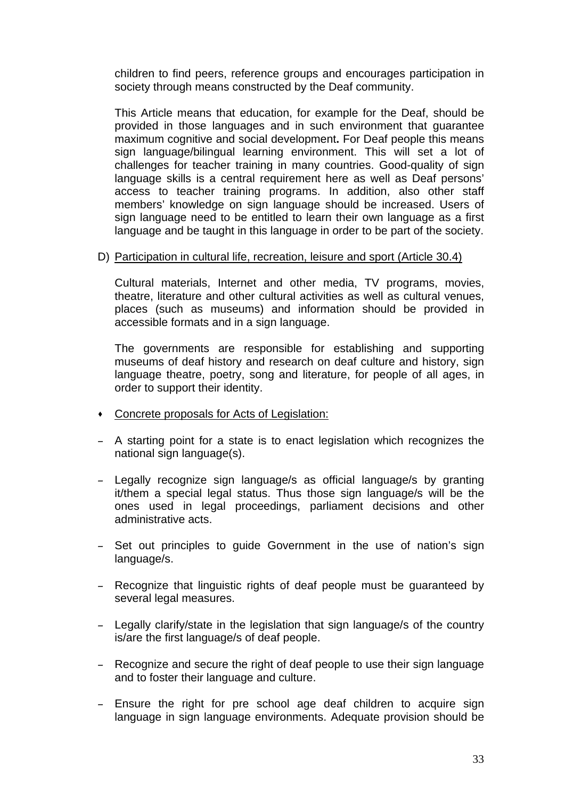children to find peers, reference groups and encourages participation in society through means constructed by the Deaf community.

This Article means that education, for example for the Deaf, should be provided in those languages and in such environment that guarantee maximum cognitive and social development**.** For Deaf people this means sign language/bilingual learning environment. This will set a lot of challenges for teacher training in many countries. Good-quality of sign language skills is a central requirement here as well as Deaf persons' access to teacher training programs. In addition, also other staff members' knowledge on sign language should be increased. Users of sign language need to be entitled to learn their own language as a first language and be taught in this language in order to be part of the society.

### D) Participation in cultural life, recreation, leisure and sport (Article 30.4)

Cultural materials, Internet and other media, TV programs, movies, theatre, literature and other cultural activities as well as cultural venues, places (such as museums) and information should be provided in accessible formats and in a sign language.

The governments are responsible for establishing and supporting museums of deaf history and research on deaf culture and history, sign language theatre, poetry, song and literature, for people of all ages, in order to support their identity.

- Concrete proposals for Acts of Legislation:
- A starting point for a state is to enact legislation which recognizes the national sign language(s).
- Legally recognize sign language/s as official language/s by granting it/them a special legal status. Thus those sign language/s will be the ones used in legal proceedings, parliament decisions and other administrative acts.
- Set out principles to guide Government in the use of nation's sign language/s.
- Recognize that linguistic rights of deaf people must be guaranteed by several legal measures.
- Legally clarify/state in the legislation that sign language/s of the country is/are the first language/s of deaf people.
- Recognize and secure the right of deaf people to use their sign language and to foster their language and culture.
- Ensure the right for pre school age deaf children to acquire sign language in sign language environments. Adequate provision should be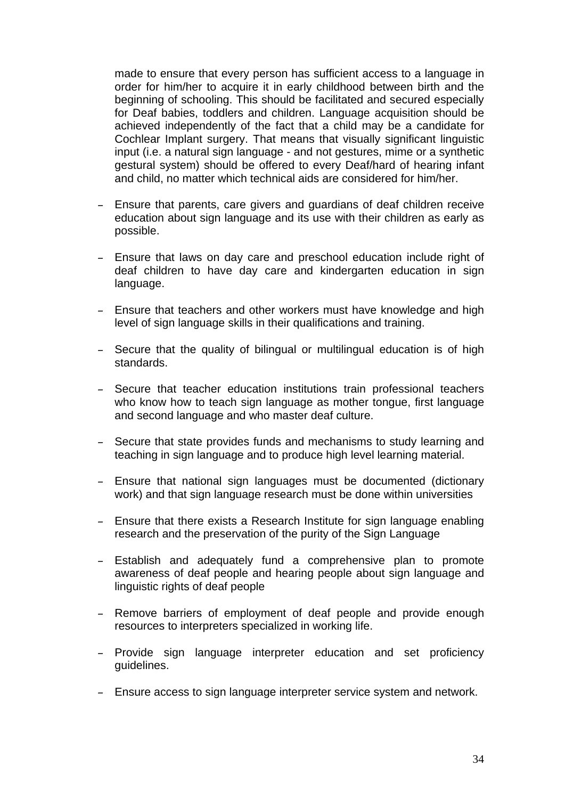made to ensure that every person has sufficient access to a language in order for him/her to acquire it in early childhood between birth and the beginning of schooling. This should be facilitated and secured especially for Deaf babies, toddlers and children. Language acquisition should be achieved independently of the fact that a child may be a candidate for Cochlear Implant surgery. That means that visually significant linguistic input (i.e. a natural sign language - and not gestures, mime or a synthetic gestural system) should be offered to every Deaf/hard of hearing infant and child, no matter which technical aids are considered for him/her.

- Ensure that parents, care givers and guardians of deaf children receive education about sign language and its use with their children as early as possible.
- Ensure that laws on day care and preschool education include right of deaf children to have day care and kindergarten education in sign language.
- Ensure that teachers and other workers must have knowledge and high level of sign language skills in their qualifications and training.
- Secure that the quality of bilingual or multilingual education is of high standards.
- Secure that teacher education institutions train professional teachers who know how to teach sign language as mother tongue, first language and second language and who master deaf culture.
- Secure that state provides funds and mechanisms to study learning and teaching in sign language and to produce high level learning material.
- Ensure that national sign languages must be documented (dictionary work) and that sign language research must be done within universities
- Ensure that there exists a Research Institute for sign language enabling research and the preservation of the purity of the Sign Language
- Establish and adequately fund a comprehensive plan to promote awareness of deaf people and hearing people about sign language and linguistic rights of deaf people
- Remove barriers of employment of deaf people and provide enough resources to interpreters specialized in working life.
- Provide sign language interpreter education and set proficiency guidelines.
- Ensure access to sign language interpreter service system and network.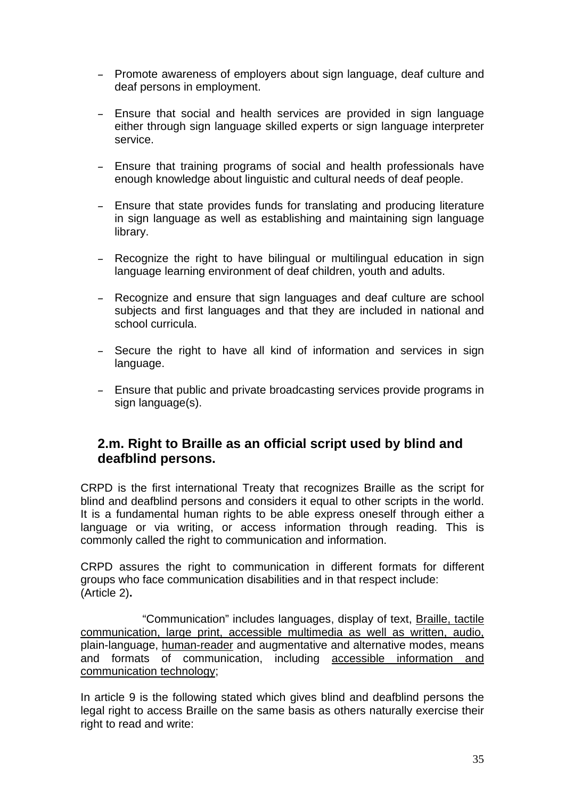- Promote awareness of employers about sign language, deaf culture and deaf persons in employment.
- Ensure that social and health services are provided in sign language either through sign language skilled experts or sign language interpreter service.
- Ensure that training programs of social and health professionals have enough knowledge about linguistic and cultural needs of deaf people.
- Ensure that state provides funds for translating and producing literature in sign language as well as establishing and maintaining sign language library.
- Recognize the right to have bilingual or multilingual education in sign language learning environment of deaf children, youth and adults.
- Recognize and ensure that sign languages and deaf culture are school subjects and first languages and that they are included in national and school curricula.
- Secure the right to have all kind of information and services in sign language.
- Ensure that public and private broadcasting services provide programs in sign language(s).

# **2.m. Right to Braille as an official script used by blind and deafblind persons.**

CRPD is the first international Treaty that recognizes Braille as the script for blind and deafblind persons and considers it equal to other scripts in the world. It is a fundamental human rights to be able express oneself through either a language or via writing, or access information through reading. This is commonly called the right to communication and information.

CRPD assures the right to communication in different formats for different groups who face communication disabilities and in that respect include: (Article 2)**.** 

 "Communication" includes languages, display of text, Braille, tactile communication, large print, accessible multimedia as well as written, audio, plain-language, human-reader and augmentative and alternative modes, means and formats of communication, including accessible information and communication technology;

In article 9 is the following stated which gives blind and deafblind persons the legal right to access Braille on the same basis as others naturally exercise their right to read and write: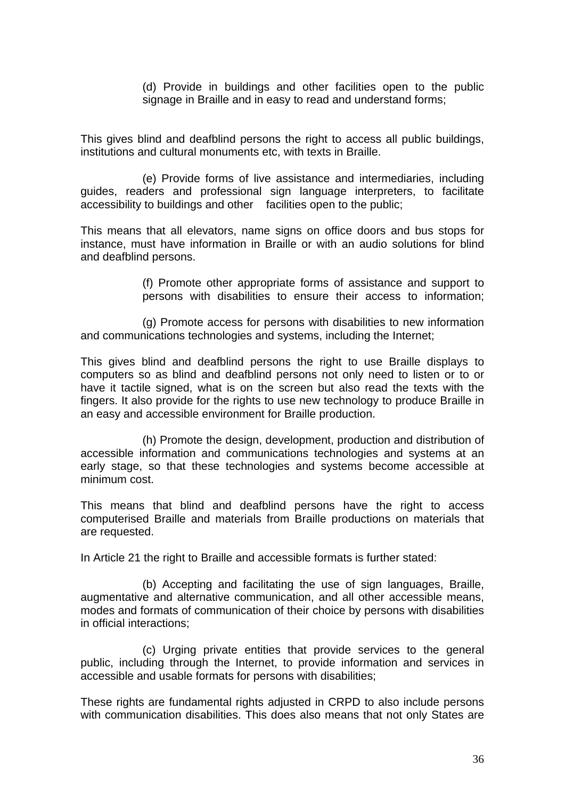(d) Provide in buildings and other facilities open to the public signage in Braille and in easy to read and understand forms;

This gives blind and deafblind persons the right to access all public buildings, institutions and cultural monuments etc, with texts in Braille.

 (e) Provide forms of live assistance and intermediaries, including guides, readers and professional sign language interpreters, to facilitate accessibility to buildings and other facilities open to the public;

This means that all elevators, name signs on office doors and bus stops for instance, must have information in Braille or with an audio solutions for blind and deafblind persons.

> (f) Promote other appropriate forms of assistance and support to persons with disabilities to ensure their access to information;

 (g) Promote access for persons with disabilities to new information and communications technologies and systems, including the Internet;

This gives blind and deafblind persons the right to use Braille displays to computers so as blind and deafblind persons not only need to listen or to or have it tactile signed, what is on the screen but also read the texts with the fingers. It also provide for the rights to use new technology to produce Braille in an easy and accessible environment for Braille production.

 (h) Promote the design, development, production and distribution of accessible information and communications technologies and systems at an early stage, so that these technologies and systems become accessible at minimum cost.

This means that blind and deafblind persons have the right to access computerised Braille and materials from Braille productions on materials that are requested.

In Article 21 the right to Braille and accessible formats is further stated:

 (b) Accepting and facilitating the use of sign languages, Braille, augmentative and alternative communication, and all other accessible means, modes and formats of communication of their choice by persons with disabilities in official interactions;

 (c) Urging private entities that provide services to the general public, including through the Internet, to provide information and services in accessible and usable formats for persons with disabilities;

These rights are fundamental rights adjusted in CRPD to also include persons with communication disabilities. This does also means that not only States are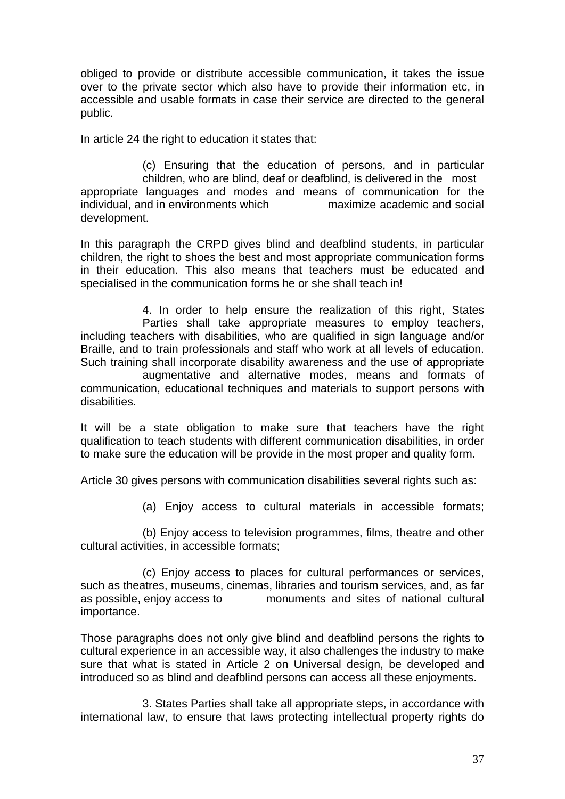obliged to provide or distribute accessible communication, it takes the issue over to the private sector which also have to provide their information etc, in accessible and usable formats in case their service are directed to the general public.

In article 24 the right to education it states that:

disabilities.

 (c) Ensuring that the education of persons, and in particular children, who are blind, deaf or deafblind, is delivered in the most appropriate languages and modes and means of communication for the individual, and in environments which maximize academic and social development.

In this paragraph the CRPD gives blind and deafblind students, in particular children, the right to shoes the best and most appropriate communication forms in their education. This also means that teachers must be educated and specialised in the communication forms he or she shall teach in!

 4. In order to help ensure the realization of this right, States Parties shall take appropriate measures to employ teachers, including teachers with disabilities, who are qualified in sign language and/or Braille, and to train professionals and staff who work at all levels of education. Such training shall incorporate disability awareness and the use of appropriate augmentative and alternative modes, means and formats of communication, educational techniques and materials to support persons with

It will be a state obligation to make sure that teachers have the right qualification to teach students with different communication disabilities, in order

Article 30 gives persons with communication disabilities several rights such as:

to make sure the education will be provide in the most proper and quality form.

(a) Enjoy access to cultural materials in accessible formats;

 (b) Enjoy access to television programmes, films, theatre and other cultural activities, in accessible formats;

 (c) Enjoy access to places for cultural performances or services, such as theatres, museums, cinemas, libraries and tourism services, and, as far as possible, enjoy access to monuments and sites of national cultural importance.

Those paragraphs does not only give blind and deafblind persons the rights to cultural experience in an accessible way, it also challenges the industry to make sure that what is stated in Article 2 on Universal design, be developed and introduced so as blind and deafblind persons can access all these enjoyments.

 3. States Parties shall take all appropriate steps, in accordance with international law, to ensure that laws protecting intellectual property rights do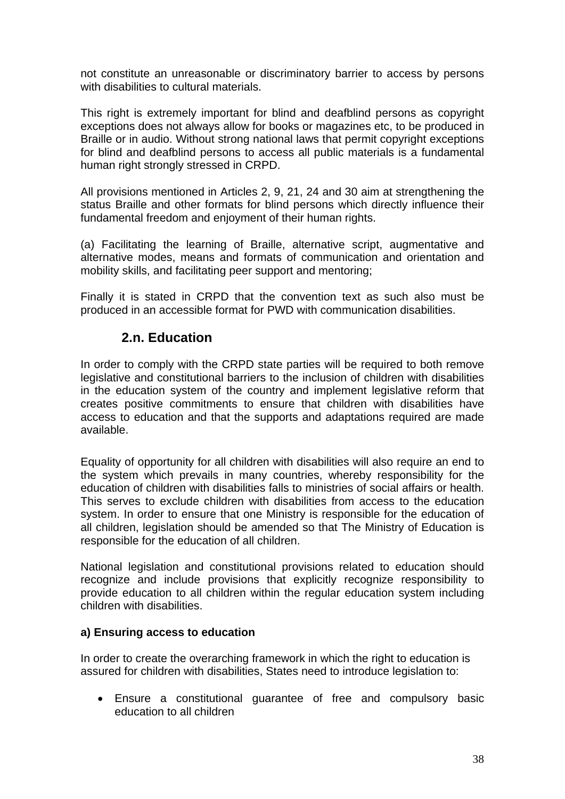not constitute an unreasonable or discriminatory barrier to access by persons with disabilities to cultural materials.

This right is extremely important for blind and deafblind persons as copyright exceptions does not always allow for books or magazines etc, to be produced in Braille or in audio. Without strong national laws that permit copyright exceptions for blind and deafblind persons to access all public materials is a fundamental human right strongly stressed in CRPD.

All provisions mentioned in Articles 2, 9, 21, 24 and 30 aim at strengthening the status Braille and other formats for blind persons which directly influence their fundamental freedom and enjoyment of their human rights.

(a) Facilitating the learning of Braille, alternative script, augmentative and alternative modes, means and formats of communication and orientation and mobility skills, and facilitating peer support and mentoring;

Finally it is stated in CRPD that the convention text as such also must be produced in an accessible format for PWD with communication disabilities.

# **2.n. Education**

In order to comply with the CRPD state parties will be required to both remove legislative and constitutional barriers to the inclusion of children with disabilities in the education system of the country and implement legislative reform that creates positive commitments to ensure that children with disabilities have access to education and that the supports and adaptations required are made available.

Equality of opportunity for all children with disabilities will also require an end to the system which prevails in many countries, whereby responsibility for the education of children with disabilities falls to ministries of social affairs or health. This serves to exclude children with disabilities from access to the education system. In order to ensure that one Ministry is responsible for the education of all children, legislation should be amended so that The Ministry of Education is responsible for the education of all children.

National legislation and constitutional provisions related to education should recognize and include provisions that explicitly recognize responsibility to provide education to all children within the regular education system including children with disabilities.

# **a) Ensuring access to education**

In order to create the overarching framework in which the right to education is assured for children with disabilities, States need to introduce legislation to:

• Ensure a constitutional guarantee of free and compulsory basic education to all children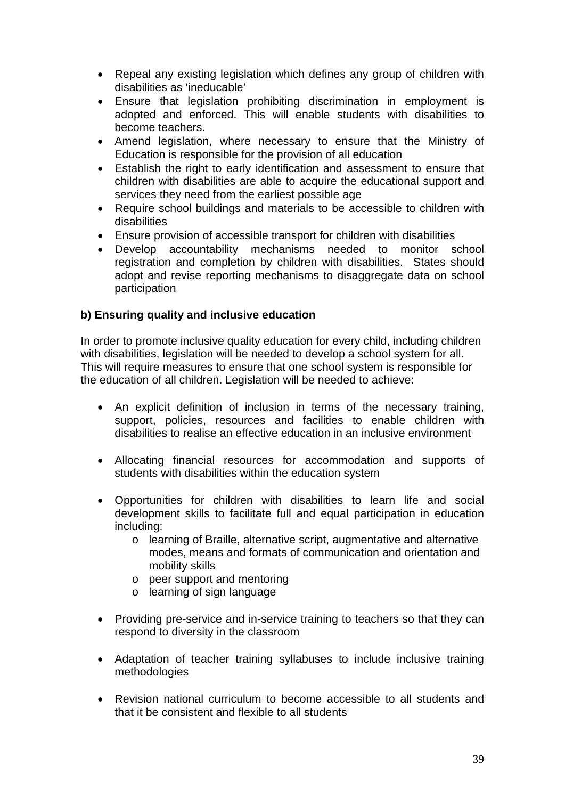- Repeal any existing legislation which defines any group of children with disabilities as 'ineducable'
- Ensure that legislation prohibiting discrimination in employment is adopted and enforced. This will enable students with disabilities to become teachers.
- Amend legislation, where necessary to ensure that the Ministry of Education is responsible for the provision of all education
- Establish the right to early identification and assessment to ensure that children with disabilities are able to acquire the educational support and services they need from the earliest possible age
- Require school buildings and materials to be accessible to children with disabilities
- Ensure provision of accessible transport for children with disabilities
- Develop accountability mechanisms needed to monitor school registration and completion by children with disabilities. States should adopt and revise reporting mechanisms to disaggregate data on school participation

# **b) Ensuring quality and inclusive education**

In order to promote inclusive quality education for every child, including children with disabilities, legislation will be needed to develop a school system for all. This will require measures to ensure that one school system is responsible for the education of all children. Legislation will be needed to achieve:

- An explicit definition of inclusion in terms of the necessary training, support, policies, resources and facilities to enable children with disabilities to realise an effective education in an inclusive environment
- Allocating financial resources for accommodation and supports of students with disabilities within the education system
- Opportunities for children with disabilities to learn life and social development skills to facilitate full and equal participation in education including:
	- o learning of Braille, alternative script, augmentative and alternative modes, means and formats of communication and orientation and mobility skills
	- o peer support and mentoring
	- o learning of sign language
- Providing pre-service and in-service training to teachers so that they can respond to diversity in the classroom
- Adaptation of teacher training syllabuses to include inclusive training methodologies
- Revision national curriculum to become accessible to all students and that it be consistent and flexible to all students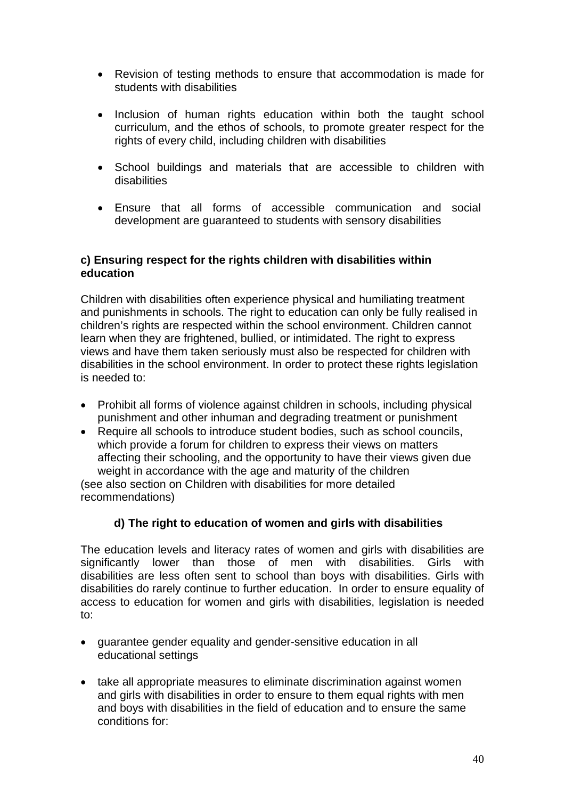- Revision of testing methods to ensure that accommodation is made for students with disabilities
- Inclusion of human rights education within both the taught school curriculum, and the ethos of schools, to promote greater respect for the rights of every child, including children with disabilities
- School buildings and materials that are accessible to children with disabilities
- Ensure that all forms of accessible communication and social development are guaranteed to students with sensory disabilities

### **c) Ensuring respect for the rights children with disabilities within education**

Children with disabilities often experience physical and humiliating treatment and punishments in schools. The right to education can only be fully realised in children's rights are respected within the school environment. Children cannot learn when they are frightened, bullied, or intimidated. The right to express views and have them taken seriously must also be respected for children with disabilities in the school environment. In order to protect these rights legislation is needed to:

- Prohibit all forms of violence against children in schools, including physical punishment and other inhuman and degrading treatment or punishment
- Require all schools to introduce student bodies, such as school councils, which provide a forum for children to express their views on matters affecting their schooling, and the opportunity to have their views given due weight in accordance with the age and maturity of the children (see also section on Children with disabilities for more detailed

recommendations)

# **d) The right to education of women and girls with disabilities**

The education levels and literacy rates of women and girls with disabilities are significantly lower than those of men with disabilities. Girls with disabilities are less often sent to school than boys with disabilities. Girls with disabilities do rarely continue to further education. In order to ensure equality of access to education for women and girls with disabilities, legislation is needed to:

- guarantee gender equality and gender-sensitive education in all educational settings
- take all appropriate measures to eliminate discrimination against women and girls with disabilities in order to ensure to them equal rights with men and boys with disabilities in the field of education and to ensure the same conditions for: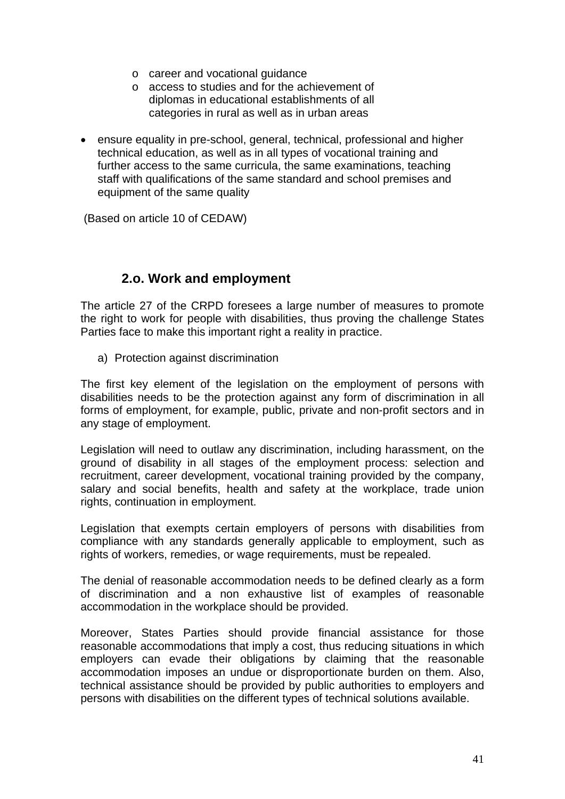- o career and vocational guidance
- o access to studies and for the achievement of diplomas in educational establishments of all categories in rural as well as in urban areas
- ensure equality in pre-school, general, technical, professional and higher technical education, as well as in all types of vocational training and further access to the same curricula, the same examinations, teaching staff with qualifications of the same standard and school premises and equipment of the same quality

(Based on article 10 of CEDAW)

# **2.o. Work and employment**

The article 27 of the CRPD foresees a large number of measures to promote the right to work for people with disabilities, thus proving the challenge States Parties face to make this important right a reality in practice.

a) Protection against discrimination

The first key element of the legislation on the employment of persons with disabilities needs to be the protection against any form of discrimination in all forms of employment, for example, public, private and non-profit sectors and in any stage of employment.

Legislation will need to outlaw any discrimination, including harassment, on the ground of disability in all stages of the employment process: selection and recruitment, career development, vocational training provided by the company, salary and social benefits, health and safety at the workplace, trade union rights, continuation in employment.

Legislation that exempts certain employers of persons with disabilities from compliance with any standards generally applicable to employment, such as rights of workers, remedies, or wage requirements, must be repealed.

The denial of reasonable accommodation needs to be defined clearly as a form of discrimination and a non exhaustive list of examples of reasonable accommodation in the workplace should be provided.

Moreover, States Parties should provide financial assistance for those reasonable accommodations that imply a cost, thus reducing situations in which employers can evade their obligations by claiming that the reasonable accommodation imposes an undue or disproportionate burden on them. Also, technical assistance should be provided by public authorities to employers and persons with disabilities on the different types of technical solutions available.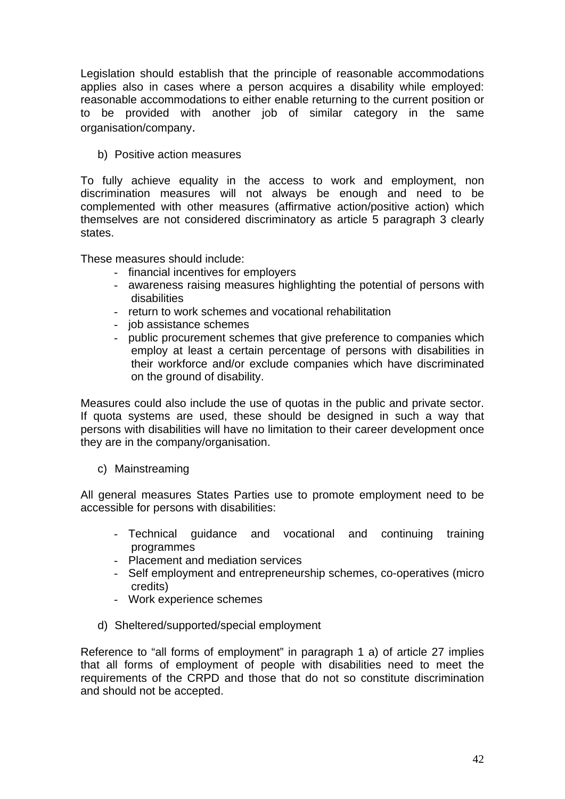Legislation should establish that the principle of reasonable accommodations applies also in cases where a person acquires a disability while employed: reasonable accommodations to either enable returning to the current position or to be provided with another job of similar category in the same organisation/company.

b) Positive action measures

To fully achieve equality in the access to work and employment, non discrimination measures will not always be enough and need to be complemented with other measures (affirmative action/positive action) which themselves are not considered discriminatory as article 5 paragraph 3 clearly states.

These measures should include:

- financial incentives for employers
- awareness raising measures highlighting the potential of persons with disabilities
- return to work schemes and vocational rehabilitation
- job assistance schemes
- public procurement schemes that give preference to companies which employ at least a certain percentage of persons with disabilities in their workforce and/or exclude companies which have discriminated on the ground of disability.

Measures could also include the use of quotas in the public and private sector. If quota systems are used, these should be designed in such a way that persons with disabilities will have no limitation to their career development once they are in the company/organisation.

c) Mainstreaming

All general measures States Parties use to promote employment need to be accessible for persons with disabilities:

- Technical guidance and vocational and continuing training programmes
- Placement and mediation services
- Self employment and entrepreneurship schemes, co-operatives (micro credits)
- Work experience schemes
- d) Sheltered/supported/special employment

Reference to "all forms of employment" in paragraph 1 a) of article 27 implies that all forms of employment of people with disabilities need to meet the requirements of the CRPD and those that do not so constitute discrimination and should not be accepted.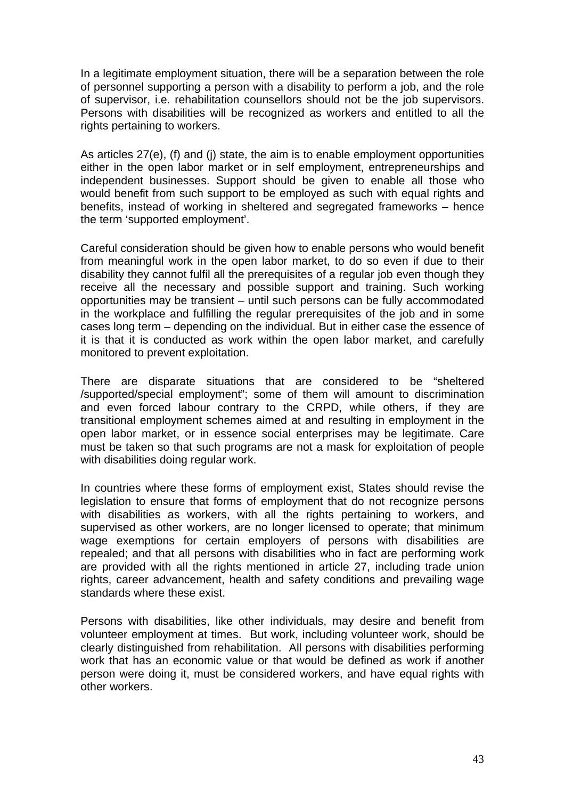In a legitimate employment situation, there will be a separation between the role of personnel supporting a person with a disability to perform a job, and the role of supervisor, i.e. rehabilitation counsellors should not be the job supervisors. Persons with disabilities will be recognized as workers and entitled to all the rights pertaining to workers.

As articles 27(e), (f) and (j) state, the aim is to enable employment opportunities either in the open labor market or in self employment, entrepreneurships and independent businesses. Support should be given to enable all those who would benefit from such support to be employed as such with equal rights and benefits, instead of working in sheltered and segregated frameworks – hence the term 'supported employment'.

Careful consideration should be given how to enable persons who would benefit from meaningful work in the open labor market, to do so even if due to their disability they cannot fulfil all the prerequisites of a regular job even though they receive all the necessary and possible support and training. Such working opportunities may be transient – until such persons can be fully accommodated in the workplace and fulfilling the regular prerequisites of the job and in some cases long term – depending on the individual. But in either case the essence of it is that it is conducted as work within the open labor market, and carefully monitored to prevent exploitation.

There are disparate situations that are considered to be "sheltered /supported/special employment"; some of them will amount to discrimination and even forced labour contrary to the CRPD, while others, if they are transitional employment schemes aimed at and resulting in employment in the open labor market, or in essence social enterprises may be legitimate. Care must be taken so that such programs are not a mask for exploitation of people with disabilities doing regular work.

In countries where these forms of employment exist, States should revise the legislation to ensure that forms of employment that do not recognize persons with disabilities as workers, with all the rights pertaining to workers, and supervised as other workers, are no longer licensed to operate; that minimum wage exemptions for certain employers of persons with disabilities are repealed; and that all persons with disabilities who in fact are performing work are provided with all the rights mentioned in article 27, including trade union rights, career advancement, health and safety conditions and prevailing wage standards where these exist.

Persons with disabilities, like other individuals, may desire and benefit from volunteer employment at times. But work, including volunteer work, should be clearly distinguished from rehabilitation. All persons with disabilities performing work that has an economic value or that would be defined as work if another person were doing it, must be considered workers, and have equal rights with other workers.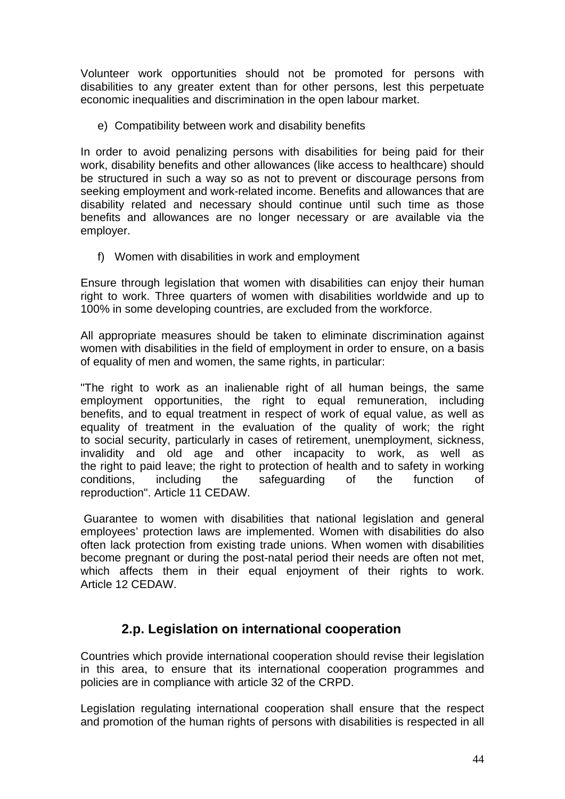Volunteer work opportunities should not be promoted for persons with disabilities to any greater extent than for other persons, lest this perpetuate economic inequalities and discrimination in the open labour market.

e) Compatibility between work and disability benefits

In order to avoid penalizing persons with disabilities for being paid for their work, disability benefits and other allowances (like access to healthcare) should be structured in such a way so as not to prevent or discourage persons from seeking employment and work-related income. Benefits and allowances that are disability related and necessary should continue until such time as those benefits and allowances are no longer necessary or are available via the employer.

f) Women with disabilities in work and employment

Ensure through legislation that women with disabilities can enjoy their human right to work. Three quarters of women with disabilities worldwide and up to 100% in some developing countries, are excluded from the workforce.

All appropriate measures should be taken to eliminate discrimination against women with disabilities in the field of employment in order to ensure, on a basis of equality of men and women, the same rights, in particular:

"The right to work as an inalienable right of all human beings, the same employment opportunities, the right to equal remuneration, including benefits, and to equal treatment in respect of work of equal value, as well as equality of treatment in the evaluation of the quality of work; the right to social security, particularly in cases of retirement, unemployment, sickness, invalidity and old age and other incapacity to work, as well as the right to paid leave; the right to protection of health and to safety in working conditions, including the safeguarding of the function of reproduction". Article 11 CEDAW.

 Guarantee to women with disabilities that national legislation and general employees' protection laws are implemented. Women with disabilities do also often lack protection from existing trade unions. When women with disabilities become pregnant or during the post-natal period their needs are often not met, which affects them in their equal enjoyment of their rights to work. Article 12 CEDAW.

# **2.p. Legislation on international cooperation**

Countries which provide international cooperation should revise their legislation in this area, to ensure that its international cooperation programmes and policies are in compliance with article 32 of the CRPD.

Legislation regulating international cooperation shall ensure that the respect and promotion of the human rights of persons with disabilities is respected in all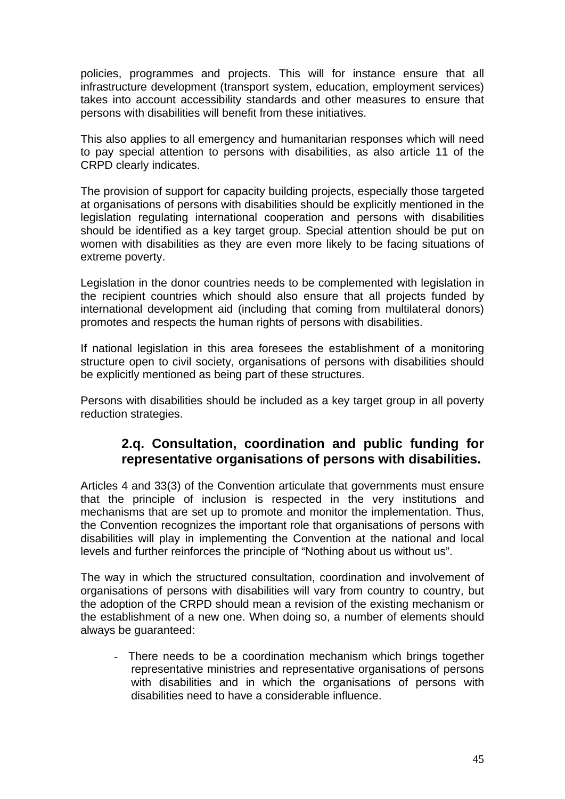policies, programmes and projects. This will for instance ensure that all infrastructure development (transport system, education, employment services) takes into account accessibility standards and other measures to ensure that persons with disabilities will benefit from these initiatives.

This also applies to all emergency and humanitarian responses which will need to pay special attention to persons with disabilities, as also article 11 of the CRPD clearly indicates.

The provision of support for capacity building projects, especially those targeted at organisations of persons with disabilities should be explicitly mentioned in the legislation regulating international cooperation and persons with disabilities should be identified as a key target group. Special attention should be put on women with disabilities as they are even more likely to be facing situations of extreme poverty.

Legislation in the donor countries needs to be complemented with legislation in the recipient countries which should also ensure that all projects funded by international development aid (including that coming from multilateral donors) promotes and respects the human rights of persons with disabilities.

If national legislation in this area foresees the establishment of a monitoring structure open to civil society, organisations of persons with disabilities should be explicitly mentioned as being part of these structures.

Persons with disabilities should be included as a key target group in all poverty reduction strategies.

# **2.q. Consultation, coordination and public funding for representative organisations of persons with disabilities.**

Articles 4 and 33(3) of the Convention articulate that governments must ensure that the principle of inclusion is respected in the very institutions and mechanisms that are set up to promote and monitor the implementation. Thus, the Convention recognizes the important role that organisations of persons with disabilities will play in implementing the Convention at the national and local levels and further reinforces the principle of "Nothing about us without us".

The way in which the structured consultation, coordination and involvement of organisations of persons with disabilities will vary from country to country, but the adoption of the CRPD should mean a revision of the existing mechanism or the establishment of a new one. When doing so, a number of elements should always be guaranteed:

- There needs to be a coordination mechanism which brings together representative ministries and representative organisations of persons with disabilities and in which the organisations of persons with disabilities need to have a considerable influence.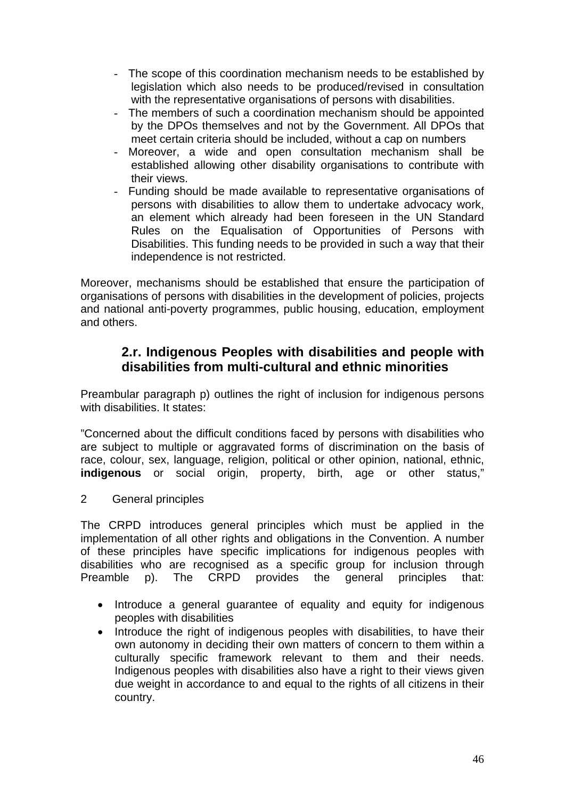- The scope of this coordination mechanism needs to be established by legislation which also needs to be produced/revised in consultation with the representative organisations of persons with disabilities.
- The members of such a coordination mechanism should be appointed by the DPOs themselves and not by the Government. All DPOs that meet certain criteria should be included, without a cap on numbers
- Moreover, a wide and open consultation mechanism shall be established allowing other disability organisations to contribute with their views.
- Funding should be made available to representative organisations of persons with disabilities to allow them to undertake advocacy work, an element which already had been foreseen in the UN Standard Rules on the Equalisation of Opportunities of Persons with Disabilities. This funding needs to be provided in such a way that their independence is not restricted.

Moreover, mechanisms should be established that ensure the participation of organisations of persons with disabilities in the development of policies, projects and national anti-poverty programmes, public housing, education, employment and others.

# **2.r. Indigenous Peoples with disabilities and people with disabilities from multi-cultural and ethnic minorities**

Preambular paragraph p) outlines the right of inclusion for indigenous persons with disabilities. It states:

"Concerned about the difficult conditions faced by persons with disabilities who are subject to multiple or aggravated forms of discrimination on the basis of race, colour, sex, language, religion, political or other opinion, national, ethnic, **indigenous** or social origin, property, birth, age or other status,"

2 General principles

The CRPD introduces general principles which must be applied in the implementation of all other rights and obligations in the Convention. A number of these principles have specific implications for indigenous peoples with disabilities who are recognised as a specific group for inclusion through Preamble p). The CRPD provides the general principles that:

- Introduce a general guarantee of equality and equity for indigenous peoples with disabilities
- Introduce the right of indigenous peoples with disabilities, to have their own autonomy in deciding their own matters of concern to them within a culturally specific framework relevant to them and their needs. Indigenous peoples with disabilities also have a right to their views given due weight in accordance to and equal to the rights of all citizens in their country.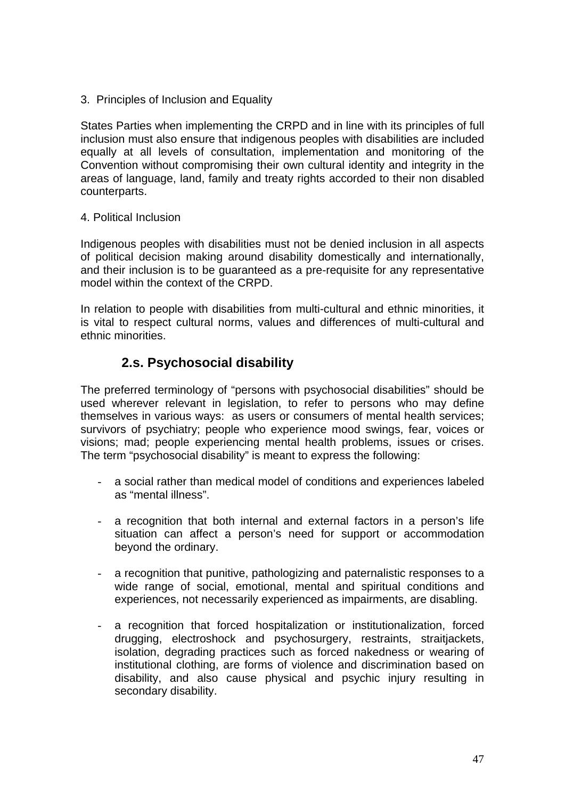3. Principles of Inclusion and Equality

States Parties when implementing the CRPD and in line with its principles of full inclusion must also ensure that indigenous peoples with disabilities are included equally at all levels of consultation, implementation and monitoring of the Convention without compromising their own cultural identity and integrity in the areas of language, land, family and treaty rights accorded to their non disabled counterparts.

4. Political Inclusion

Indigenous peoples with disabilities must not be denied inclusion in all aspects of political decision making around disability domestically and internationally, and their inclusion is to be guaranteed as a pre-requisite for any representative model within the context of the CRPD.

In relation to people with disabilities from multi-cultural and ethnic minorities, it is vital to respect cultural norms, values and differences of multi-cultural and ethnic minorities.

# **2.s. Psychosocial disability**

The preferred terminology of "persons with psychosocial disabilities" should be used wherever relevant in legislation, to refer to persons who may define themselves in various ways: as users or consumers of mental health services; survivors of psychiatry; people who experience mood swings, fear, voices or visions; mad; people experiencing mental health problems, issues or crises. The term "psychosocial disability" is meant to express the following:

- a social rather than medical model of conditions and experiences labeled as "mental illness".
- a recognition that both internal and external factors in a person's life situation can affect a person's need for support or accommodation beyond the ordinary.
- a recognition that punitive, pathologizing and paternalistic responses to a wide range of social, emotional, mental and spiritual conditions and experiences, not necessarily experienced as impairments, are disabling.
- a recognition that forced hospitalization or institutionalization, forced drugging, electroshock and psychosurgery, restraints, straitjackets, isolation, degrading practices such as forced nakedness or wearing of institutional clothing, are forms of violence and discrimination based on disability, and also cause physical and psychic injury resulting in secondary disability.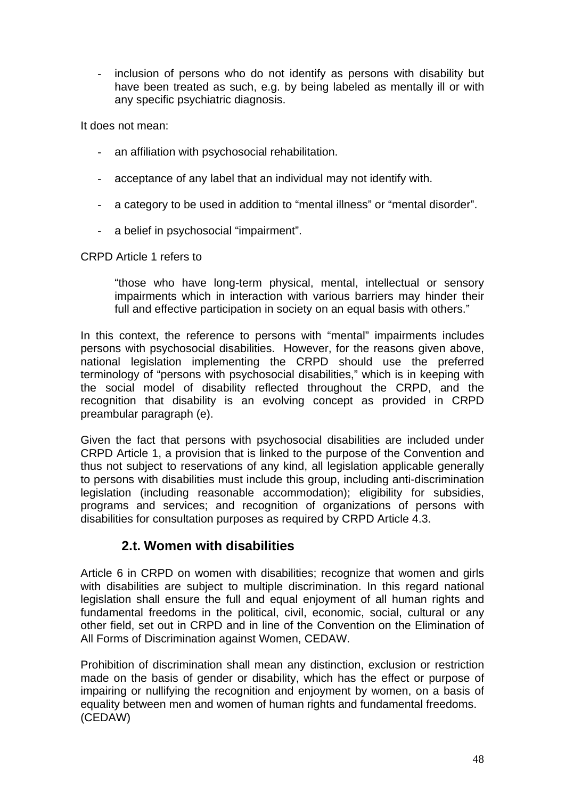inclusion of persons who do not identify as persons with disability but have been treated as such, e.g. by being labeled as mentally ill or with any specific psychiatric diagnosis.

It does not mean:

- an affiliation with psychosocial rehabilitation.
- acceptance of any label that an individual may not identify with.
- a category to be used in addition to "mental illness" or "mental disorder".
- a belief in psychosocial "impairment".

CRPD Article 1 refers to

"those who have long-term physical, mental, intellectual or sensory impairments which in interaction with various barriers may hinder their full and effective participation in society on an equal basis with others."

In this context, the reference to persons with "mental" impairments includes persons with psychosocial disabilities. However, for the reasons given above, national legislation implementing the CRPD should use the preferred terminology of "persons with psychosocial disabilities," which is in keeping with the social model of disability reflected throughout the CRPD, and the recognition that disability is an evolving concept as provided in CRPD preambular paragraph (e).

Given the fact that persons with psychosocial disabilities are included under CRPD Article 1, a provision that is linked to the purpose of the Convention and thus not subject to reservations of any kind, all legislation applicable generally to persons with disabilities must include this group, including anti-discrimination legislation (including reasonable accommodation); eligibility for subsidies, programs and services; and recognition of organizations of persons with disabilities for consultation purposes as required by CRPD Article 4.3.

# **2.t. Women with disabilities**

Article 6 in CRPD on women with disabilities; recognize that women and girls with disabilities are subject to multiple discrimination. In this regard national legislation shall ensure the full and equal enjoyment of all human rights and fundamental freedoms in the political, civil, economic, social, cultural or any other field, set out in CRPD and in line of the Convention on the Elimination of All Forms of Discrimination against Women, CEDAW.

Prohibition of discrimination shall mean any distinction, exclusion or restriction made on the basis of gender or disability, which has the effect or purpose of impairing or nullifying the recognition and enjoyment by women, on a basis of equality between men and women of human rights and fundamental freedoms. (CEDAW)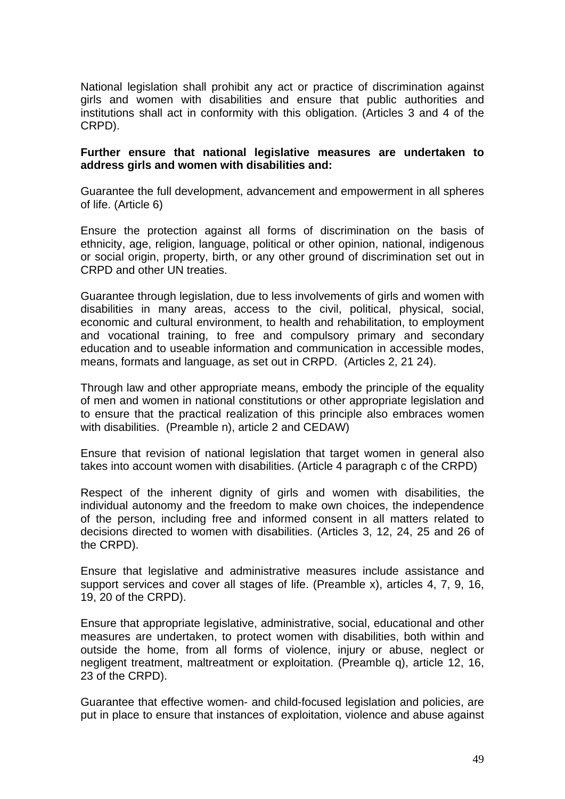National legislation shall prohibit any act or practice of discrimination against girls and women with disabilities and ensure that public authorities and institutions shall act in conformity with this obligation. (Articles 3 and 4 of the CRPD).

#### **Further ensure that national legislative measures are undertaken to address girls and women with disabilities and:**

Guarantee the full development, advancement and empowerment in all spheres of life. (Article 6)

Ensure the protection against all forms of discrimination on the basis of ethnicity, age, religion, language, political or other opinion, national, indigenous or social origin, property, birth, or any other ground of discrimination set out in CRPD and other UN treaties.

Guarantee through legislation, due to less involvements of girls and women with disabilities in many areas, access to the civil, political, physical, social, economic and cultural environment, to health and rehabilitation, to employment and vocational training, to free and compulsory primary and secondary education and to useable information and communication in accessible modes, means, formats and language, as set out in CRPD. (Articles 2, 21 24).

Through law and other appropriate means, embody the principle of the equality of men and women in national constitutions or other appropriate legislation and to ensure that the practical realization of this principle also embraces women with disabilities. (Preamble n), article 2 and CEDAW)

Ensure that revision of national legislation that target women in general also takes into account women with disabilities. (Article 4 paragraph c of the CRPD)

Respect of the inherent dignity of girls and women with disabilities, the individual autonomy and the freedom to make own choices, the independence of the person, including free and informed consent in all matters related to decisions directed to women with disabilities. (Articles 3, 12, 24, 25 and 26 of the CRPD).

Ensure that legislative and administrative measures include assistance and support services and cover all stages of life. (Preamble x), articles 4, 7, 9, 16, 19, 20 of the CRPD).

Ensure that appropriate legislative, administrative, social, educational and other measures are undertaken, to protect women with disabilities, both within and outside the home, from all forms of violence, injury or abuse, neglect or negligent treatment, maltreatment or exploitation. (Preamble q), article 12, 16, 23 of the CRPD).

Guarantee that effective women- and child-focused legislation and policies, are put in place to ensure that instances of exploitation, violence and abuse against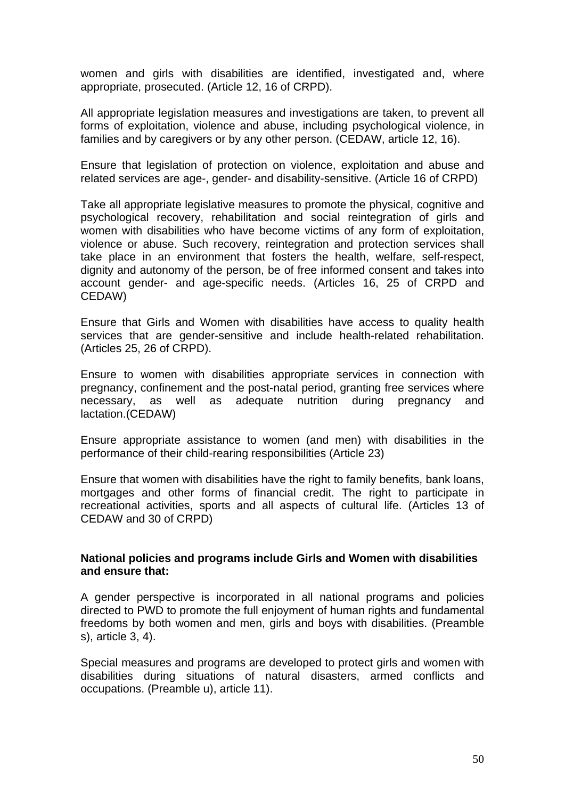women and girls with disabilities are identified, investigated and, where appropriate, prosecuted. (Article 12, 16 of CRPD).

All appropriate legislation measures and investigations are taken, to prevent all forms of exploitation, violence and abuse, including psychological violence, in families and by caregivers or by any other person. (CEDAW, article 12, 16).

Ensure that legislation of protection on violence, exploitation and abuse and related services are age-, gender- and disability-sensitive. (Article 16 of CRPD)

Take all appropriate legislative measures to promote the physical, cognitive and psychological recovery, rehabilitation and social reintegration of girls and women with disabilities who have become victims of any form of exploitation, violence or abuse. Such recovery, reintegration and protection services shall take place in an environment that fosters the health, welfare, self-respect, dignity and autonomy of the person, be of free informed consent and takes into account gender- and age-specific needs. (Articles 16, 25 of CRPD and CEDAW)

Ensure that Girls and Women with disabilities have access to quality health services that are gender-sensitive and include health-related rehabilitation. (Articles 25, 26 of CRPD).

Ensure to women with disabilities appropriate services in connection with pregnancy, confinement and the post-natal period, granting free services where necessary, as well as adequate nutrition during pregnancy and lactation.(CEDAW)

Ensure appropriate assistance to women (and men) with disabilities in the performance of their child-rearing responsibilities (Article 23)

Ensure that women with disabilities have the right to family benefits, bank loans, mortgages and other forms of financial credit. The right to participate in recreational activities, sports and all aspects of cultural life. (Articles 13 of CEDAW and 30 of CRPD)

#### **National policies and programs include Girls and Women with disabilities and ensure that:**

A gender perspective is incorporated in all national programs and policies directed to PWD to promote the full enjoyment of human rights and fundamental freedoms by both women and men, girls and boys with disabilities. (Preamble s), article 3, 4).

Special measures and programs are developed to protect girls and women with disabilities during situations of natural disasters, armed conflicts and occupations. (Preamble u), article 11).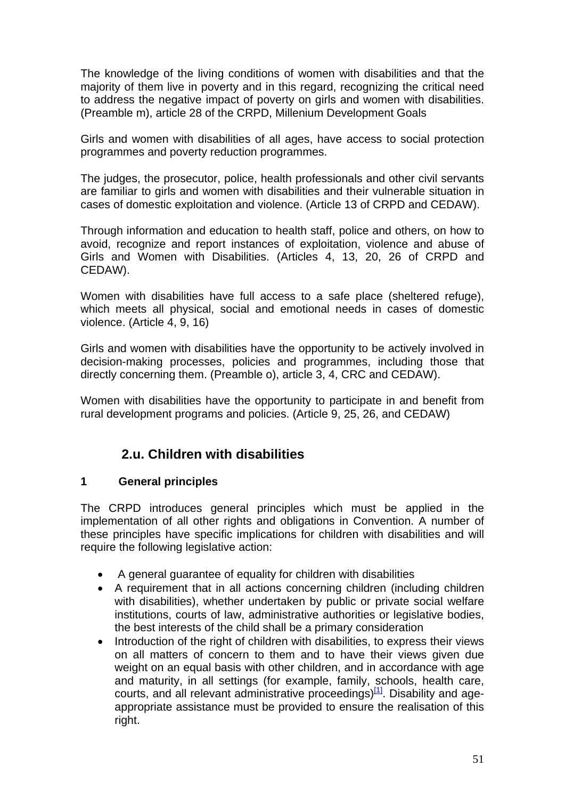The knowledge of the living conditions of women with disabilities and that the majority of them live in poverty and in this regard, recognizing the critical need to address the negative impact of poverty on girls and women with disabilities. (Preamble m), article 28 of the CRPD, Millenium Development Goals

Girls and women with disabilities of all ages, have access to social protection programmes and poverty reduction programmes.

The judges, the prosecutor, police, health professionals and other civil servants are familiar to girls and women with disabilities and their vulnerable situation in cases of domestic exploitation and violence. (Article 13 of CRPD and CEDAW).

Through information and education to health staff, police and others, on how to avoid, recognize and report instances of exploitation, violence and abuse of Girls and Women with Disabilities. (Articles 4, 13, 20, 26 of CRPD and CEDAW).

Women with disabilities have full access to a safe place (sheltered refuge), which meets all physical, social and emotional needs in cases of domestic violence. (Article 4, 9, 16)

Girls and women with disabilities have the opportunity to be actively involved in decision-making processes, policies and programmes, including those that directly concerning them. (Preamble o), article 3, 4, CRC and CEDAW).

Women with disabilities have the opportunity to participate in and benefit from rural development programs and policies. (Article 9, 25, 26, and CEDAW)

# **2.u. Children with disabilities**

# **1 General principles**

The CRPD introduces general principles which must be applied in the implementation of all other rights and obligations in Convention. A number of these principles have specific implications for children with disabilities and will require the following legislative action:

- A general guarantee of equality for children with disabilities
- A requirement that in all actions concerning children (including children with disabilities), whether undertaken by public or private social welfare institutions, courts of law, administrative authorities or legislative bodies, the best interests of the child shall be a primary consideration
- Introduction of the right of children with disabilities, to express their views on all matters of concern to them and to have their views given due weight on an equal basis with other children, and in accordance with age and maturity, in all settings (for example, family, schools, health care, courts, and all relevant administrative proceedings) $[1]$ . Disability and ageappropriate assistance must be provided to ensure the realisation of this right.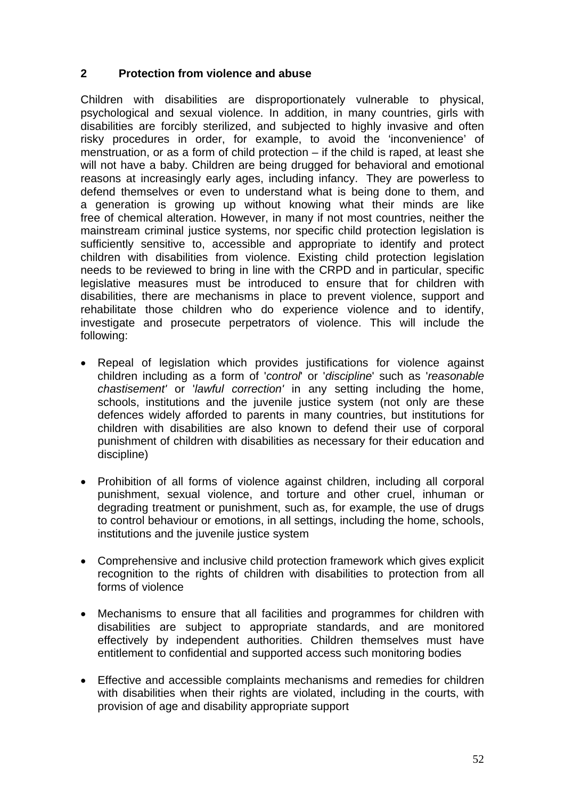# **2 Protection from violence and abuse**

Children with disabilities are disproportionately vulnerable to physical, psychological and sexual violence. In addition, in many countries, girls with disabilities are forcibly sterilized, and subjected to highly invasive and often risky procedures in order, for example, to avoid the 'inconvenience' of menstruation, or as a form of child protection – if the child is raped, at least she will not have a baby. Children are being drugged for behavioral and emotional reasons at increasingly early ages, including infancy. They are powerless to defend themselves or even to understand what is being done to them, and a generation is growing up without knowing what their minds are like free of chemical alteration. However, in many if not most countries, neither the mainstream criminal justice systems, nor specific child protection legislation is sufficiently sensitive to, accessible and appropriate to identify and protect children with disabilities from violence. Existing child protection legislation needs to be reviewed to bring in line with the CRPD and in particular, specific legislative measures must be introduced to ensure that for children with disabilities, there are mechanisms in place to prevent violence, support and rehabilitate those children who do experience violence and to identify, investigate and prosecute perpetrators of violence. This will include the following:

- Repeal of legislation which provides justifications for violence against children including as a form of '*control*' or '*discipline*' such as '*reasonable chastisement'* or '*lawful correction'* in any setting including the home, schools, institutions and the juvenile justice system (not only are these defences widely afforded to parents in many countries, but institutions for children with disabilities are also known to defend their use of corporal punishment of children with disabilities as necessary for their education and discipline)
- Prohibition of all forms of violence against children, including all corporal punishment, sexual violence, and torture and other cruel, inhuman or degrading treatment or punishment, such as, for example, the use of drugs to control behaviour or emotions, in all settings, including the home, schools, institutions and the juvenile justice system
- Comprehensive and inclusive child protection framework which gives explicit recognition to the rights of children with disabilities to protection from all forms of violence
- Mechanisms to ensure that all facilities and programmes for children with disabilities are subject to appropriate standards, and are monitored effectively by independent authorities. Children themselves must have entitlement to confidential and supported access such monitoring bodies
- Effective and accessible complaints mechanisms and remedies for children with disabilities when their rights are violated, including in the courts, with provision of age and disability appropriate support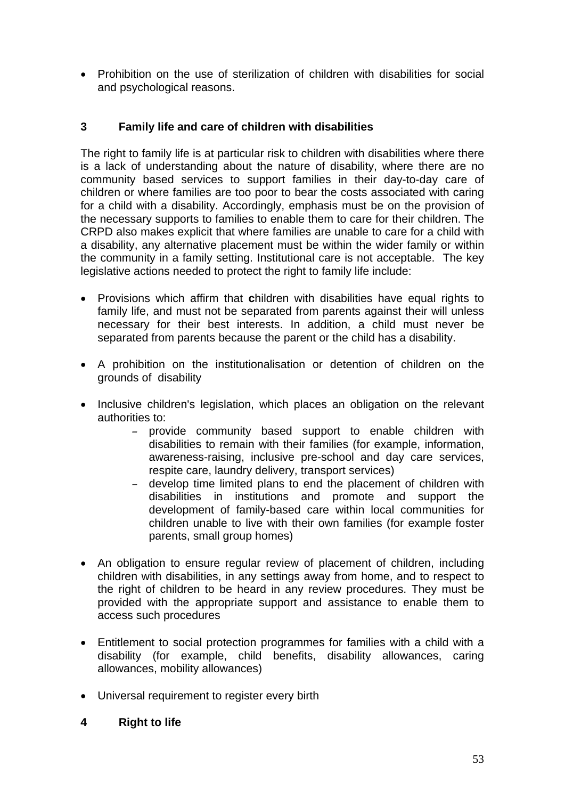• Prohibition on the use of sterilization of children with disabilities for social and psychological reasons.

# **3 Family life and care of children with disabilities**

The right to family life is at particular risk to children with disabilities where there is a lack of understanding about the nature of disability, where there are no community based services to support families in their day-to-day care of children or where families are too poor to bear the costs associated with caring for a child with a disability. Accordingly, emphasis must be on the provision of the necessary supports to families to enable them to care for their children. The CRPD also makes explicit that where families are unable to care for a child with a disability, any alternative placement must be within the wider family or within the community in a family setting. Institutional care is not acceptable. The key legislative actions needed to protect the right to family life include:

- Provisions which affirm that **c**hildren with disabilities have equal rights to family life, and must not be separated from parents against their will unless necessary for their best interests. In addition, a child must never be separated from parents because the parent or the child has a disability.
- A prohibition on the institutionalisation or detention of children on the grounds of disability
- Inclusive children's legislation, which places an obligation on the relevant authorities to:
	- provide community based support to enable children with disabilities to remain with their families (for example, information, awareness-raising, inclusive pre-school and day care services, respite care, laundry delivery, transport services)
	- develop time limited plans to end the placement of children with disabilities in institutions and promote and support the development of family-based care within local communities for children unable to live with their own families (for example foster parents, small group homes)
- An obligation to ensure regular review of placement of children, including children with disabilities, in any settings away from home, and to respect to the right of children to be heard in any review procedures. They must be provided with the appropriate support and assistance to enable them to access such procedures
- Entitlement to social protection programmes for families with a child with a disability (for example, child benefits, disability allowances, caring allowances, mobility allowances)
- Universal requirement to register every birth
- **4 Right to life**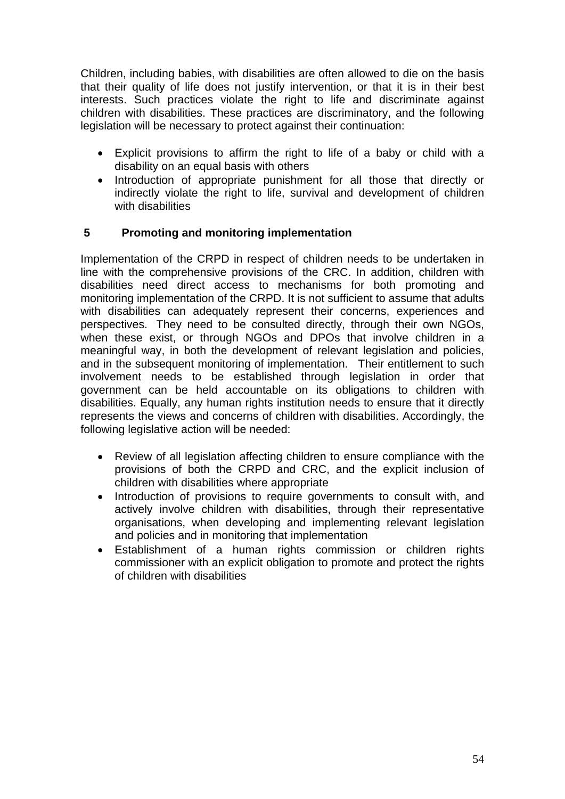Children, including babies, with disabilities are often allowed to die on the basis that their quality of life does not justify intervention, or that it is in their best interests. Such practices violate the right to life and discriminate against children with disabilities. These practices are discriminatory, and the following legislation will be necessary to protect against their continuation:

- Explicit provisions to affirm the right to life of a baby or child with a disability on an equal basis with others
- Introduction of appropriate punishment for all those that directly or indirectly violate the right to life, survival and development of children with disabilities

# **5 Promoting and monitoring implementation**

Implementation of the CRPD in respect of children needs to be undertaken in line with the comprehensive provisions of the CRC. In addition, children with disabilities need direct access to mechanisms for both promoting and monitoring implementation of the CRPD. It is not sufficient to assume that adults with disabilities can adequately represent their concerns, experiences and perspectives. They need to be consulted directly, through their own NGOs, when these exist, or through NGOs and DPOs that involve children in a meaningful way, in both the development of relevant legislation and policies, and in the subsequent monitoring of implementation. Their entitlement to such involvement needs to be established through legislation in order that government can be held accountable on its obligations to children with disabilities. Equally, any human rights institution needs to ensure that it directly represents the views and concerns of children with disabilities. Accordingly, the following legislative action will be needed:

- Review of all legislation affecting children to ensure compliance with the provisions of both the CRPD and CRC, and the explicit inclusion of children with disabilities where appropriate
- Introduction of provisions to require governments to consult with, and actively involve children with disabilities, through their representative organisations, when developing and implementing relevant legislation and policies and in monitoring that implementation
- Establishment of a human rights commission or children rights commissioner with an explicit obligation to promote and protect the rights of children with disabilities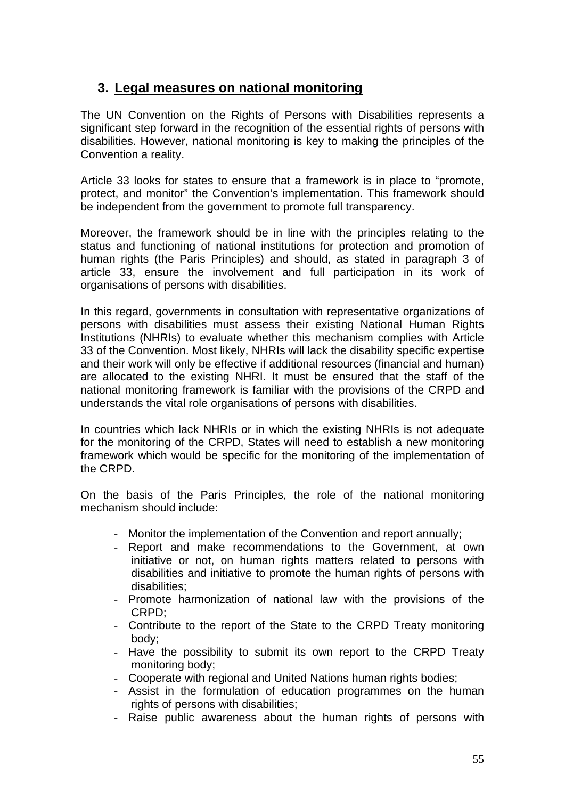# **3. Legal measures on national monitoring**

The UN Convention on the Rights of Persons with Disabilities represents a significant step forward in the recognition of the essential rights of persons with disabilities. However, national monitoring is key to making the principles of the Convention a reality.

Article 33 looks for states to ensure that a framework is in place to "promote, protect, and monitor" the Convention's implementation. This framework should be independent from the government to promote full transparency.

Moreover, the framework should be in line with the principles relating to the status and functioning of national institutions for protection and promotion of human rights (the Paris Principles) and should, as stated in paragraph 3 of article 33, ensure the involvement and full participation in its work of organisations of persons with disabilities.

In this regard, governments in consultation with representative organizations of persons with disabilities must assess their existing National Human Rights Institutions (NHRIs) to evaluate whether this mechanism complies with Article 33 of the Convention. Most likely, NHRIs will lack the disability specific expertise and their work will only be effective if additional resources (financial and human) are allocated to the existing NHRI. It must be ensured that the staff of the national monitoring framework is familiar with the provisions of the CRPD and understands the vital role organisations of persons with disabilities.

In countries which lack NHRIs or in which the existing NHRIs is not adequate for the monitoring of the CRPD, States will need to establish a new monitoring framework which would be specific for the monitoring of the implementation of the CRPD.

On the basis of the Paris Principles, the role of the national monitoring mechanism should include:

- Monitor the implementation of the Convention and report annually;
- Report and make recommendations to the Government, at own initiative or not, on human rights matters related to persons with disabilities and initiative to promote the human rights of persons with disabilities;
- Promote harmonization of national law with the provisions of the CRPD;
- Contribute to the report of the State to the CRPD Treaty monitoring body;
- Have the possibility to submit its own report to the CRPD Treaty monitoring body;
- Cooperate with regional and United Nations human rights bodies;
- Assist in the formulation of education programmes on the human rights of persons with disabilities;
- Raise public awareness about the human rights of persons with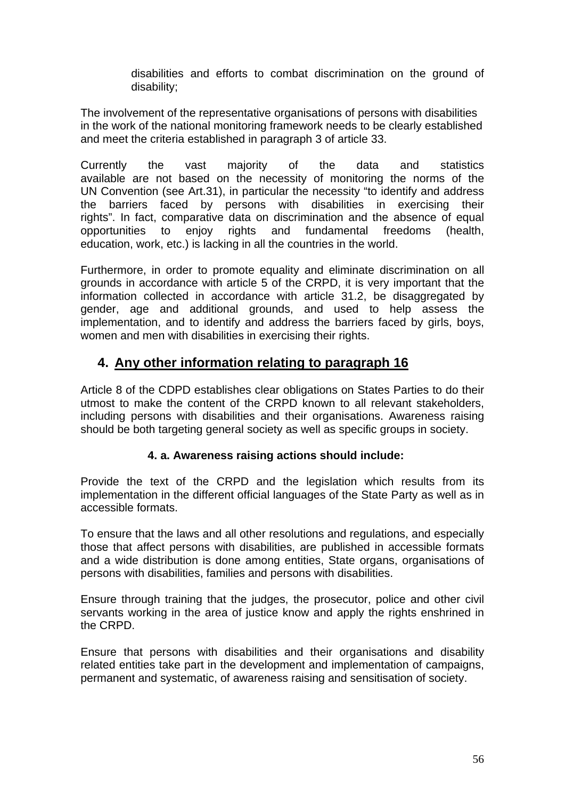disabilities and efforts to combat discrimination on the ground of disability;

The involvement of the representative organisations of persons with disabilities in the work of the national monitoring framework needs to be clearly established and meet the criteria established in paragraph 3 of article 33.

Currently the vast majority of the data and statistics available are not based on the necessity of monitoring the norms of the UN Convention (see Art.31), in particular the necessity "to identify and address the barriers faced by persons with disabilities in exercising their rights". In fact, comparative data on discrimination and the absence of equal opportunities to enjoy rights and fundamental freedoms (health, education, work, etc.) is lacking in all the countries in the world.

Furthermore, in order to promote equality and eliminate discrimination on all grounds in accordance with article 5 of the CRPD, it is very important that the information collected in accordance with article 31.2, be disaggregated by gender, age and additional grounds, and used to help assess the implementation, and to identify and address the barriers faced by girls, boys, women and men with disabilities in exercising their rights.

# **4. Any other information relating to paragraph 16**

Article 8 of the CDPD establishes clear obligations on States Parties to do their utmost to make the content of the CRPD known to all relevant stakeholders, including persons with disabilities and their organisations. Awareness raising should be both targeting general society as well as specific groups in society.

# **4. a. Awareness raising actions should include:**

Provide the text of the CRPD and the legislation which results from its implementation in the different official languages of the State Party as well as in accessible formats.

To ensure that the laws and all other resolutions and regulations, and especially those that affect persons with disabilities, are published in accessible formats and a wide distribution is done among entities, State organs, organisations of persons with disabilities, families and persons with disabilities.

Ensure through training that the judges, the prosecutor, police and other civil servants working in the area of justice know and apply the rights enshrined in the CRPD.

Ensure that persons with disabilities and their organisations and disability related entities take part in the development and implementation of campaigns, permanent and systematic, of awareness raising and sensitisation of society.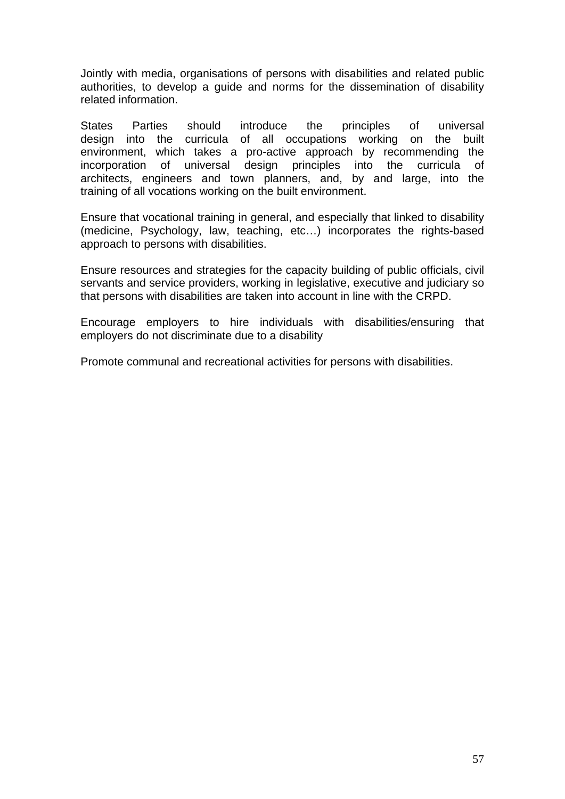Jointly with media, organisations of persons with disabilities and related public authorities, to develop a guide and norms for the dissemination of disability related information.

States Parties should introduce the principles of universal design into the curricula of all occupations working on the built environment, which takes a pro-active approach by recommending the incorporation of universal design principles into the curricula of architects, engineers and town planners, and, by and large, into the training of all vocations working on the built environment.

Ensure that vocational training in general, and especially that linked to disability (medicine, Psychology, law, teaching, etc…) incorporates the rights-based approach to persons with disabilities.

Ensure resources and strategies for the capacity building of public officials, civil servants and service providers, working in legislative, executive and judiciary so that persons with disabilities are taken into account in line with the CRPD.

Encourage employers to hire individuals with disabilities/ensuring that employers do not discriminate due to a disability

Promote communal and recreational activities for persons with disabilities.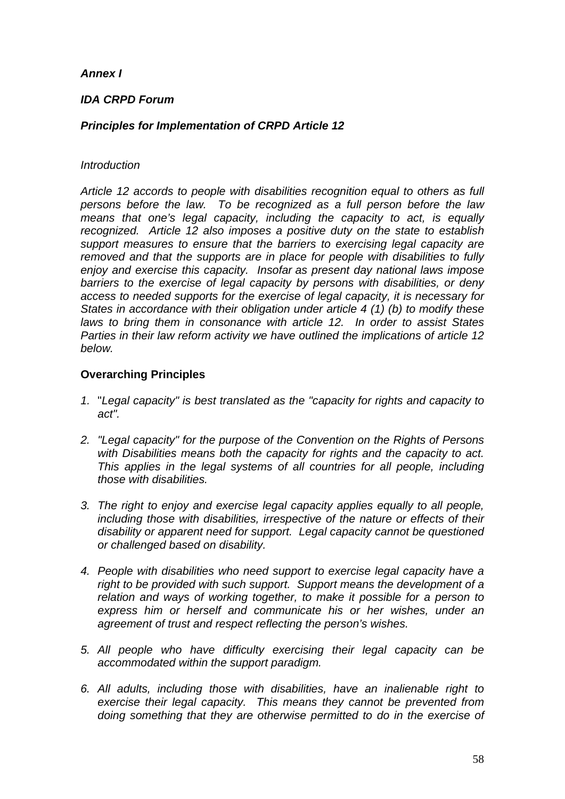### *Annex I*

### *IDA CRPD Forum*

### *Principles for Implementation of CRPD Article 12*

#### *Introduction*

*Article 12 accords to people with disabilities recognition equal to others as full persons before the law. To be recognized as a full person before the law means that one's legal capacity, including the capacity to act, is equally recognized. Article 12 also imposes a positive duty on the state to establish support measures to ensure that the barriers to exercising legal capacity are removed and that the supports are in place for people with disabilities to fully enjoy and exercise this capacity. Insofar as present day national laws impose barriers to the exercise of legal capacity by persons with disabilities, or deny access to needed supports for the exercise of legal capacity, it is necessary for States in accordance with their obligation under article 4 (1) (b) to modify these laws to bring them in consonance with article 12. In order to assist States Parties in their law reform activity we have outlined the implications of article 12 below.* 

### **Overarching Principles**

- *1.* "*Legal capacity" is best translated as the "capacity for rights and capacity to act".*
- *2. "Legal capacity" for the purpose of the Convention on the Rights of Persons with Disabilities means both the capacity for rights and the capacity to act. This applies in the legal systems of all countries for all people, including those with disabilities.*
- *3. The right to enjoy and exercise legal capacity applies equally to all people, including those with disabilities, irrespective of the nature or effects of their disability or apparent need for support. Legal capacity cannot be questioned or challenged based on disability.*
- *4. People with disabilities who need support to exercise legal capacity have a right to be provided with such support. Support means the development of a relation and ways of working together, to make it possible for a person to express him or herself and communicate his or her wishes, under an agreement of trust and respect reflecting the person's wishes.*
- *5. All people who have difficulty exercising their legal capacity can be accommodated within the support paradigm.*
- *6. All adults, including those with disabilities, have an inalienable right to exercise their legal capacity. This means they cannot be prevented from doing something that they are otherwise permitted to do in the exercise of*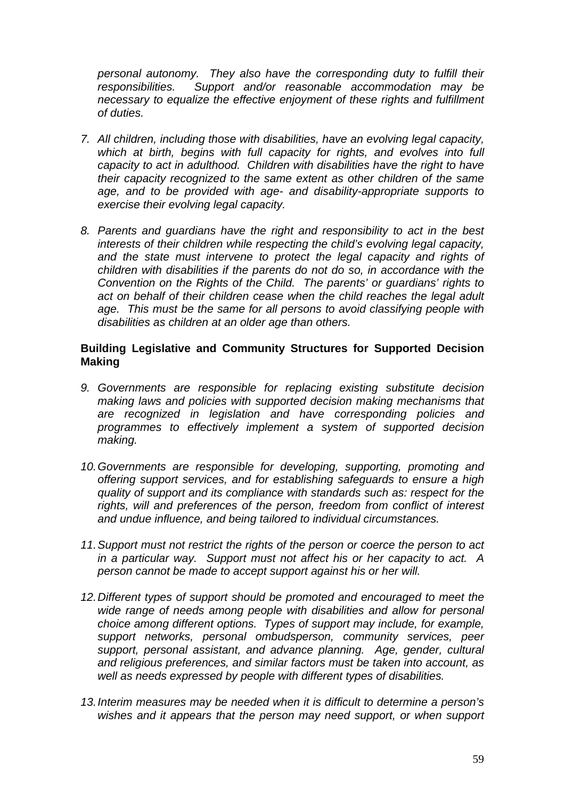*personal autonomy. They also have the corresponding duty to fulfill their responsibilities. Support and/or reasonable accommodation may be necessary to equalize the effective enjoyment of these rights and fulfillment of duties.* 

- *7. All children, including those with disabilities, have an evolving legal capacity,*  which at birth, begins with full capacity for rights, and evolves into full *capacity to act in adulthood. Children with disabilities have the right to have their capacity recognized to the same extent as other children of the same age, and to be provided with age- and disability-appropriate supports to exercise their evolving legal capacity.*
- *8. Parents and guardians have the right and responsibility to act in the best interests of their children while respecting the child's evolving legal capacity,*  and the state must intervene to protect the legal capacity and rights of *children with disabilities if the parents do not do so, in accordance with the Convention on the Rights of the Child. The parents' or guardians' rights to act on behalf of their children cease when the child reaches the legal adult age. This must be the same for all persons to avoid classifying people with disabilities as children at an older age than others.*

### **Building Legislative and Community Structures for Supported Decision Making**

- *9. Governments are responsible for replacing existing substitute decision making laws and policies with supported decision making mechanisms that are recognized in legislation and have corresponding policies and programmes to effectively implement a system of supported decision making.*
- *10. Governments are responsible for developing, supporting, promoting and offering support services, and for establishing safeguards to ensure a high quality of support and its compliance with standards such as: respect for the rights, will and preferences of the person, freedom from conflict of interest and undue influence, and being tailored to individual circumstances.*
- *11. Support must not restrict the rights of the person or coerce the person to act in a particular way. Support must not affect his or her capacity to act. A person cannot be made to accept support against his or her will.*
- *12. Different types of support should be promoted and encouraged to meet the wide range of needs among people with disabilities and allow for personal choice among different options. Types of support may include, for example, support networks, personal ombudsperson, community services, peer support, personal assistant, and advance planning. Age, gender, cultural and religious preferences, and similar factors must be taken into account, as well as needs expressed by people with different types of disabilities.*
- *13. Interim measures may be needed when it is difficult to determine a person's wishes and it appears that the person may need support, or when support*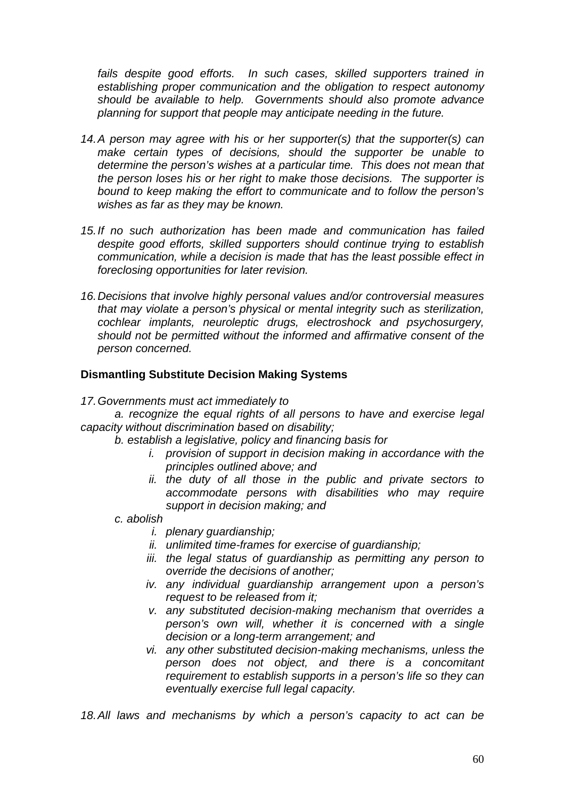*fails despite good efforts. In such cases, skilled supporters trained in establishing proper communication and the obligation to respect autonomy should be available to help. Governments should also promote advance planning for support that people may anticipate needing in the future.* 

- *14. A person may agree with his or her supporter(s) that the supporter(s) can make certain types of decisions, should the supporter be unable to determine the person's wishes at a particular time. This does not mean that the person loses his or her right to make those decisions. The supporter is bound to keep making the effort to communicate and to follow the person's wishes as far as they may be known.*
- *15. If no such authorization has been made and communication has failed despite good efforts, skilled supporters should continue trying to establish communication, while a decision is made that has the least possible effect in foreclosing opportunities for later revision.*
- *16. Decisions that involve highly personal values and/or controversial measures that may violate a person's physical or mental integrity such as sterilization, cochlear implants, neuroleptic drugs, electroshock and psychosurgery, should not be permitted without the informed and affirmative consent of the person concerned.*

### **Dismantling Substitute Decision Making Systems**

#### *17. Governments must act immediately to*

 *a. recognize the equal rights of all persons to have and exercise legal capacity without discrimination based on disability;* 

- *b. establish a legislative, policy and financing basis for* 
	- *i. provision of support in decision making in accordance with the principles outlined above; and*
	- *ii. the duty of all those in the public and private sectors to accommodate persons with disabilities who may require support in decision making; and*

### *c. abolish*

- *i. plenary guardianship;*
- *ii. unlimited time-frames for exercise of guardianship;*
- *iii. the legal status of guardianship as permitting any person to override the decisions of another;*
- *iv. any individual guardianship arrangement upon a person's request to be released from it;*
- *v. any substituted decision-making mechanism that overrides a person's own will, whether it is concerned with a single decision or a long-term arrangement; and*
- *vi. any other substituted decision-making mechanisms, unless the person does not object, and there is a concomitant requirement to establish supports in a person's life so they can eventually exercise full legal capacity.*

*18. All laws and mechanisms by which a person's capacity to act can be*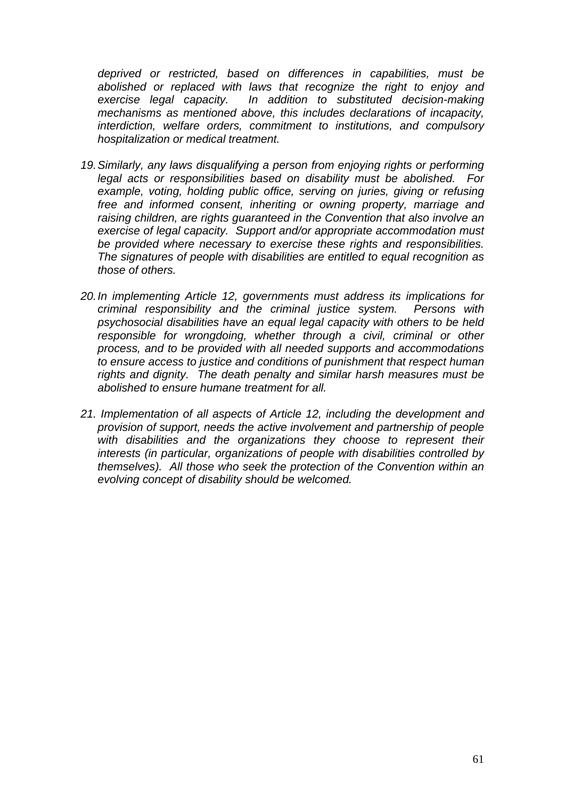*deprived or restricted, based on differences in capabilities, must be abolished or replaced with laws that recognize the right to enjoy and exercise legal capacity. In addition to substituted decision-making mechanisms as mentioned above, this includes declarations of incapacity, interdiction, welfare orders, commitment to institutions, and compulsory hospitalization or medical treatment.* 

- *19. Similarly, any laws disqualifying a person from enjoying rights or performing legal acts or responsibilities based on disability must be abolished. For*  example, voting, holding public office, serving on juries, giving or refusing *free and informed consent, inheriting or owning property, marriage and raising children, are rights guaranteed in the Convention that also involve an exercise of legal capacity. Support and/or appropriate accommodation must be provided where necessary to exercise these rights and responsibilities. The signatures of people with disabilities are entitled to equal recognition as those of others.*
- *20. In implementing Article 12, governments must address its implications for criminal responsibility and the criminal justice system. Persons with psychosocial disabilities have an equal legal capacity with others to be held*  responsible for wrongdoing, whether through a civil, criminal or other *process, and to be provided with all needed supports and accommodations to ensure access to justice and conditions of punishment that respect human rights and dignity. The death penalty and similar harsh measures must be abolished to ensure humane treatment for all.*
- *21. Implementation of all aspects of Article 12, including the development and provision of support, needs the active involvement and partnership of people*  with disabilities and the organizations they choose to represent their *interests (in particular, organizations of people with disabilities controlled by themselves). All those who seek the protection of the Convention within an evolving concept of disability should be welcomed.*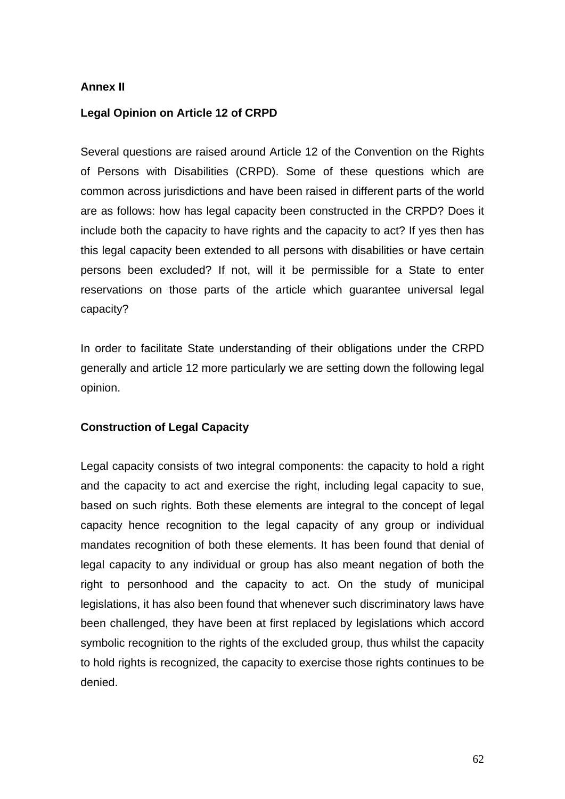### **Annex II**

### **Legal Opinion on Article 12 of CRPD**

Several questions are raised around Article 12 of the Convention on the Rights of Persons with Disabilities (CRPD). Some of these questions which are common across jurisdictions and have been raised in different parts of the world are as follows: how has legal capacity been constructed in the CRPD? Does it include both the capacity to have rights and the capacity to act? If yes then has this legal capacity been extended to all persons with disabilities or have certain persons been excluded? If not, will it be permissible for a State to enter reservations on those parts of the article which guarantee universal legal capacity?

In order to facilitate State understanding of their obligations under the CRPD generally and article 12 more particularly we are setting down the following legal opinion.

# **Construction of Legal Capacity**

Legal capacity consists of two integral components: the capacity to hold a right and the capacity to act and exercise the right, including legal capacity to sue, based on such rights. Both these elements are integral to the concept of legal capacity hence recognition to the legal capacity of any group or individual mandates recognition of both these elements. It has been found that denial of legal capacity to any individual or group has also meant negation of both the right to personhood and the capacity to act. On the study of municipal legislations, it has also been found that whenever such discriminatory laws have been challenged, they have been at first replaced by legislations which accord symbolic recognition to the rights of the excluded group, thus whilst the capacity to hold rights is recognized, the capacity to exercise those rights continues to be denied.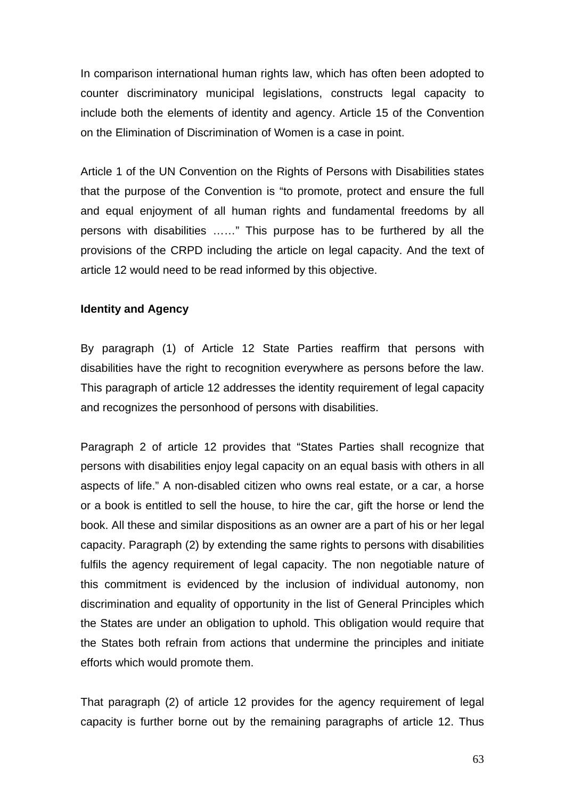In comparison international human rights law, which has often been adopted to counter discriminatory municipal legislations, constructs legal capacity to include both the elements of identity and agency. Article 15 of the Convention on the Elimination of Discrimination of Women is a case in point.

Article 1 of the UN Convention on the Rights of Persons with Disabilities states that the purpose of the Convention is "to promote, protect and ensure the full and equal enjoyment of all human rights and fundamental freedoms by all persons with disabilities ……" This purpose has to be furthered by all the provisions of the CRPD including the article on legal capacity. And the text of article 12 would need to be read informed by this objective.

### **Identity and Agency**

By paragraph (1) of Article 12 State Parties reaffirm that persons with disabilities have the right to recognition everywhere as persons before the law. This paragraph of article 12 addresses the identity requirement of legal capacity and recognizes the personhood of persons with disabilities.

Paragraph 2 of article 12 provides that "States Parties shall recognize that persons with disabilities enjoy legal capacity on an equal basis with others in all aspects of life." A non-disabled citizen who owns real estate, or a car, a horse or a book is entitled to sell the house, to hire the car, gift the horse or lend the book. All these and similar dispositions as an owner are a part of his or her legal capacity. Paragraph (2) by extending the same rights to persons with disabilities fulfils the agency requirement of legal capacity. The non negotiable nature of this commitment is evidenced by the inclusion of individual autonomy, non discrimination and equality of opportunity in the list of General Principles which the States are under an obligation to uphold. This obligation would require that the States both refrain from actions that undermine the principles and initiate efforts which would promote them.

That paragraph (2) of article 12 provides for the agency requirement of legal capacity is further borne out by the remaining paragraphs of article 12. Thus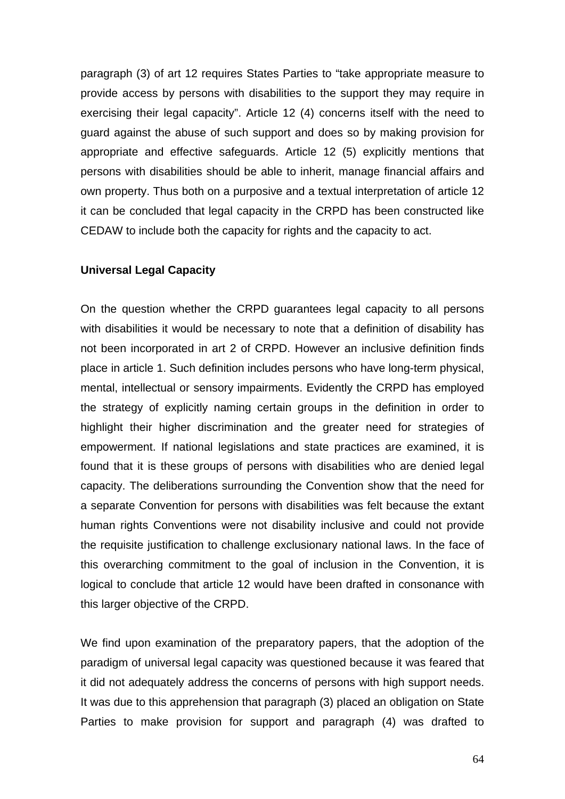paragraph (3) of art 12 requires States Parties to "take appropriate measure to provide access by persons with disabilities to the support they may require in exercising their legal capacity". Article 12 (4) concerns itself with the need to guard against the abuse of such support and does so by making provision for appropriate and effective safeguards. Article 12 (5) explicitly mentions that persons with disabilities should be able to inherit, manage financial affairs and own property. Thus both on a purposive and a textual interpretation of article 12 it can be concluded that legal capacity in the CRPD has been constructed like CEDAW to include both the capacity for rights and the capacity to act.

#### **Universal Legal Capacity**

On the question whether the CRPD guarantees legal capacity to all persons with disabilities it would be necessary to note that a definition of disability has not been incorporated in art 2 of CRPD. However an inclusive definition finds place in article 1. Such definition includes persons who have long-term physical, mental, intellectual or sensory impairments. Evidently the CRPD has employed the strategy of explicitly naming certain groups in the definition in order to highlight their higher discrimination and the greater need for strategies of empowerment. If national legislations and state practices are examined, it is found that it is these groups of persons with disabilities who are denied legal capacity. The deliberations surrounding the Convention show that the need for a separate Convention for persons with disabilities was felt because the extant human rights Conventions were not disability inclusive and could not provide the requisite justification to challenge exclusionary national laws. In the face of this overarching commitment to the goal of inclusion in the Convention, it is logical to conclude that article 12 would have been drafted in consonance with this larger objective of the CRPD.

We find upon examination of the preparatory papers, that the adoption of the paradigm of universal legal capacity was questioned because it was feared that it did not adequately address the concerns of persons with high support needs. It was due to this apprehension that paragraph (3) placed an obligation on State Parties to make provision for support and paragraph (4) was drafted to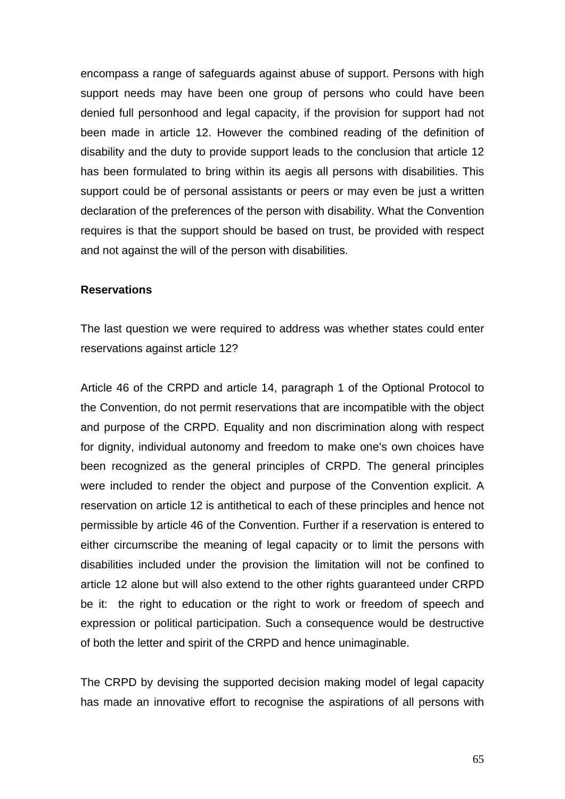encompass a range of safeguards against abuse of support. Persons with high support needs may have been one group of persons who could have been denied full personhood and legal capacity, if the provision for support had not been made in article 12. However the combined reading of the definition of disability and the duty to provide support leads to the conclusion that article 12 has been formulated to bring within its aegis all persons with disabilities. This support could be of personal assistants or peers or may even be just a written declaration of the preferences of the person with disability. What the Convention requires is that the support should be based on trust, be provided with respect and not against the will of the person with disabilities.

#### **Reservations**

The last question we were required to address was whether states could enter reservations against article 12?

Article 46 of the CRPD and article 14, paragraph 1 of the Optional Protocol to the Convention, do not permit reservations that are incompatible with the object and purpose of the CRPD. Equality and non discrimination along with respect for dignity, individual autonomy and freedom to make one's own choices have been recognized as the general principles of CRPD. The general principles were included to render the object and purpose of the Convention explicit. A reservation on article 12 is antithetical to each of these principles and hence not permissible by article 46 of the Convention. Further if a reservation is entered to either circumscribe the meaning of legal capacity or to limit the persons with disabilities included under the provision the limitation will not be confined to article 12 alone but will also extend to the other rights guaranteed under CRPD be it: the right to education or the right to work or freedom of speech and expression or political participation. Such a consequence would be destructive of both the letter and spirit of the CRPD and hence unimaginable.

The CRPD by devising the supported decision making model of legal capacity has made an innovative effort to recognise the aspirations of all persons with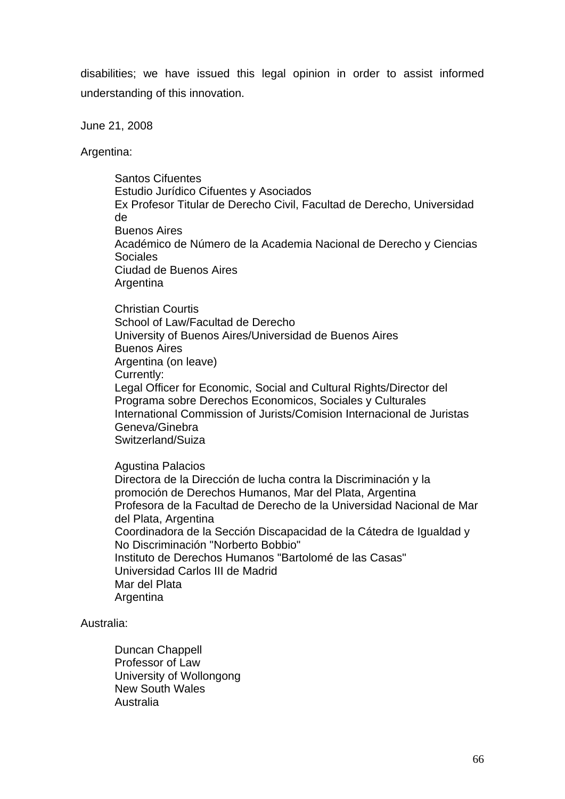disabilities; we have issued this legal opinion in order to assist informed understanding of this innovation.

June 21, 2008

Argentina:

Santos Cifuentes Estudio Jurídico Cifuentes y Asociados Ex Profesor Titular de Derecho Civil, Facultad de Derecho, Universidad de Buenos Aires Académico de Número de la Academia Nacional de Derecho y Ciencias Sociales Ciudad de Buenos Aires Argentina

Christian Courtis School of Law/Facultad de Derecho University of Buenos Aires/Universidad de Buenos Aires Buenos Aires Argentina (on leave) Currently: Legal Officer for Economic, Social and Cultural Rights/Director del Programa sobre Derechos Economicos, Sociales y Culturales International Commission of Jurists/Comision Internacional de Juristas Geneva/Ginebra Switzerland/Suiza

Agustina Palacios Directora de la Dirección de lucha contra la Discriminación y la promoción de Derechos Humanos, Mar del Plata, Argentina Profesora de la Facultad de Derecho de la Universidad Nacional de Mar del Plata, Argentina Coordinadora de la Sección Discapacidad de la Cátedra de Igualdad y No Discriminación "Norberto Bobbio" Instituto de Derechos Humanos "Bartolomé de las Casas" Universidad Carlos III de Madrid Mar del Plata **Argentina** 

Australia:

Duncan Chappell Professor of Law University of Wollongong New South Wales Australia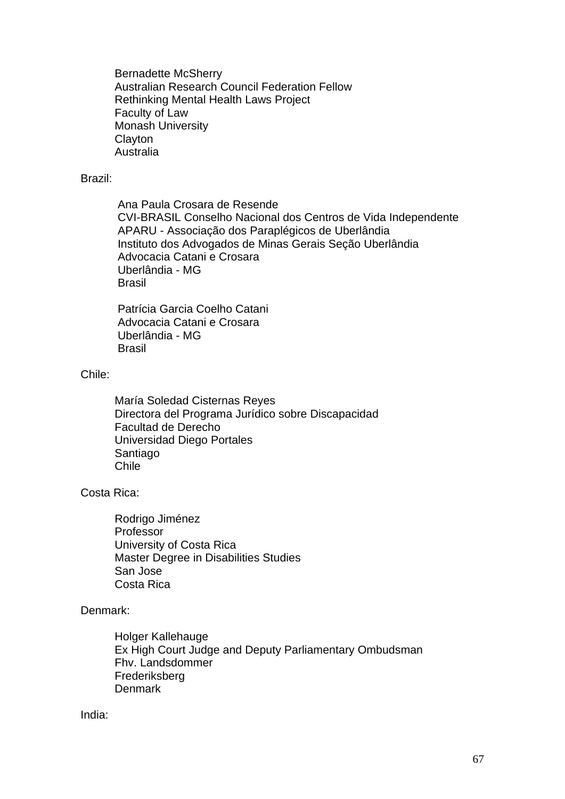Bernadette McSherry Australian Research Council Federation Fellow Rethinking Mental Health Laws Project Faculty of Law Monash University **Clayton** Australia

#### Brazil:

Ana Paula Crosara de Resende CVI-BRASIL Conselho Nacional dos Centros de Vida Independente APARU - Associação dos Paraplégicos de Uberlândia Instituto dos Advogados de Minas Gerais Seção Uberlândia Advocacia Catani e Crosara Uberlândia - MG Brasil

Patrícia Garcia Coelho Catani Advocacia Catani e Crosara Uberlândia - MG Brasil

#### Chile:

María Soledad Cisternas Reyes Directora del Programa Jurídico sobre Discapacidad Facultad de Derecho Universidad Diego Portales Santiago Chile

#### Costa Rica:

Rodrigo Jiménez Professor University of Costa Rica Master Degree in Disabilities Studies San Jose Costa Rica

#### Denmark:

Holger Kallehauge Ex High Court Judge and Deputy Parliamentary Ombudsman Fhv. Landsdommer Frederiksberg **Denmark** 

#### India: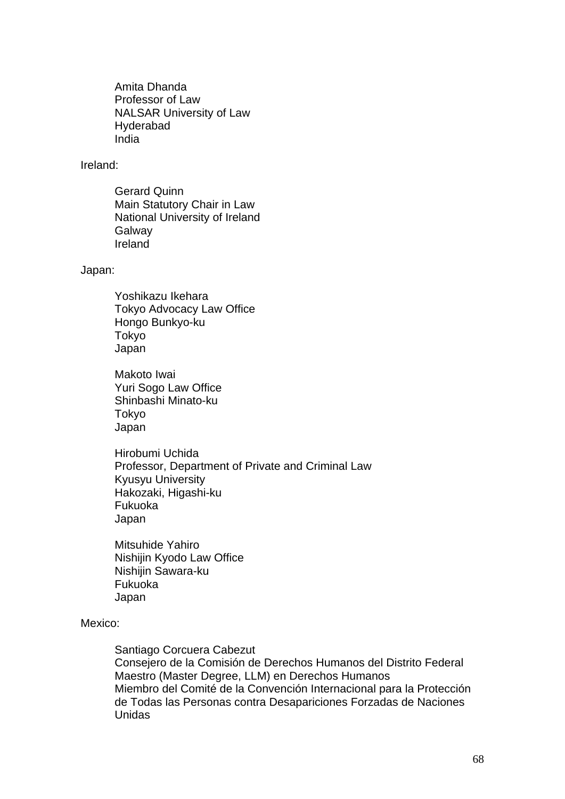Amita Dhanda Professor of Law NALSAR University of Law Hyderabad India

#### Ireland:

Gerard Quinn Main Statutory Chair in Law National University of Ireland **Galway** Ireland

Japan:

Yoshikazu Ikehara Tokyo Advocacy Law Office Hongo Bunkyo-ku Tokyo Japan

Makoto Iwai Yuri Sogo Law Office Shinbashi Minato-ku Tokyo Japan

Hirobumi Uchida Professor, Department of Private and Criminal Law Kyusyu University Hakozaki, Higashi-ku Fukuoka Japan

Mitsuhide Yahiro Nishijin Kyodo Law Office Nishijin Sawara-ku Fukuoka Japan

#### Mexico:

Santiago Corcuera Cabezut Consejero de la Comisión de Derechos Humanos del Distrito Federal Maestro (Master Degree, LLM) en Derechos Humanos Miembro del Comité de la Convención Internacional para la Protección de Todas las Personas contra Desapariciones Forzadas de Naciones Unidas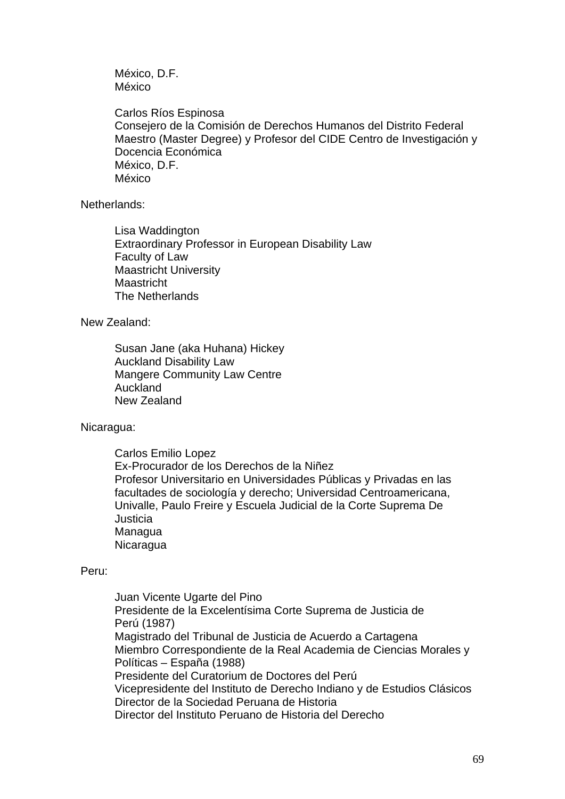México, D.F. México

Carlos Ríos Espinosa Consejero de la Comisión de Derechos Humanos del Distrito Federal Maestro (Master Degree) y Profesor del CIDE Centro de Investigación y Docencia Económica México, D.F. México

Netherlands:

Lisa Waddington Extraordinary Professor in European Disability Law Faculty of Law Maastricht University Maastricht The Netherlands

New Zealand:

Susan Jane (aka Huhana) Hickey Auckland Disability Law Mangere Community Law Centre Auckland New Zealand

Nicaragua:

Carlos Emilio Lopez Ex-Procurador de los Derechos de la Niñez Profesor Universitario en Universidades Públicas y Privadas en las facultades de sociología y derecho; Universidad Centroamericana, Univalle, Paulo Freire y Escuela Judicial de la Corte Suprema De **Justicia** Managua **Nicaragua** 

#### Peru:

Juan Vicente Ugarte del Pino Presidente de la Excelentísima Corte Suprema de Justicia de Perú (1987) Magistrado del Tribunal de Justicia de Acuerdo a Cartagena Miembro Correspondiente de la Real Academia de Ciencias Morales y Políticas – España (1988) Presidente del Curatorium de Doctores del Perú Vicepresidente del Instituto de Derecho Indiano y de Estudios Clásicos Director de la Sociedad Peruana de Historia Director del Instituto Peruano de Historia del Derecho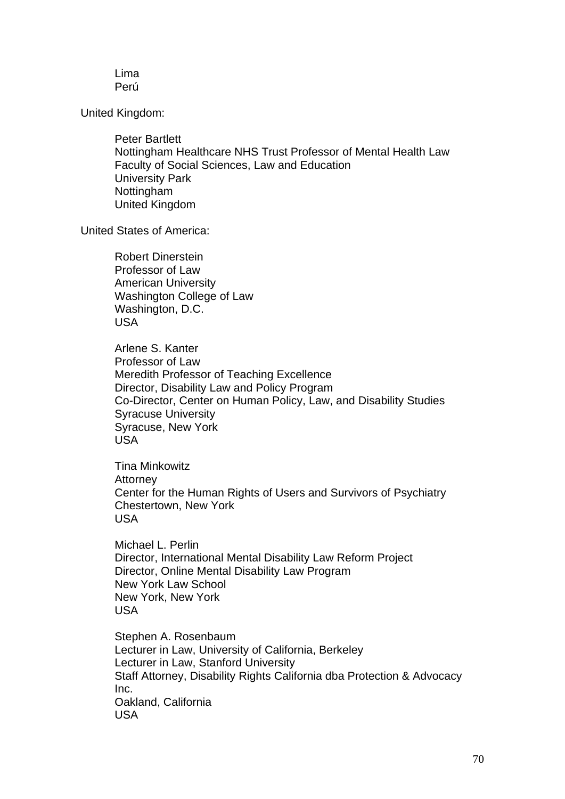Lima Perú

United Kingdom:

Peter Bartlett Nottingham Healthcare NHS Trust Professor of Mental Health Law Faculty of Social Sciences, Law and Education University Park Nottingham United Kingdom

United States of America:

Robert Dinerstein Professor of Law American University Washington College of Law Washington, D.C. USA

Arlene S. Kanter Professor of Law Meredith Professor of Teaching Excellence Director, Disability Law and Policy Program Co-Director, Center on Human Policy, Law, and Disability Studies Syracuse University Syracuse, New York USA

Tina Minkowitz **Attorney** Center for the Human Rights of Users and Survivors of Psychiatry Chestertown, New York USA

Michael L. Perlin Director, International Mental Disability Law Reform Project Director, Online Mental Disability Law Program New York Law School New York, New York USA

Stephen A. Rosenbaum Lecturer in Law, University of California, Berkeley Lecturer in Law, Stanford University Staff Attorney, Disability Rights California dba Protection & Advocacy Inc. Oakland, California USA